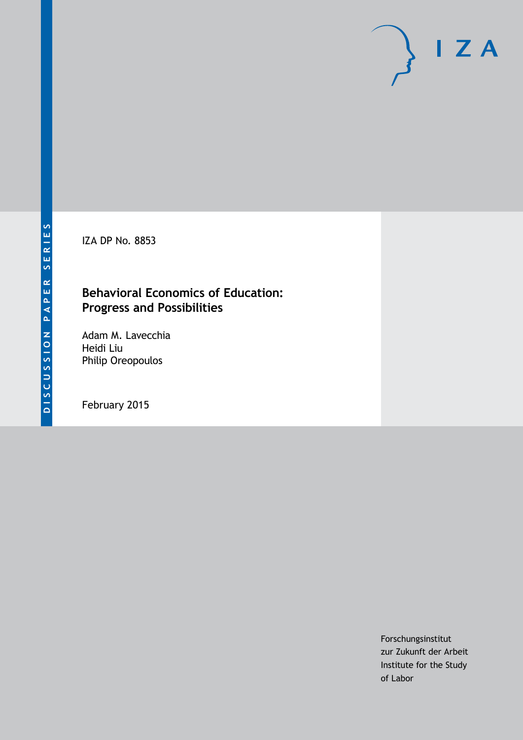IZA DP No. 8853

### **Behavioral Economics of Education: Progress and Possibilities**

Adam M. Lavecchia Heidi Liu Philip Oreopoulos

February 2015

Forschungsinstitut zur Zukunft der Arbeit Institute for the Study of Labor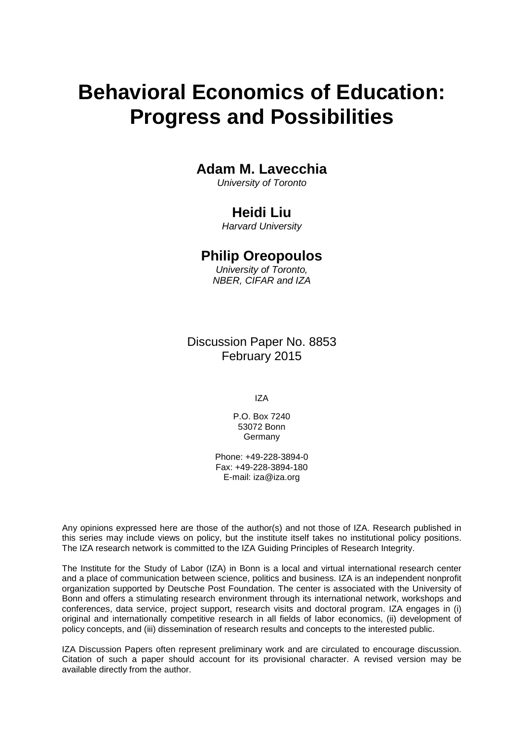# **Behavioral Economics of Education: Progress and Possibilities**

### **Adam M. Lavecchia**

*University of Toronto*

### **Heidi Liu**

*Harvard University*

### **Philip Oreopoulos**

*University of Toronto, NBER, CIFAR and IZA*

Discussion Paper No. 8853 February 2015

IZA

P.O. Box 7240 53072 Bonn **Germany** 

Phone: +49-228-3894-0 Fax: +49-228-3894-180 E-mail: [iza@iza.org](mailto:iza@iza.org)

Any opinions expressed here are those of the author(s) and not those of IZA. Research published in this series may include views on policy, but the institute itself takes no institutional policy positions. The IZA research network is committed to the IZA Guiding Principles of Research Integrity.

The Institute for the Study of Labor (IZA) in Bonn is a local and virtual international research center and a place of communication between science, politics and business. IZA is an independent nonprofit organization supported by Deutsche Post Foundation. The center is associated with the University of Bonn and offers a stimulating research environment through its international network, workshops and conferences, data service, project support, research visits and doctoral program. IZA engages in (i) original and internationally competitive research in all fields of labor economics, (ii) development of policy concepts, and (iii) dissemination of research results and concepts to the interested public.

<span id="page-1-0"></span>IZA Discussion Papers often represent preliminary work and are circulated to encourage discussion. Citation of such a paper should account for its provisional character. A revised version may be available directly from the author.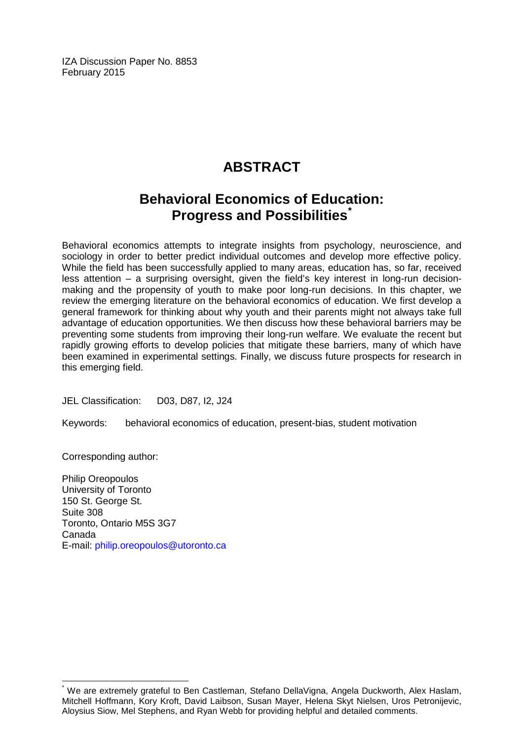IZA Discussion Paper No. 8853 February 2015

# **ABSTRACT**

## **Behavioral Economics of Education: Progress and Possibilities[\\*](#page-1-0)**

Behavioral economics attempts to integrate insights from psychology, neuroscience, and sociology in order to better predict individual outcomes and develop more effective policy. While the field has been successfully applied to many areas, education has, so far, received less attention – a surprising oversight, given the field's key interest in long-run decisionmaking and the propensity of youth to make poor long-run decisions. In this chapter, we review the emerging literature on the behavioral economics of education. We first develop a general framework for thinking about why youth and their parents might not always take full advantage of education opportunities. We then discuss how these behavioral barriers may be preventing some students from improving their long-run welfare. We evaluate the recent but rapidly growing efforts to develop policies that mitigate these barriers, many of which have been examined in experimental settings. Finally, we discuss future prospects for research in this emerging field.

JEL Classification: D03, D87, I2, J24

Keywords: behavioral economics of education, present-bias, student motivation

Corresponding author:

Philip Oreopoulos University of Toronto 150 St. George St. Suite 308 Toronto, Ontario M5S 3G7 Canada E-mail: [philip.oreopoulos@utoronto.ca](mailto:philip.oreopoulos@utoronto.ca)

\* We are extremely grateful to Ben Castleman, Stefano DellaVigna, Angela Duckworth, Alex Haslam, Mitchell Hoffmann, Kory Kroft, David Laibson, Susan Mayer, Helena Skyt Nielsen, Uros Petronijevic, Aloysius Siow, Mel Stephens, and Ryan Webb for providing helpful and detailed comments.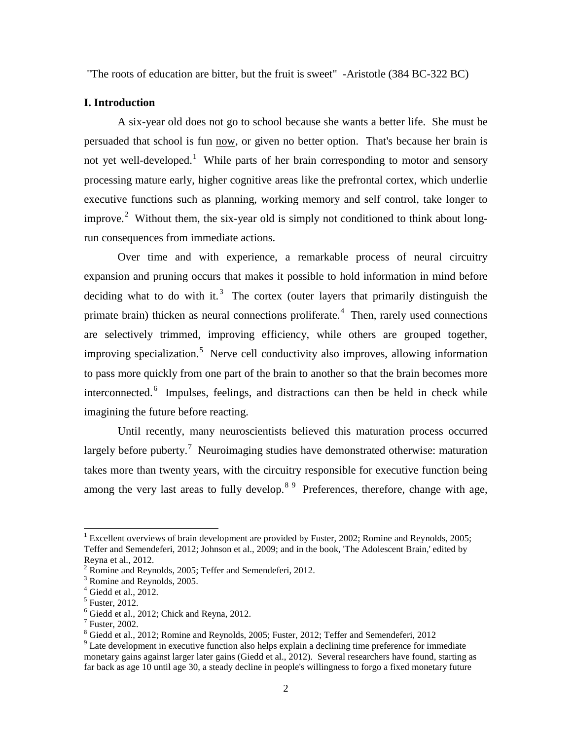"The roots of education are bitter, but the fruit is sweet" -Aristotle (384 BC-322 BC)

#### **I. Introduction**

A six-year old does not go to school because she wants a better life. She must be persuaded that school is fun now, or given no better option. That's because her brain is not yet well-developed.<sup>1</sup> While parts of her brain corresponding to motor and sensory processing mature early, higher cognitive areas like the prefrontal cortex, which underlie executive functions such as planning, working memory and self control, take longer to improve.<sup>[2](#page-3-0)</sup> Without them, the six-year old is simply not conditioned to think about longrun consequences from immediate actions.

Over time and with experience, a remarkable process of neural circuitry expansion and pruning occurs that makes it possible to hold information in mind before deciding what to do with it.<sup>[3](#page-3-1)</sup> The cortex (outer layers that primarily distinguish the primate brain) thicken as neural connections proliferate.<sup>[4](#page-3-2)</sup> Then, rarely used connections are selectively trimmed, improving efficiency, while others are grouped together, improving specialization.<sup>[5](#page-3-3)</sup> Nerve cell conductivity also improves, allowing information to pass more quickly from one part of the brain to another so that the brain becomes more interconnected.<sup>[6](#page-3-4)</sup> Impulses, feelings, and distractions can then be held in check while imagining the future before reacting.

Until recently, many neuroscientists believed this maturation process occurred largely before puberty.<sup>[7](#page-3-5)</sup> Neuroimaging studies have demonstrated otherwise: maturation takes more than twenty years, with the circuitry responsible for executive function being among the very last areas to fully develop.<sup>[8](#page-3-6)[9](#page-3-7)</sup> Preferences, therefore, change with age,

 $1$  Excellent overviews of brain development are provided by Fuster, 2002; Romine and Reynolds, 2005; Teffer and Semendeferi, 2012; Johnson et al., 2009; and in the book, 'The Adolescent Brain,' edited by Reyna et al., 2012.

<span id="page-3-1"></span><span id="page-3-0"></span> $2^2$  Romine and Reynolds, 2005; Teffer and Semendeferi, 2012.  $3^3$  Romine and Reynolds, 2005.

<span id="page-3-2"></span> $4$  Giedd et al., 2012.

<span id="page-3-3"></span> $<sup>5</sup>$  Fuster, 2012.</sup>

 $6$  Giedd et al., 2012; Chick and Reyna, 2012.

<span id="page-3-5"></span><span id="page-3-4"></span><sup>7</sup> Fuster, 2002.

<sup>8</sup> Giedd et al., 2012; Romine and Reynolds, 2005; Fuster, 2012; Teffer and Semendeferi, 2012

<span id="page-3-7"></span><span id="page-3-6"></span><sup>&</sup>lt;sup>9</sup> Late development in executive function also helps explain a declining time preference for immediate monetary gains against larger later gains (Giedd et al., 2012). Several researchers have found, starting as far back as age 10 until age 30, a steady decline in people's willingness to forgo a fixed monetary future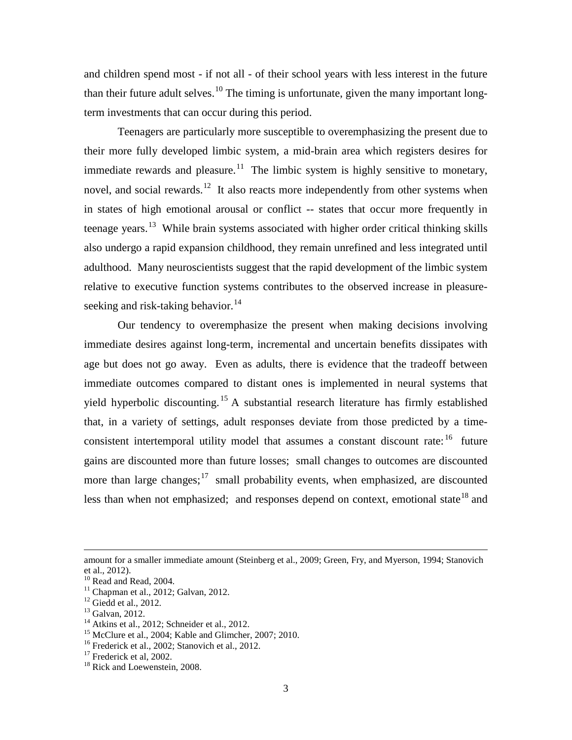and children spend most - if not all - of their school years with less interest in the future than their future adult selves.<sup>[10](#page-3-1)</sup> The timing is unfortunate, given the many important longterm investments that can occur during this period.

Teenagers are particularly more susceptible to overemphasizing the present due to their more fully developed limbic system, a mid-brain area which registers desires for immediate rewards and pleasure.<sup>[11](#page-4-0)</sup> The limbic system is highly sensitive to monetary, novel, and social rewards.<sup>12</sup> It also reacts more independently from other systems when in states of high emotional arousal or conflict -- states that occur more frequently in teenage years.<sup>[13](#page-4-2)</sup> While brain systems associated with higher order critical thinking skills also undergo a rapid expansion childhood, they remain unrefined and less integrated until adulthood. Many neuroscientists suggest that the rapid development of the limbic system relative to executive function systems contributes to the observed increase in pleasureseeking and risk-taking behavior.<sup>14</sup>

Our tendency to overemphasize the present when making decisions involving immediate desires against long-term, incremental and uncertain benefits dissipates with age but does not go away. Even as adults, there is evidence that the tradeoff between immediate outcomes compared to distant ones is implemented in neural systems that yield hyperbolic discounting. [15](#page-4-4) A substantial research literature has firmly established that, in a variety of settings, adult responses deviate from those predicted by a time-consistent intertemporal utility model that assumes a constant discount rate: <sup>[16](#page-4-5)</sup> future gains are discounted more than future losses; small changes to outcomes are discounted more than large changes;<sup>[17](#page-4-6)</sup> small probability events, when emphasized, are discounted less than when not emphasized; and responses depend on context, emotional state<sup>[18](#page-4-7)</sup> and

j amount for a smaller immediate amount (Steinberg et al., 2009; Green, Fry, and Myerson, 1994; Stanovich et al., 2012).<br><sup>10</sup> Read and Read, 2004.

<span id="page-4-2"></span>

<span id="page-4-4"></span><span id="page-4-3"></span>

<span id="page-4-1"></span><span id="page-4-0"></span><sup>&</sup>lt;sup>11</sup> Chapman et al., 2012; Galvan, 2012.<br><sup>12</sup> Giedd et al., 2012.<br><sup>13</sup> Galvan, 2012.<br><sup>14</sup> Atkins et al., 2012; Schneider et al., 2012.<br><sup>15</sup> McClure et al., 2004; Kable and Glimcher, 2007; 2010.<br><sup>16</sup> Frederick et al., 2002

<span id="page-4-6"></span><span id="page-4-5"></span>

<span id="page-4-7"></span>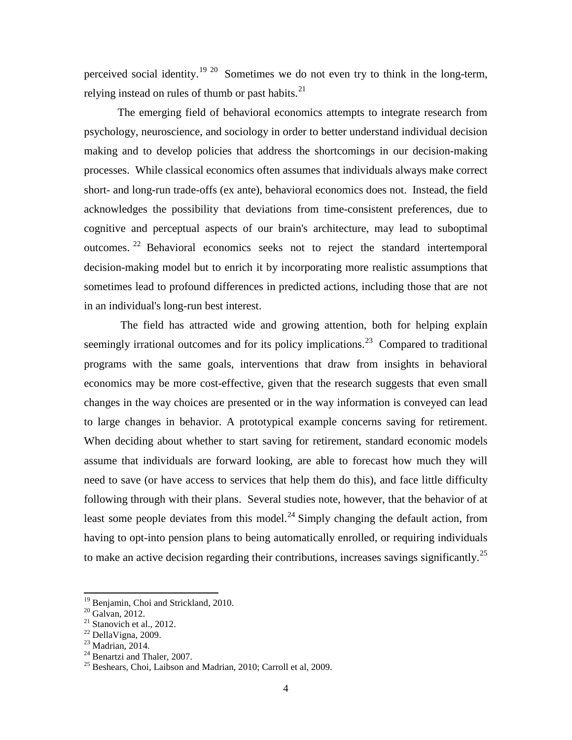perceived social identity.<sup>[19](#page-4-1) [20](#page-5-0)</sup> Sometimes we do not even try to think in the long-term, relying instead on rules of thumb or past habits.<sup>[21](#page-5-1)</sup>

The emerging field of behavioral economics attempts to integrate research from psychology, neuroscience, and sociology in order to better understand individual decision making and to develop policies that address the shortcomings in our decision-making processes. While classical economics often assumes that individuals always make correct short- and long-run trade-offs (ex ante), behavioral economics does not. Instead, the field acknowledges the possibility that deviations from time-consistent preferences, due to cognitive and perceptual aspects of our brain's architecture, may lead to suboptimal outcomes. [22](#page-5-2) Behavioral economics seeks not to reject the standard intertemporal decision-making model but to enrich it by incorporating more realistic assumptions that sometimes lead to profound differences in predicted actions, including those that are not in an individual's long-run best interest.

The field has attracted wide and growing attention, both for helping explain seemingly irrational outcomes and for its policy implications.<sup>[23](#page-5-3)</sup> Compared to traditional programs with the same goals, interventions that draw from insights in behavioral economics may be more cost-effective, given that the research suggests that even small changes in the way choices are presented or in the way information is conveyed can lead to large changes in behavior. A prototypical example concerns saving for retirement. When deciding about whether to start saving for retirement, standard economic models assume that individuals are forward looking, are able to forecast how much they will need to save (or have access to services that help them do this), and face little difficulty following through with their plans. Several studies note, however, that the behavior of at least some people deviates from this model. $^{24}$  $^{24}$  $^{24}$  Simply changing the default action, from having to opt-into pension plans to being automatically enrolled, or requiring individuals to make an active decision regarding their contributions, increases savings significantly.<sup>[25](#page-5-5)</sup>

<span id="page-5-1"></span>

<span id="page-5-2"></span>

<span id="page-5-3"></span>

<span id="page-5-5"></span><span id="page-5-4"></span>

<span id="page-5-0"></span><sup>&</sup>lt;sup>19</sup> Benjamin, Choi and Strickland, 2010.<br><sup>20</sup> Galvan, 2012.<br><sup>21</sup> Stanovich et al., 2012.<br><sup>22</sup> DellaVigna, 2009.<br><sup>23</sup> Madrian, 2014.<br><sup>24</sup> Benartzi and Thaler, 2007.<br><sup>25</sup> Beshears, Choi, Laibson and Madrian, 2010; Carroll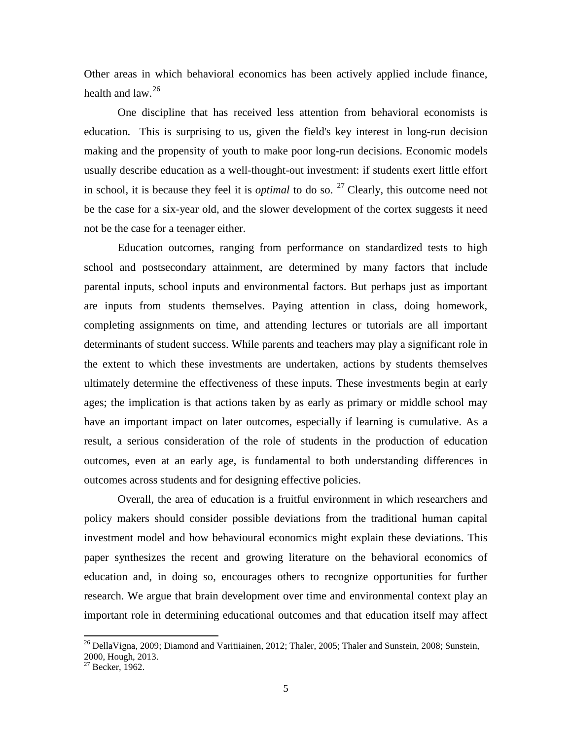Other areas in which behavioral economics has been actively applied include finance, health and  $law.<sup>26</sup>$  $law.<sup>26</sup>$  $law.<sup>26</sup>$ 

One discipline that has received less attention from behavioral economists is education. This is surprising to us, given the field's key interest in long-run decision making and the propensity of youth to make poor long-run decisions. Economic models usually describe education as a well-thought-out investment: if students exert little effort in school, it is because they feel it is *optimal* to do so.  $27$  Clearly, this outcome need not be the case for a six-year old, and the slower development of the cortex suggests it need not be the case for a teenager either.

Education outcomes, ranging from performance on standardized tests to high school and postsecondary attainment, are determined by many factors that include parental inputs, school inputs and environmental factors. But perhaps just as important are inputs from students themselves. Paying attention in class, doing homework, completing assignments on time, and attending lectures or tutorials are all important determinants of student success. While parents and teachers may play a significant role in the extent to which these investments are undertaken, actions by students themselves ultimately determine the effectiveness of these inputs. These investments begin at early ages; the implication is that actions taken by as early as primary or middle school may have an important impact on later outcomes, especially if learning is cumulative. As a result, a serious consideration of the role of students in the production of education outcomes, even at an early age, is fundamental to both understanding differences in outcomes across students and for designing effective policies.

<span id="page-6-1"></span>Overall, the area of education is a fruitful environment in which researchers and policy makers should consider possible deviations from the traditional human capital investment model and how behavioural economics might explain these deviations. This paper synthesizes the recent and growing literature on the behavioral economics of education and, in doing so, encourages others to recognize opportunities for further research. We argue that brain development over time and environmental context play an important role in determining educational outcomes and that education itself may affect

<sup>&</sup>lt;sup>26</sup> DellaVigna, 2009; Diamond and Varitiiainen, 2012; Thaler, 2005; Thaler and Sunstein, 2008; Sunstein,  $2000$ , Hough, 2013.<br> $27$  Becker, 1962.

<span id="page-6-0"></span>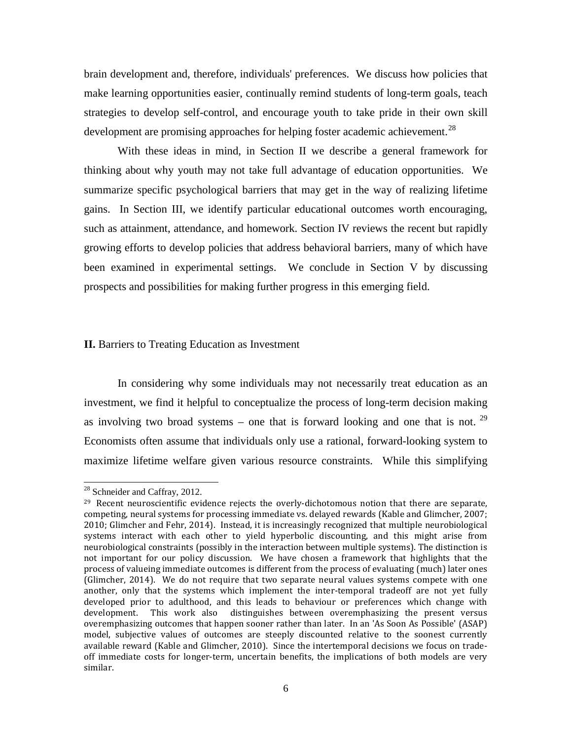brain development and, therefore, individuals' preferences. We discuss how policies that make learning opportunities easier, continually remind students of long-term goals, teach strategies to develop self-control, and encourage youth to take pride in their own skill development are promising approaches for helping foster academic achievement.<sup>[28](#page-6-1)</sup>

With these ideas in mind, in Section II we describe a general framework for thinking about why youth may not take full advantage of education opportunities. We summarize specific psychological barriers that may get in the way of realizing lifetime gains. In Section III, we identify particular educational outcomes worth encouraging, such as attainment, attendance, and homework. Section IV reviews the recent but rapidly growing efforts to develop policies that address behavioral barriers, many of which have been examined in experimental settings. We conclude in Section V by discussing prospects and possibilities for making further progress in this emerging field.

#### **II.** Barriers to Treating Education as Investment

In considering why some individuals may not necessarily treat education as an investment, we find it helpful to conceptualize the process of long-term decision making as involving two broad systems – one that is forward looking and one that is not.  $^{29}$  $^{29}$  $^{29}$ Economists often assume that individuals only use a rational, forward-looking system to maximize lifetime welfare given various resource constraints. While this simplifying

<sup>28</sup> Schneider and Caffray, 2012.

<span id="page-7-1"></span><span id="page-7-0"></span> $29$  Recent neuroscientific evidence rejects the overly-dichotomous notion that there are separate, competing, neural systems for processing immediate vs. delayed rewards (Kable and Glimcher, 2007; 2010; Glimcher and Fehr, 2014). Instead, it is increasingly recognized that multiple neurobiological systems interact with each other to yield hyperbolic discounting, and this might arise from neurobiological constraints (possibly in the interaction between multiple systems). The distinction is not important for our policy discussion. We have chosen a framework that highlights that the process of valueing immediate outcomes is different from the process of evaluating (much) later ones (Glimcher, 2014). We do not require that two separate neural values systems compete with one another, only that the systems which implement the inter-temporal tradeoff are not yet fully developed prior to adulthood, and this leads to behaviour or preferences which change with<br>development. This work also distinguishes between overemphasizing the present versus This work also distinguishes between overemphasizing the present versus overemphasizing outcomes that happen sooner rather than later. In an 'As Soon As Possible' (ASAP) model, subjective values of outcomes are steeply discounted relative to the soonest currently available reward (Kable and Glimcher, 2010). Since the intertemporal decisions we focus on tradeoff immediate costs for longer-term, uncertain benefits, the implications of both models are very similar.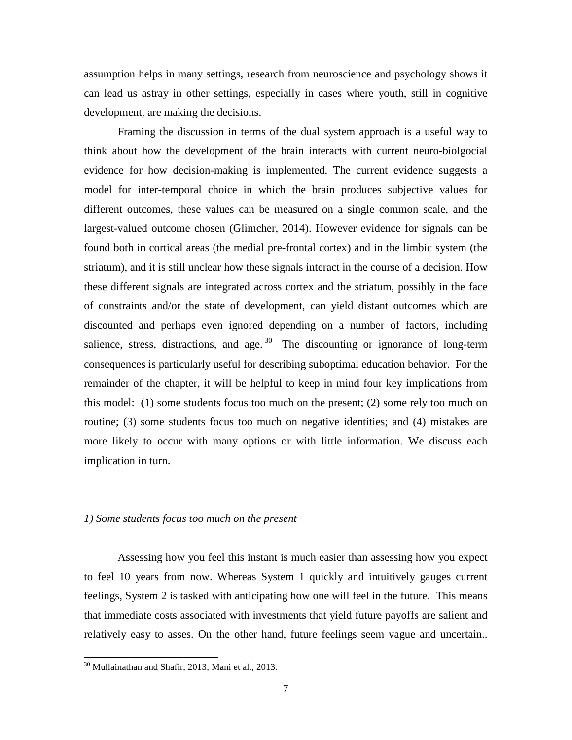assumption helps in many settings, research from neuroscience and psychology shows it can lead us astray in other settings, especially in cases where youth, still in cognitive development, are making the decisions.

Framing the discussion in terms of the dual system approach is a useful way to think about how the development of the brain interacts with current neuro-biolgocial evidence for how decision-making is implemented. The current evidence suggests a model for inter-temporal choice in which the brain produces subjective values for different outcomes, these values can be measured on a single common scale, and the largest-valued outcome chosen (Glimcher, 2014). However evidence for signals can be found both in cortical areas (the medial pre-frontal cortex) and in the limbic system (the striatum), and it is still unclear how these signals interact in the course of a decision. How these different signals are integrated across cortex and the striatum, possibly in the face of constraints and/or the state of development, can yield distant outcomes which are discounted and perhaps even ignored depending on a number of factors, including salience, stress, distractions, and age.  $30\degree$  $30\degree$  The discounting or ignorance of long-term consequences is particularly useful for describing suboptimal education behavior. For the remainder of the chapter, it will be helpful to keep in mind four key implications from this model: (1) some students focus too much on the present; (2) some rely too much on routine; (3) some students focus too much on negative identities; and (4) mistakes are more likely to occur with many options or with little information. We discuss each implication in turn.

#### *1) Some students focus too much on the present*

Assessing how you feel this instant is much easier than assessing how you expect to feel 10 years from now. Whereas System 1 quickly and intuitively gauges current feelings, System 2 is tasked with anticipating how one will feel in the future. This means that immediate costs associated with investments that yield future payoffs are salient and relatively easy to asses. On the other hand, future feelings seem vague and uncertain..

<span id="page-8-0"></span><sup>30</sup> Mullainathan and Shafir, 2013; Mani et al., 2013.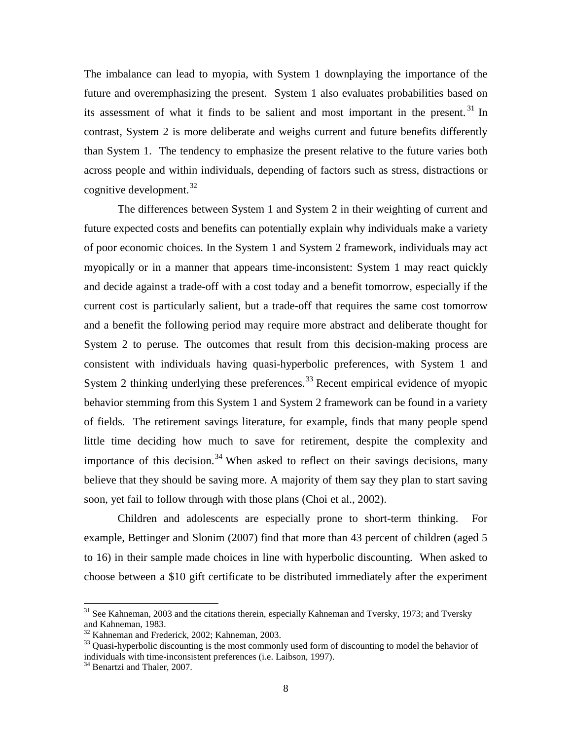The imbalance can lead to myopia, with System 1 downplaying the importance of the future and overemphasizing the present. System 1 also evaluates probabilities based on its assessment of what it finds to be salient and most important in the present.<sup>[31](#page-8-0)</sup> In contrast, System 2 is more deliberate and weighs current and future benefits differently than System 1. The tendency to emphasize the present relative to the future varies both across people and within individuals, depending of factors such as stress, distractions or cognitive development. [32](#page-9-0)

The differences between System 1 and System 2 in their weighting of current and future expected costs and benefits can potentially explain why individuals make a variety of poor economic choices. In the System 1 and System 2 framework, individuals may act myopically or in a manner that appears time-inconsistent: System 1 may react quickly and decide against a trade-off with a cost today and a benefit tomorrow, especially if the current cost is particularly salient, but a trade-off that requires the same cost tomorrow and a benefit the following period may require more abstract and deliberate thought for System 2 to peruse. The outcomes that result from this decision-making process are consistent with individuals having quasi-hyperbolic preferences, with System 1 and System 2 thinking underlying these preferences.<sup>[33](#page-9-1)</sup> Recent empirical evidence of myopic behavior stemming from this System 1 and System 2 framework can be found in a variety of fields. The retirement savings literature, for example, finds that many people spend little time deciding how much to save for retirement, despite the complexity and importance of this decision.<sup>[34](#page-9-2)</sup> When asked to reflect on their savings decisions, many believe that they should be saving more. A majority of them say they plan to start saving soon, yet fail to follow through with those plans (Choi et al., 2002).

Children and adolescents are especially prone to short-term thinking. For example, Bettinger and Slonim (2007) find that more than 43 percent of children (aged 5 to 16) in their sample made choices in line with hyperbolic discounting. When asked to choose between a \$10 gift certificate to be distributed immediately after the experiment

 $31$  See Kahneman, 2003 and the citations therein, especially Kahneman and Tversky, 1973; and Tversky and Kahneman, 1983.

<span id="page-9-1"></span><span id="page-9-0"></span><sup>&</sup>lt;sup>32</sup> Kahneman and Frederick, 2002; Kahneman, 2003.<br><sup>33</sup> Quasi-hyperbolic discounting is the most commonly used form of discounting to model the behavior of individuals with time-inconsistent preferences (i.e. Laibson, 1997). <sup>34</sup> Benartzi and Thaler, 2007.

<span id="page-9-2"></span>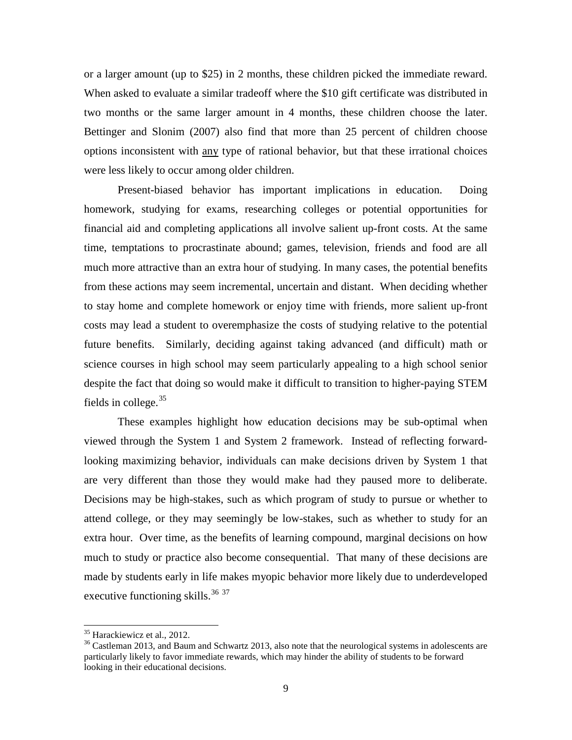or a larger amount (up to \$25) in 2 months, these children picked the immediate reward. When asked to evaluate a similar tradeoff where the \$10 gift certificate was distributed in two months or the same larger amount in 4 months, these children choose the later. Bettinger and Slonim (2007) also find that more than 25 percent of children choose options inconsistent with any type of rational behavior, but that these irrational choices were less likely to occur among older children.

Present-biased behavior has important implications in education. Doing homework, studying for exams, researching colleges or potential opportunities for financial aid and completing applications all involve salient up-front costs. At the same time, temptations to procrastinate abound; games, television, friends and food are all much more attractive than an extra hour of studying. In many cases, the potential benefits from these actions may seem incremental, uncertain and distant. When deciding whether to stay home and complete homework or enjoy time with friends, more salient up-front costs may lead a student to overemphasize the costs of studying relative to the potential future benefits. Similarly, deciding against taking advanced (and difficult) math or science courses in high school may seem particularly appealing to a high school senior despite the fact that doing so would make it difficult to transition to higher-paying STEM fields in college. $35$ 

These examples highlight how education decisions may be sub-optimal when viewed through the System 1 and System 2 framework. Instead of reflecting forwardlooking maximizing behavior, individuals can make decisions driven by System 1 that are very different than those they would make had they paused more to deliberate. Decisions may be high-stakes, such as which program of study to pursue or whether to attend college, or they may seemingly be low-stakes, such as whether to study for an extra hour. Over time, as the benefits of learning compound, marginal decisions on how much to study or practice also become consequential. That many of these decisions are made by students early in life makes myopic behavior more likely due to underdeveloped executive functioning skills.<sup>[36](#page-10-0)</sup><sup>[37](#page-10-1)</sup>

<span id="page-10-2"></span><span id="page-10-1"></span><span id="page-10-0"></span><sup>&</sup>lt;sup>35</sup> Harackiewicz et al., 2012.<br><sup>36</sup> Castleman 2013, and Baum and Schwartz 2013, also note that the neurological systems in adolescents are particularly likely to favor immediate rewards, which may hinder the ability of students to be forward looking in their educational decisions.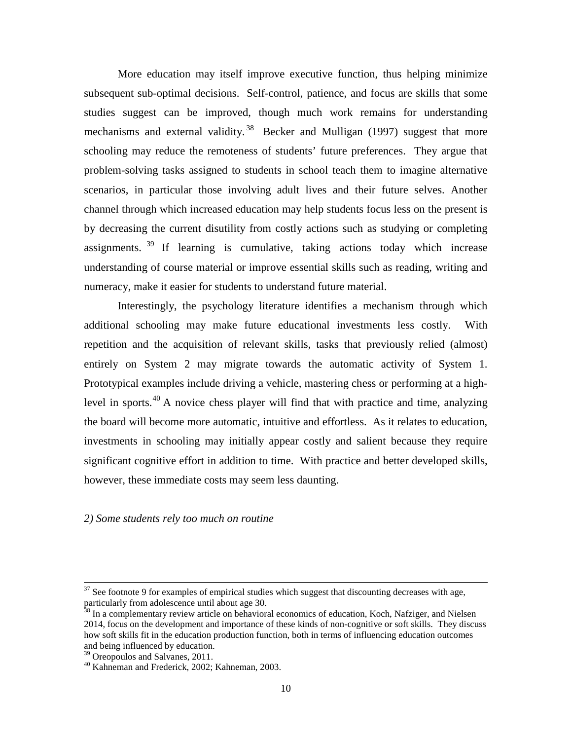More education may itself improve executive function, thus helping minimize subsequent sub-optimal decisions. Self-control, patience, and focus are skills that some studies suggest can be improved, though much work remains for understanding mechanisms and external validity.<sup>[38](#page-10-2)</sup> Becker and Mulligan (1997) suggest that more schooling may reduce the remoteness of students' future preferences. They argue that problem-solving tasks assigned to students in school teach them to imagine alternative scenarios, in particular those involving adult lives and their future selves. Another channel through which increased education may help students focus less on the present is by decreasing the current disutility from costly actions such as studying or completing assignments.  $39$  If learning is cumulative, taking actions today which increase understanding of course material or improve essential skills such as reading, writing and numeracy, make it easier for students to understand future material.

Interestingly, the psychology literature identifies a mechanism through which additional schooling may make future educational investments less costly. With repetition and the acquisition of relevant skills, tasks that previously relied (almost) entirely on System 2 may migrate towards the automatic activity of System 1. Prototypical examples include driving a vehicle, mastering chess or performing at a highlevel in sports. $40$  A novice chess player will find that with practice and time, analyzing the board will become more automatic, intuitive and effortless. As it relates to education, investments in schooling may initially appear costly and salient because they require significant cognitive effort in addition to time. With practice and better developed skills, however, these immediate costs may seem less daunting.

#### *2) Some students rely too much on routine*

 $37$  See footnote 9 for examples of empirical studies which suggest that discounting decreases with age, particularly from adolescence until about age 30.

In a complementary review article on behavioral economics of education, Koch, Nafziger, and Nielsen 2014, focus on the development and importance of these kinds of non-cognitive or soft skills. They discuss how soft skills fit in the education production function, both in terms of influencing education outcomes

<span id="page-11-2"></span><span id="page-11-1"></span><span id="page-11-0"></span><sup>&</sup>lt;sup>39</sup> Oreopoulos and Salvanes, 2011.<br><sup>40</sup> Kahneman and Frederick, 2002; Kahneman, 2003.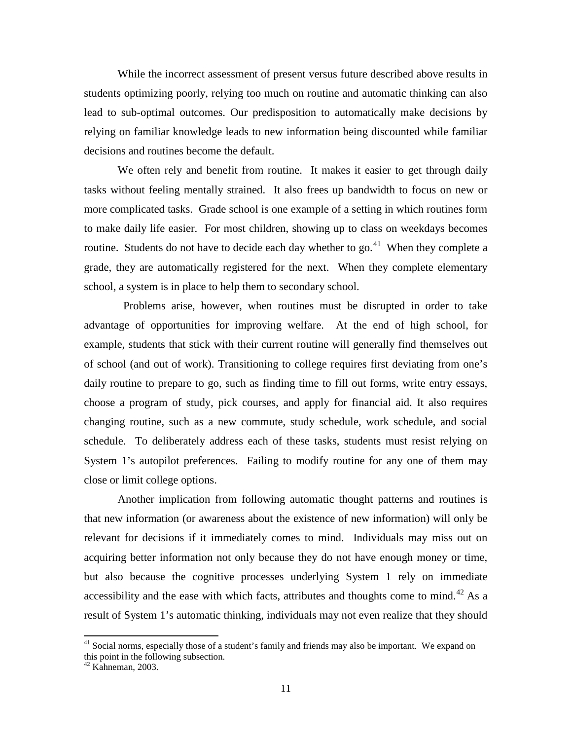While the incorrect assessment of present versus future described above results in students optimizing poorly, relying too much on routine and automatic thinking can also lead to sub-optimal outcomes. Our predisposition to automatically make decisions by relying on familiar knowledge leads to new information being discounted while familiar decisions and routines become the default.

We often rely and benefit from routine. It makes it easier to get through daily tasks without feeling mentally strained. It also frees up bandwidth to focus on new or more complicated tasks. Grade school is one example of a setting in which routines form to make daily life easier. For most children, showing up to class on weekdays becomes routine. Students do not have to decide each day whether to go.<sup>41</sup> When they complete a grade, they are automatically registered for the next. When they complete elementary school, a system is in place to help them to secondary school.

 Problems arise, however, when routines must be disrupted in order to take advantage of opportunities for improving welfare. At the end of high school, for example, students that stick with their current routine will generally find themselves out of school (and out of work). Transitioning to college requires first deviating from one's daily routine to prepare to go, such as finding time to fill out forms, write entry essays, choose a program of study, pick courses, and apply for financial aid. It also requires changing routine, such as a new commute, study schedule, work schedule, and social schedule. To deliberately address each of these tasks, students must resist relying on System 1's autopilot preferences. Failing to modify routine for any one of them may close or limit college options.

<span id="page-12-1"></span>Another implication from following automatic thought patterns and routines is that new information (or awareness about the existence of new information) will only be relevant for decisions if it immediately comes to mind. Individuals may miss out on acquiring better information not only because they do not have enough money or time, but also because the cognitive processes underlying System 1 rely on immediate accessibility and the ease with which facts, attributes and thoughts come to mind.<sup>[42](#page-12-0)</sup> As a result of System 1's automatic thinking, individuals may not even realize that they should

 $41$  Social norms, especially those of a student's family and friends may also be important. We expand on this point in the following subsection.

<span id="page-12-0"></span> $42$  Kahneman, 2003.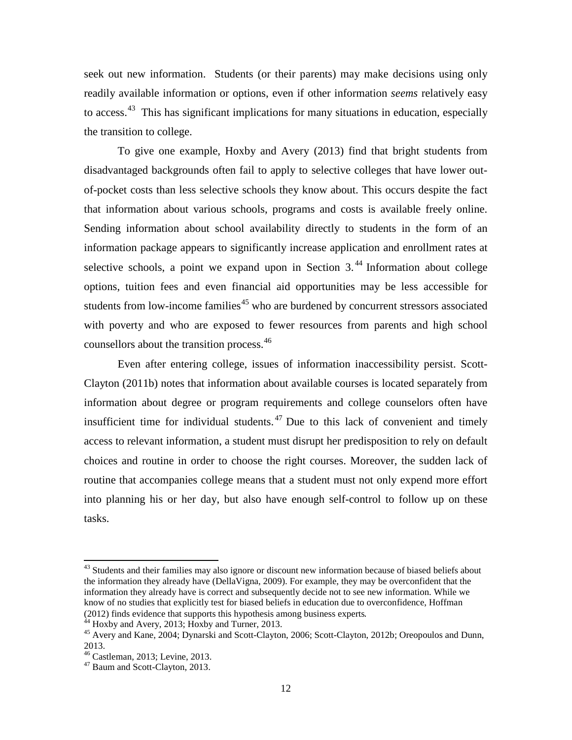seek out new information. Students (or their parents) may make decisions using only readily available information or options, even if other information *seems* relatively easy to access.<sup>43</sup> This has significant implications for many situations in education, especially the transition to college.

To give one example, Hoxby and Avery (2013) find that bright students from disadvantaged backgrounds often fail to apply to selective colleges that have lower outof-pocket costs than less selective schools they know about. This occurs despite the fact that information about various schools, programs and costs is available freely online. Sending information about school availability directly to students in the form of an information package appears to significantly increase application and enrollment rates at selective schools, a point we expand upon in Section  $3<sup>44</sup>$  $3<sup>44</sup>$  $3<sup>44</sup>$  Information about college options, tuition fees and even financial aid opportunities may be less accessible for students from low-income families<sup>[45](#page-13-1)</sup> who are burdened by concurrent stressors associated with poverty and who are exposed to fewer resources from parents and high school counsellors about the transition process.<sup>[46](#page-13-2)</sup>

Even after entering college, issues of information inaccessibility persist. Scott-Clayton (2011b) notes that information about available courses is located separately from information about degree or program requirements and college counselors often have insufficient time for individual students.  $47$  Due to this lack of convenient and timely access to relevant information, a student must disrupt her predisposition to rely on default choices and routine in order to choose the right courses. Moreover, the sudden lack of routine that accompanies college means that a student must not only expend more effort into planning his or her day, but also have enough self-control to follow up on these tasks.

<span id="page-13-4"></span><sup>&</sup>lt;sup>43</sup> Students and their families may also ignore or discount new information because of biased beliefs about the information they already have (DellaVigna, 2009). For example, they may be overconfident that the information they already have is correct and subsequently decide not to see new information. While we know of no studies that explicitly test for biased beliefs in education due to overconfidence, Hoffman (2012) finds evidence that supports this hypothesis among business experts.

<span id="page-13-1"></span><span id="page-13-0"></span> $^{44}$  Hoxby and Avery, 2013; Hoxby and Turner, 2013.<br><sup>45</sup> Avery and Kane, 2004; Dynarski and Scott-Clayton, 2006; Scott-Clayton, 2012b; Oreopoulos and Dunn, 2013.

<span id="page-13-3"></span><span id="page-13-2"></span> $46$  Castleman, 2013; Levine, 2013.<br> $47$  Baum and Scott-Clayton, 2013.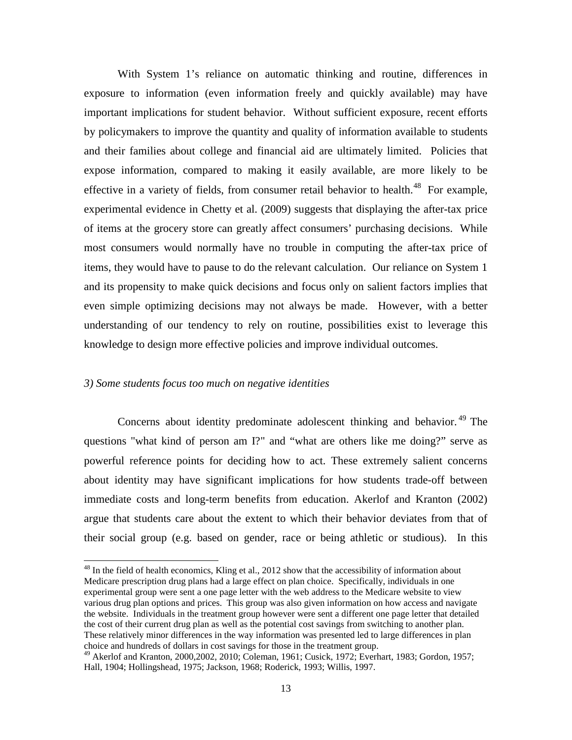With System 1's reliance on automatic thinking and routine, differences in exposure to information (even information freely and quickly available) may have important implications for student behavior. Without sufficient exposure, recent efforts by policymakers to improve the quantity and quality of information available to students and their families about college and financial aid are ultimately limited. Policies that expose information, compared to making it easily available, are more likely to be effective in a variety of fields, from consumer retail behavior to health.<sup>48</sup> For example, experimental evidence in Chetty et al. (2009) suggests that displaying the after-tax price of items at the grocery store can greatly affect consumers' purchasing decisions. While most consumers would normally have no trouble in computing the after-tax price of items, they would have to pause to do the relevant calculation. Our reliance on System 1 and its propensity to make quick decisions and focus only on salient factors implies that even simple optimizing decisions may not always be made. However, with a better understanding of our tendency to rely on routine, possibilities exist to leverage this knowledge to design more effective policies and improve individual outcomes.

#### *3) Some students focus too much on negative identities*

Concerns about identity predominate adolescent thinking and behavior.<sup>[49](#page-14-0)</sup> The questions "what kind of person am I?" and "what are others like me doing?" serve as powerful reference points for deciding how to act. These extremely salient concerns about identity may have significant implications for how students trade-off between immediate costs and long-term benefits from education. Akerlof and Kranton (2002) argue that students care about the extent to which their behavior deviates from that of their social group (e.g. based on gender, race or being athletic or studious). In this

 $^{48}$  In the field of health economics, Kling et al., 2012 show that the accessibility of information about Medicare prescription drug plans had a large effect on plan choice. Specifically, individuals in one experimental group were sent a one page letter with the web address to the Medicare website to view various drug plan options and prices. This group was also given information on how access and navigate the website. Individuals in the treatment group however were sent a different one page letter that detailed the cost of their current drug plan as well as the potential cost savings from switching to another plan. These relatively minor differences in the way information was presented led to large differences in plan choice and hundreds of dollars in cost savings for those in the treatment group.

<span id="page-14-1"></span><span id="page-14-0"></span><sup>49</sup> Akerlof and Kranton, 2000,2002, 2010; Coleman, 1961; Cusick, 1972; Everhart, 1983; Gordon, 1957; Hall, 1904; Hollingshead, 1975; Jackson, 1968; Roderick, 1993; Willis, 1997.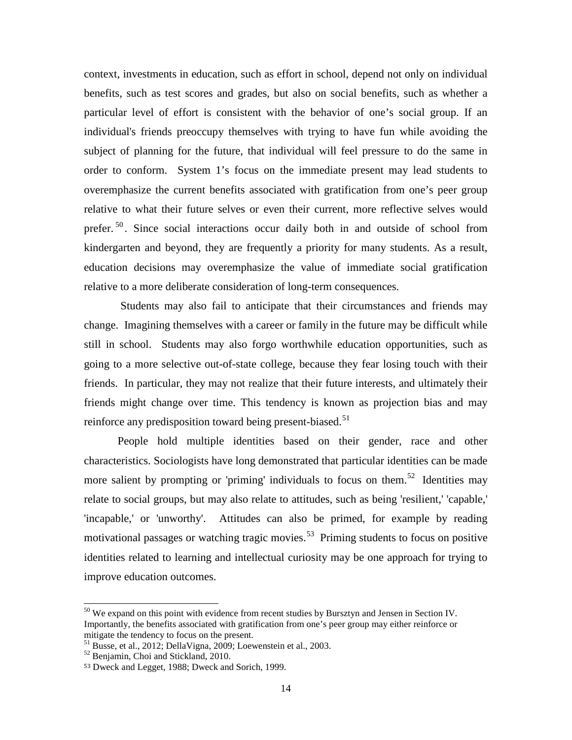context, investments in education, such as effort in school, depend not only on individual benefits, such as test scores and grades, but also on social benefits, such as whether a particular level of effort is consistent with the behavior of one's social group. If an individual's friends preoccupy themselves with trying to have fun while avoiding the subject of planning for the future, that individual will feel pressure to do the same in order to conform. System 1's focus on the immediate present may lead students to overemphasize the current benefits associated with gratification from one's peer group relative to what their future selves or even their current, more reflective selves would prefer.<sup>[50](#page-14-1)</sup>. Since social interactions occur daily both in and outside of school from kindergarten and beyond, they are frequently a priority for many students. As a result, education decisions may overemphasize the value of immediate social gratification relative to a more deliberate consideration of long-term consequences.

Students may also fail to anticipate that their circumstances and friends may change. Imagining themselves with a career or family in the future may be difficult while still in school. Students may also forgo worthwhile education opportunities, such as going to a more selective out-of-state college, because they fear losing touch with their friends. In particular, they may not realize that their future interests, and ultimately their friends might change over time. This tendency is known as projection bias and may reinforce any predisposition toward being present-biased.<sup>51</sup>

People hold multiple identities based on their gender, race and other characteristics. Sociologists have long demonstrated that particular identities can be made more salient by prompting or 'priming' individuals to focus on them.<sup>[52](#page-15-1)</sup> Identities may relate to social groups, but may also relate to attitudes, such as being 'resilient,' 'capable,' 'incapable,' or 'unworthy'. Attitudes can also be primed, for example by reading motivational passages or watching tragic movies.<sup>[53](#page-15-2)</sup> Priming students to focus on positive identities related to learning and intellectual curiosity may be one approach for trying to improve education outcomes.

<span id="page-15-3"></span> $50$  We expand on this point with evidence from recent studies by Bursztyn and Jensen in Section IV. Importantly, the benefits associated with gratification from one's peer group may either reinforce or mitigate the tendency to focus on the present.

<span id="page-15-1"></span><span id="page-15-0"></span><sup>&</sup>lt;sup>51</sup> Busse, et al., 2012; DellaVigna, 2009; Loewenstein et al., 2003.<br><sup>52</sup> Benjamin, Choi and Stickland, 2010.

<span id="page-15-2"></span><sup>53</sup> Dweck and Legget, 1988; Dweck and Sorich, 1999.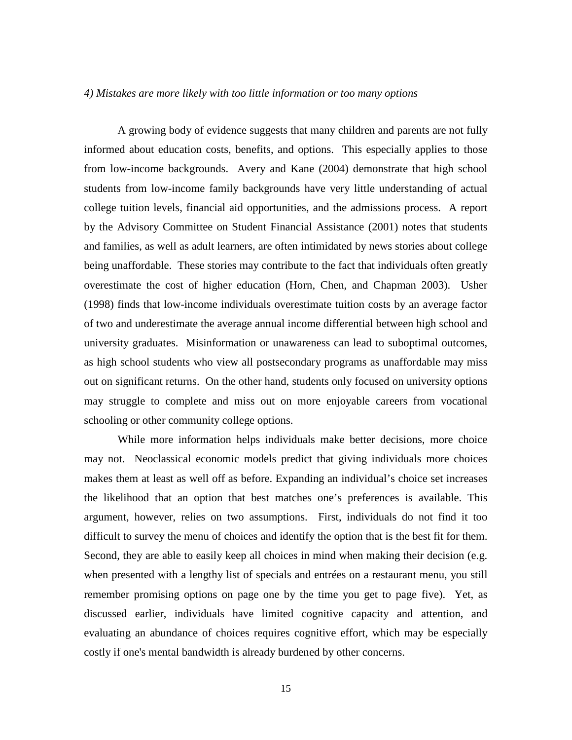#### *4) Mistakes are more likely with too little information or too many options*

A growing body of evidence suggests that many children and parents are not fully informed about education costs, benefits, and options. This especially applies to those from low-income backgrounds. Avery and Kane (2004) demonstrate that high school students from low-income family backgrounds have very little understanding of actual college tuition levels, financial aid opportunities, and the admissions process. A report by the Advisory Committee on Student Financial Assistance (2001) notes that students and families, as well as adult learners, are often intimidated by news stories about college being unaffordable. These stories may contribute to the fact that individuals often greatly overestimate the cost of higher education (Horn, Chen, and Chapman 2003). Usher (1998) finds that low-income individuals overestimate tuition costs by an average factor of two and underestimate the average annual income differential between high school and university graduates. Misinformation or unawareness can lead to suboptimal outcomes, as high school students who view all postsecondary programs as unaffordable may miss out on significant returns. On the other hand, students only focused on university options may struggle to complete and miss out on more enjoyable careers from vocational schooling or other community college options.

While more information helps individuals make better decisions, more choice may not. Neoclassical economic models predict that giving individuals more choices makes them at least as well off as before. Expanding an individual's choice set increases the likelihood that an option that best matches one's preferences is available. This argument, however, relies on two assumptions. First, individuals do not find it too difficult to survey the menu of choices and identify the option that is the best fit for them. Second, they are able to easily keep all choices in mind when making their decision (e.g. when presented with a lengthy list of specials and entrées on a restaurant menu, you still remember promising options on page one by the time you get to page five). Yet, as discussed earlier, individuals have limited cognitive capacity and attention, and evaluating an abundance of choices requires cognitive effort, which may be especially costly if one's mental bandwidth is already burdened by other concerns.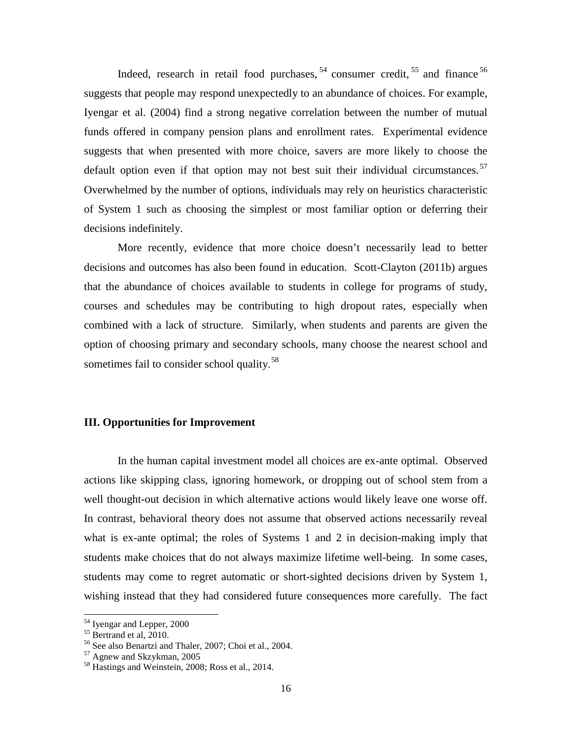Indeed, research in retail food purchases,  $54$  consumer credit,  $55$  and finance  $56$ suggests that people may respond unexpectedly to an abundance of choices. For example, Iyengar et al. (2004) find a strong negative correlation between the number of mutual funds offered in company pension plans and enrollment rates. Experimental evidence suggests that when presented with more choice, savers are more likely to choose the default option even if that option may not best suit their individual circumstances.  $57$ Overwhelmed by the number of options, individuals may rely on heuristics characteristic of System 1 such as choosing the simplest or most familiar option or deferring their decisions indefinitely.

More recently, evidence that more choice doesn't necessarily lead to better decisions and outcomes has also been found in education. Scott-Clayton (2011b) argues that the abundance of choices available to students in college for programs of study, courses and schedules may be contributing to high dropout rates, especially when combined with a lack of structure. Similarly, when students and parents are given the option of choosing primary and secondary schools, many choose the nearest school and sometimes fail to consider school quality.<sup>[58](#page-17-3)</sup>

#### **III. Opportunities for Improvement**

In the human capital investment model all choices are ex-ante optimal. Observed actions like skipping class, ignoring homework, or dropping out of school stem from a well thought-out decision in which alternative actions would likely leave one worse off. In contrast, behavioral theory does not assume that observed actions necessarily reveal what is ex-ante optimal; the roles of Systems 1 and 2 in decision-making imply that students make choices that do not always maximize lifetime well-being. In some cases, students may come to regret automatic or short-sighted decisions driven by System 1, wishing instead that they had considered future consequences more carefully. The fact

<span id="page-17-1"></span>

<span id="page-17-0"></span><sup>&</sup>lt;sup>54</sup> Iyengar and Lepper, 2000<br>
<sup>55</sup> Bertrand et al, 2010.<br>
<sup>56</sup> See also Benartzi and Thaler, 2007; Choi et al., 2004.<br>
<sup>57</sup> Agnew and Skzykman, 2005<br>
<sup>58</sup> Hastings and Weinstein, 2008; Ross et al., 2014.

<span id="page-17-2"></span>

<span id="page-17-3"></span>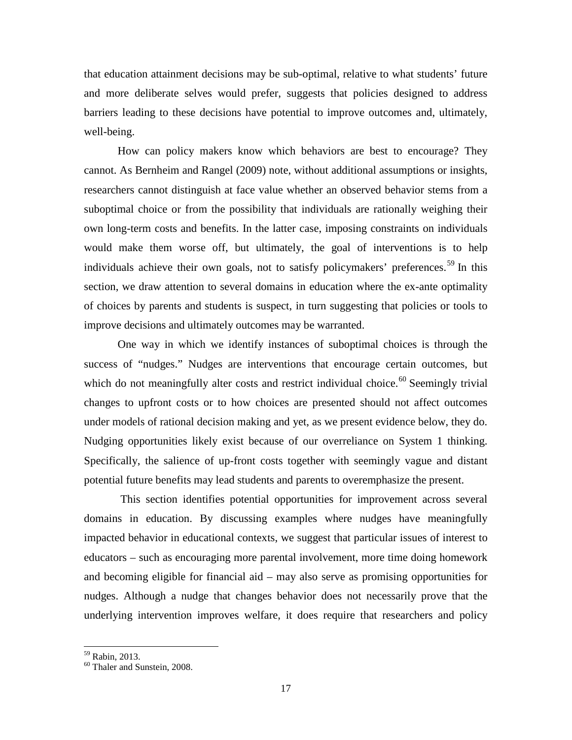that education attainment decisions may be sub-optimal, relative to what students' future and more deliberate selves would prefer, suggests that policies designed to address barriers leading to these decisions have potential to improve outcomes and, ultimately, well-being.

How can policy makers know which behaviors are best to encourage? They cannot. As Bernheim and Rangel (2009) note, without additional assumptions or insights, researchers cannot distinguish at face value whether an observed behavior stems from a suboptimal choice or from the possibility that individuals are rationally weighing their own long-term costs and benefits. In the latter case, imposing constraints on individuals would make them worse off, but ultimately, the goal of interventions is to help individuals achieve their own goals, not to satisfy policymakers' preferences.<sup>[59](#page-17-2)</sup> In this section, we draw attention to several domains in education where the ex-ante optimality of choices by parents and students is suspect, in turn suggesting that policies or tools to improve decisions and ultimately outcomes may be warranted.

One way in which we identify instances of suboptimal choices is through the success of "nudges." Nudges are interventions that encourage certain outcomes, but which do not meaningfully alter costs and restrict individual choice.<sup>[60](#page-18-0)</sup> Seemingly trivial changes to upfront costs or to how choices are presented should not affect outcomes under models of rational decision making and yet, as we present evidence below, they do. Nudging opportunities likely exist because of our overreliance on System 1 thinking. Specifically, the salience of up-front costs together with seemingly vague and distant potential future benefits may lead students and parents to overemphasize the present.

This section identifies potential opportunities for improvement across several domains in education. By discussing examples where nudges have meaningfully impacted behavior in educational contexts, we suggest that particular issues of interest to educators – such as encouraging more parental involvement, more time doing homework and becoming eligible for financial aid – may also serve as promising opportunities for nudges. Although a nudge that changes behavior does not necessarily prove that the underlying intervention improves welfare, it does require that researchers and policy

<span id="page-18-1"></span><span id="page-18-0"></span> $^{59}$  Rabin, 2013.<br><sup>60</sup> Thaler and Sunstein, 2008.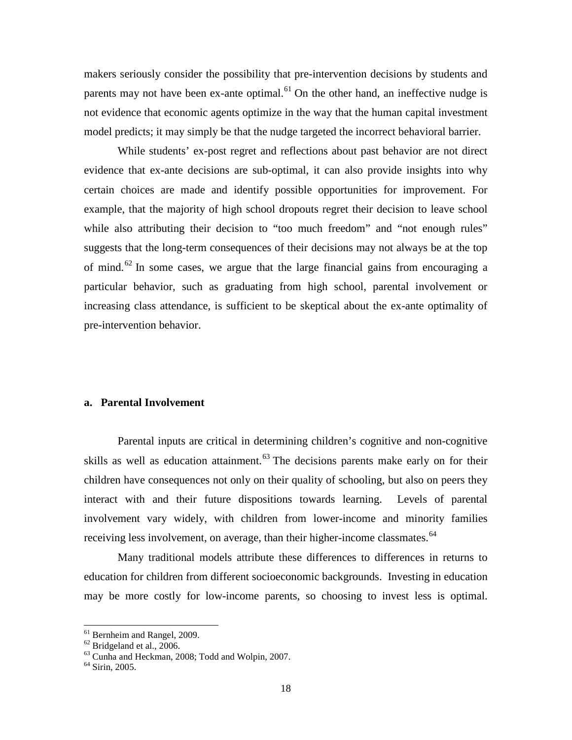makers seriously consider the possibility that pre-intervention decisions by students and parents may not have been ex-ante optimal.<sup>[61](#page-18-1)</sup> On the other hand, an ineffective nudge is not evidence that economic agents optimize in the way that the human capital investment model predicts; it may simply be that the nudge targeted the incorrect behavioral barrier.

While students' ex-post regret and reflections about past behavior are not direct evidence that ex-ante decisions are sub-optimal, it can also provide insights into why certain choices are made and identify possible opportunities for improvement. For example, that the majority of high school dropouts regret their decision to leave school while also attributing their decision to "too much freedom" and "not enough rules" suggests that the long-term consequences of their decisions may not always be at the top of mind.<sup>[62](#page-19-0)</sup> In some cases, we argue that the large financial gains from encouraging a particular behavior, such as graduating from high school, parental involvement or increasing class attendance, is sufficient to be skeptical about the ex-ante optimality of pre-intervention behavior.

#### **a. Parental Involvement**

Parental inputs are critical in determining children's cognitive and non-cognitive skills as well as education attainment.<sup>[63](#page-19-1)</sup> The decisions parents make early on for their children have consequences not only on their quality of schooling, but also on peers they interact with and their future dispositions towards learning. Levels of parental involvement vary widely, with children from lower-income and minority families receiving less involvement, on average, than their higher-income classmates.<sup>[64](#page-19-2)</sup>

Many traditional models attribute these differences to differences in returns to education for children from different socioeconomic backgrounds. Investing in education may be more costly for low-income parents, so choosing to invest less is optimal.

<span id="page-19-1"></span>

<span id="page-19-0"></span><sup>&</sup>lt;sup>61</sup> Bernheim and Rangel, 2009.<br>
<sup>62</sup> Bridgeland et al., 2006.<br>
<sup>63</sup> Cunha and Heckman, 2008; Todd and Wolpin, 2007.<br>
<sup>64</sup> Sirin, 2005.

<span id="page-19-2"></span>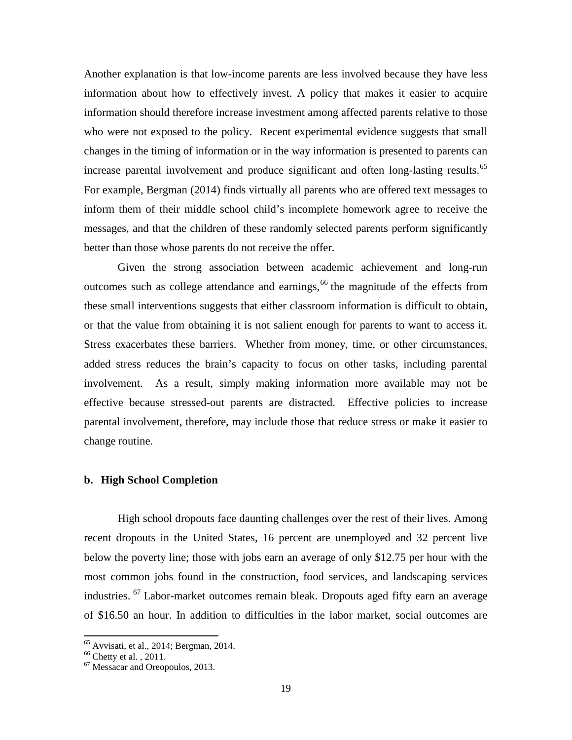Another explanation is that low-income parents are less involved because they have less information about how to effectively invest. A policy that makes it easier to acquire information should therefore increase investment among affected parents relative to those who were not exposed to the policy. Recent experimental evidence suggests that small changes in the timing of information or in the way information is presented to parents can increase parental involvement and produce significant and often long-lasting results. [65](#page-19-0) For example, Bergman (2014) finds virtually all parents who are offered text messages to inform them of their middle school child's incomplete homework agree to receive the messages, and that the children of these randomly selected parents perform significantly better than those whose parents do not receive the offer.

Given the strong association between academic achievement and long-run outcomes such as college attendance and earnings, <sup>[66](#page-20-0)</sup> the magnitude of the effects from these small interventions suggests that either classroom information is difficult to obtain, or that the value from obtaining it is not salient enough for parents to want to access it. Stress exacerbates these barriers. Whether from money, time, or other circumstances, added stress reduces the brain's capacity to focus on other tasks, including parental involvement. As a result, simply making information more available may not be effective because stressed-out parents are distracted. Effective policies to increase parental involvement, therefore, may include those that reduce stress or make it easier to change routine.

#### **b. High School Completion**

High school dropouts face daunting challenges over the rest of their lives. Among recent dropouts in the United States, 16 percent are unemployed and 32 percent live below the poverty line; those with jobs earn an average of only \$12.75 per hour with the most common jobs found in the construction, food services, and landscaping services industries. [67](#page-20-1) Labor-market outcomes remain bleak. Dropouts aged fifty earn an average of \$16.50 an hour. In addition to difficulties in the labor market, social outcomes are

<span id="page-20-2"></span><span id="page-20-0"></span><sup>&</sup>lt;sup>65</sup> Avvisati, et al., 2014; Bergman, 2014.<br><sup>66</sup> Chetty et al., 2011.<br><sup>67</sup> Messacar and Oreopoulos, 2013.

<span id="page-20-1"></span>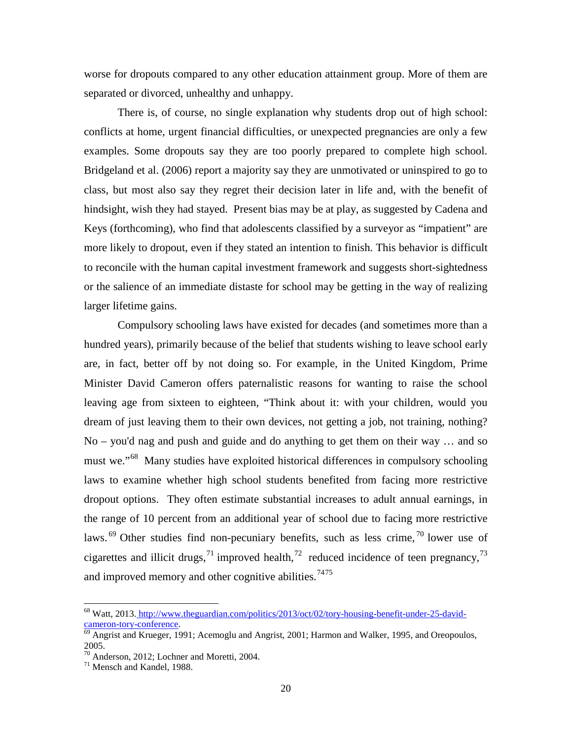worse for dropouts compared to any other education attainment group. More of them are separated or divorced, unhealthy and unhappy.

There is, of course, no single explanation why students drop out of high school: conflicts at home, urgent financial difficulties, or unexpected pregnancies are only a few examples. Some dropouts say they are too poorly prepared to complete high school. Bridgeland et al. (2006) report a majority say they are unmotivated or uninspired to go to class, but most also say they regret their decision later in life and, with the benefit of hindsight, wish they had stayed. Present bias may be at play, as suggested by Cadena and Keys (forthcoming), who find that adolescents classified by a surveyor as "impatient" are more likely to dropout, even if they stated an intention to finish. This behavior is difficult to reconcile with the human capital investment framework and suggests short-sightedness or the salience of an immediate distaste for school may be getting in the way of realizing larger lifetime gains.

<span id="page-21-6"></span><span id="page-21-5"></span><span id="page-21-4"></span><span id="page-21-3"></span>Compulsory schooling laws have existed for decades (and sometimes more than a hundred years), primarily because of the belief that students wishing to leave school early are, in fact, better off by not doing so. For example, in the United Kingdom, Prime Minister David Cameron offers paternalistic reasons for wanting to raise the school leaving age from sixteen to eighteen, "Think about it: with your children, would you dream of just leaving them to their own devices, not getting a job, not training, nothing? No – you'd nag and push and guide and do anything to get them on their way … and so must we."[68](#page-20-2) Many studies have exploited historical differences in compulsory schooling laws to examine whether high school students benefited from facing more restrictive dropout options. They often estimate substantial increases to adult annual earnings, in the range of 10 percent from an additional year of school due to facing more restrictive laws.<sup>[69](#page-21-0)</sup> Other studies find non-pecuniary benefits, such as less crime, <sup>[70](#page-21-1)</sup> lower use of cigarettes and illicit drugs,<sup>[71](#page-21-2)</sup> improved health,<sup>[72](#page-21-3)</sup> reduced incidence of teen pregnancy,<sup>[73](#page-21-4)</sup> and improved memory and other cognitive abilities.<sup>[74](#page-21-5)[75](#page-21-6)</sup>

<sup>&</sup>lt;sup>68</sup> Watt, 2013. http://www.theguardian.com/politics/2013/oct/02/tory-housing-benefit-under-25-david-<br>cameron-tory-conference.

<span id="page-21-0"></span><sup>&</sup>lt;sup>69</sup> Angrist and Krueger, 1991; Acemoglu and Angrist, 2001; Harmon and Walker, 1995, and Oreopoulos, 2005.

<span id="page-21-2"></span><span id="page-21-1"></span> $^{70}$  Anderson, 2012; Lochner and Moretti, 2004.<br> $^{71}$  Mensch and Kandel, 1988.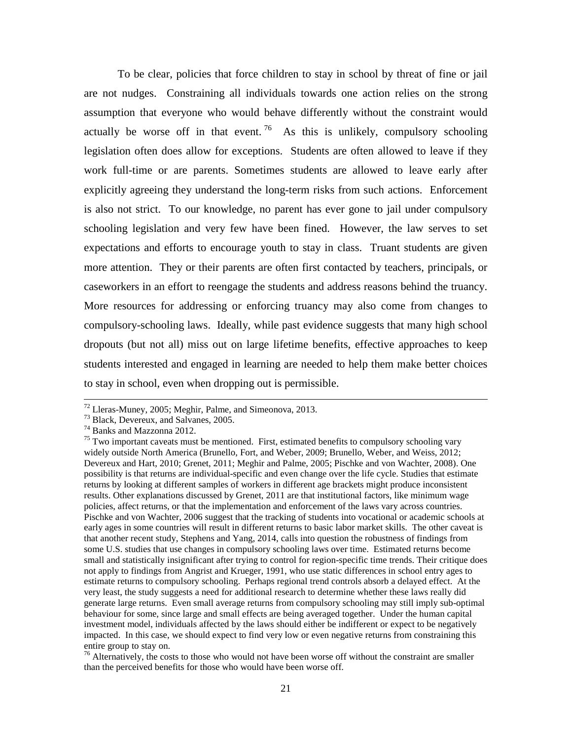To be clear, policies that force children to stay in school by threat of fine or jail are not nudges. Constraining all individuals towards one action relies on the strong assumption that everyone who would behave differently without the constraint would actually be worse off in that event. <sup>[76](#page-21-1)</sup> As this is unlikely, compulsory schooling legislation often does allow for exceptions. Students are often allowed to leave if they work full-time or are parents. Sometimes students are allowed to leave early after explicitly agreeing they understand the long-term risks from such actions. Enforcement is also not strict. To our knowledge, no parent has ever gone to jail under compulsory schooling legislation and very few have been fined. However, the law serves to set expectations and efforts to encourage youth to stay in class. Truant students are given more attention. They or their parents are often first contacted by teachers, principals, or caseworkers in an effort to reengage the students and address reasons behind the truancy. More resources for addressing or enforcing truancy may also come from changes to compulsory-schooling laws. Ideally, while past evidence suggests that many high school dropouts (but not all) miss out on large lifetime benefits, effective approaches to keep students interested and engaged in learning are needed to help them make better choices to stay in school, even when dropping out is permissible.

<sup>&</sup>lt;sup>72</sup> Lleras-Muney, 2005; Meghir, Palme, and Simeonova, 2013.<br><sup>73</sup> Black, Devereux, and Salvanes, 2005.<br><sup>74</sup> Banks and Mazzonna 2012.<br><sup>75</sup> Two important caveats must be mentioned. First, estimated benefits to compulsory sc widely outside North America (Brunello, Fort, and Weber, 2009; Brunello, Weber, and Weiss, 2012; Devereux and Hart, 2010; Grenet, 2011; Meghir and Palme, 2005; Pischke and von Wachter, 2008). One possibility is that returns are individual-specific and even change over the life cycle. Studies that estimate returns by looking at different samples of workers in different age brackets might produce inconsistent results. Other explanations discussed by Grenet, 2011 are that institutional factors, like minimum wage policies, affect returns, or that the implementation and enforcement of the laws vary across countries. Pischke and von Wachter, 2006 suggest that the tracking of students into vocational or academic schools at early ages in some countries will result in different returns to basic labor market skills. The other caveat is that another recent study, Stephens and Yang, 2014, calls into question the robustness of findings from some U.S. studies that use changes in compulsory schooling laws over time. Estimated returns become small and statistically insignificant after trying to control for region-specific time trends. Their critique does not apply to findings from Angrist and Krueger, 1991, who use static differences in school entry ages to estimate returns to compulsory schooling. Perhaps regional trend controls absorb a delayed effect. At the very least, the study suggests a need for additional research to determine whether these laws really did generate large returns. Even small average returns from compulsory schooling may still imply sub-optimal behaviour for some, since large and small effects are being averaged together. Under the human capital investment model, individuals affected by the laws should either be indifferent or expect to be negatively impacted. In this case, we should expect to find very low or even negative returns from constraining this

<span id="page-22-0"></span>entire group to stay on.<br><sup>76</sup> Alternatively, the costs to those who would not have been worse off without the constraint are smaller than the perceived benefits for those who would have been worse off.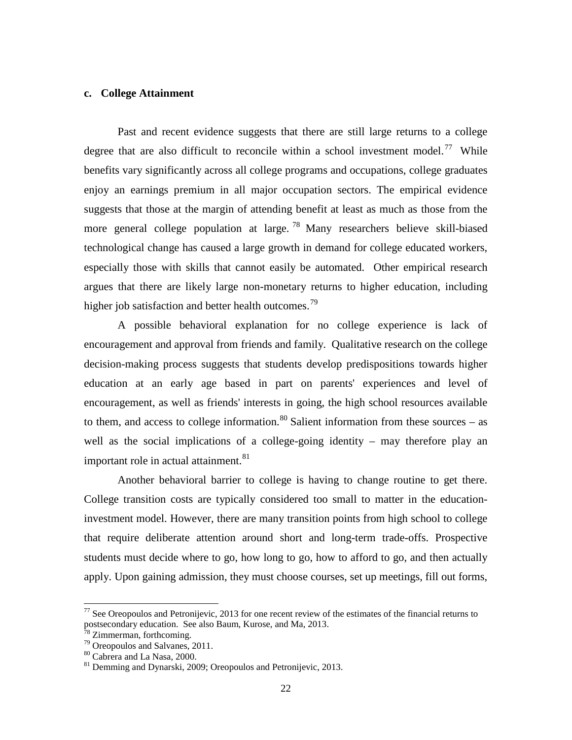#### **c. College Attainment**

Past and recent evidence suggests that there are still large returns to a college degree that are also difficult to reconcile within a school investment model.<sup>[77](#page-22-0)</sup> While benefits vary significantly across all college programs and occupations, college graduates enjoy an earnings premium in all major occupation sectors. The empirical evidence suggests that those at the margin of attending benefit at least as much as those from the more general college population at large.<sup>[78](#page-23-0)</sup> Many researchers believe skill-biased technological change has caused a large growth in demand for college educated workers, especially those with skills that cannot easily be automated. Other empirical research argues that there are likely large non-monetary returns to higher education, including higher job satisfaction and better health outcomes.<sup>[79](#page-23-1)</sup>

A possible behavioral explanation for no college experience is lack of encouragement and approval from friends and family. Qualitative research on the college decision-making process suggests that students develop predispositions towards higher education at an early age based in part on parents' experiences and level of encouragement, as well as friends' interests in going, the high school resources available to them, and access to college information.<sup>[80](#page-23-2)</sup> Salient information from these sources – as well as the social implications of a college-going identity – may therefore play an important role in actual attainment.<sup>[81](#page-23-3)</sup>

Another behavioral barrier to college is having to change routine to get there. College transition costs are typically considered too small to matter in the educationinvestment model. However, there are many transition points from high school to college that require deliberate attention around short and long-term trade-offs. Prospective students must decide where to go, how long to go, how to afford to go, and then actually apply. Upon gaining admission, they must choose courses, set up meetings, fill out forms,

<span id="page-23-4"></span> $77$  See Oreopoulos and Petronijevic, 2013 for one recent review of the estimates of the financial returns to postsecondary education. See also Baum, Kurose, and Ma, 2013.

<span id="page-23-3"></span><span id="page-23-2"></span>

<span id="page-23-1"></span><span id="page-23-0"></span><sup>&</sup>lt;sup>78</sup> Zimmerman, forthcoming.<br><sup>79</sup> Oreopoulos and Salvanes, 2011.<br><sup>80</sup> Cabrera and La Nasa, 2000. 81<br><sup>81</sup> Demming and Dynarski, 2009; Oreopoulos and Petronijevic, 2013.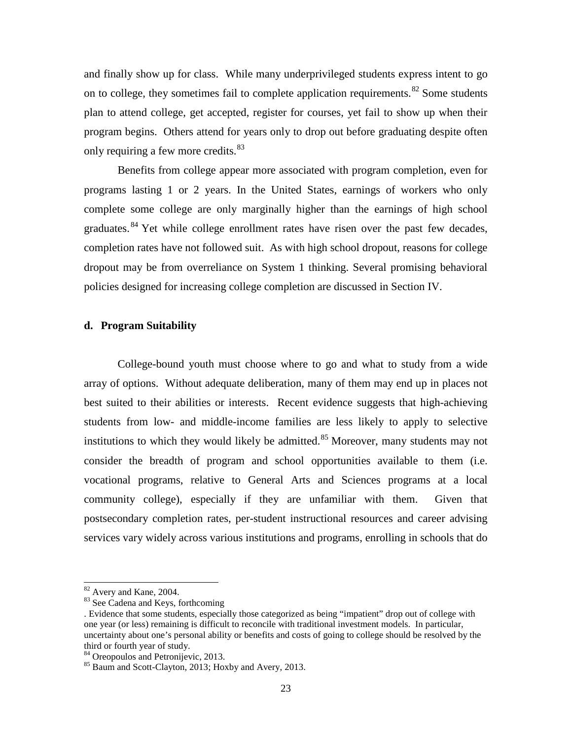and finally show up for class. While many underprivileged students express intent to go on to college, they sometimes fail to complete application requirements.<sup>[82](#page-23-4)</sup> Some students plan to attend college, get accepted, register for courses, yet fail to show up when their program begins. Others attend for years only to drop out before graduating despite often only requiring a few more credits.<sup>[83](#page-24-0)</sup>

Benefits from college appear more associated with program completion, even for programs lasting 1 or 2 years. In the United States, earnings of workers who only complete some college are only marginally higher than the earnings of high school graduates. [84](#page-24-1) Yet while college enrollment rates have risen over the past few decades, completion rates have not followed suit. As with high school dropout, reasons for college dropout may be from overreliance on System 1 thinking. Several promising behavioral policies designed for increasing college completion are discussed in Section IV.

#### **d. Program Suitability**

College-bound youth must choose where to go and what to study from a wide array of options. Without adequate deliberation, many of them may end up in places not best suited to their abilities or interests. Recent evidence suggests that high-achieving students from low- and middle-income families are less likely to apply to selective institutions to which they would likely be admitted.<sup>[85](#page-24-2)</sup> Moreover, many students may not consider the breadth of program and school opportunities available to them (i.e. vocational programs, relative to General Arts and Sciences programs at a local community college), especially if they are unfamiliar with them. Given that postsecondary completion rates, per-student instructional resources and career advising services vary widely across various institutions and programs, enrolling in schools that do

<span id="page-24-3"></span> $82$  Avery and Kane, 2004.<br> $83$  See Cadena and Keys, forthcoming

<span id="page-24-0"></span><sup>.</sup> Evidence that some students, especially those categorized as being "impatient" drop out of college with one year (or less) remaining is difficult to reconcile with traditional investment models. In particular, uncertainty about one's personal ability or benefits and costs of going to college should be resolved by the third or fourth year of study.<br><sup>84</sup> Oreopoulos and Petronijevic, 2013.

<span id="page-24-1"></span>

<span id="page-24-2"></span><sup>&</sup>lt;sup>85</sup> Baum and Scott-Clayton, 2013; Hoxby and Avery, 2013.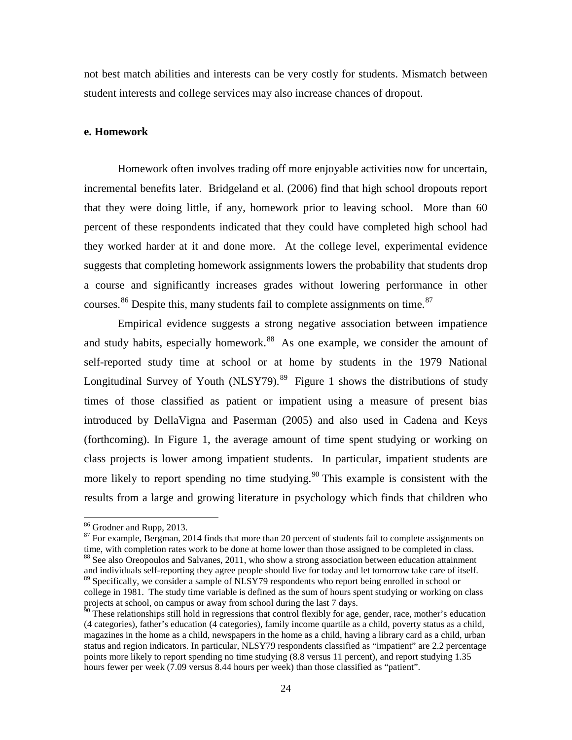not best match abilities and interests can be very costly for students. Mismatch between student interests and college services may also increase chances of dropout.

#### **e. Homework**

Homework often involves trading off more enjoyable activities now for uncertain, incremental benefits later. Bridgeland et al. (2006) find that high school dropouts report that they were doing little, if any, homework prior to leaving school. More than 60 percent of these respondents indicated that they could have completed high school had they worked harder at it and done more. At the college level, experimental evidence suggests that completing homework assignments lowers the probability that students drop a course and significantly increases grades without lowering performance in other courses.<sup>[86](#page-24-3)</sup> Despite this, many students fail to complete assignments on time.<sup>87</sup>

Empirical evidence suggests a strong negative association between impatience and study habits, especially homework.<sup>88</sup> As one example, we consider the amount of self-reported study time at school or at home by students in the 1979 National Longitudinal Survey of Youth (NLSY79).<sup>[89](#page-25-2)</sup> Figure 1 shows the distributions of study times of those classified as patient or impatient using a measure of present bias introduced by DellaVigna and Paserman (2005) and also used in Cadena and Keys (forthcoming). In Figure 1, the average amount of time spent studying or working on class projects is lower among impatient students. In particular, impatient students are more likely to report spending no time studying. <sup>[90](#page-25-3)</sup> This example is consistent with the results from a large and growing literature in psychology which finds that children who

<span id="page-25-0"></span><sup>&</sup>lt;sup>86</sup> Grodner and Rupp, 2013.<br><sup>87</sup> For example, Bergman, 2014 finds that more than 20 percent of students fail to complete assignments on time, with completion rates work to be done at home lower than those assigned to be completed in class.

<span id="page-25-2"></span><span id="page-25-1"></span><sup>&</sup>lt;sup>88</sup> See also Oreopoulos and Salvanes, 2011, who show a strong association between education attainment and individuals self-reporting they agree people should live for today and let tomorrow take care of itself. <sup>89</sup> Specifically, we consider a sample of NLSY79 respondents who report being enrolled in school or college in 1981. The study time variable is defined as the sum of hours spent studying or working on class projects at school, on campus or away from school during the last 7 days.

<span id="page-25-3"></span> $^{\circ}$  These relationships still hold in regressions that control flexibly for age, gender, race, mother's education (4 categories), father's education (4 categories), family income quartile as a child, poverty status as a child, magazines in the home as a child, newspapers in the home as a child, having a library card as a child, urban status and region indicators. In particular, NLSY79 respondents classified as "impatient" are 2.2 percentage points more likely to report spending no time studying (8.8 versus 11 percent), and report studying 1.35 hours fewer per week (7.09 versus 8.44 hours per week) than those classified as "patient".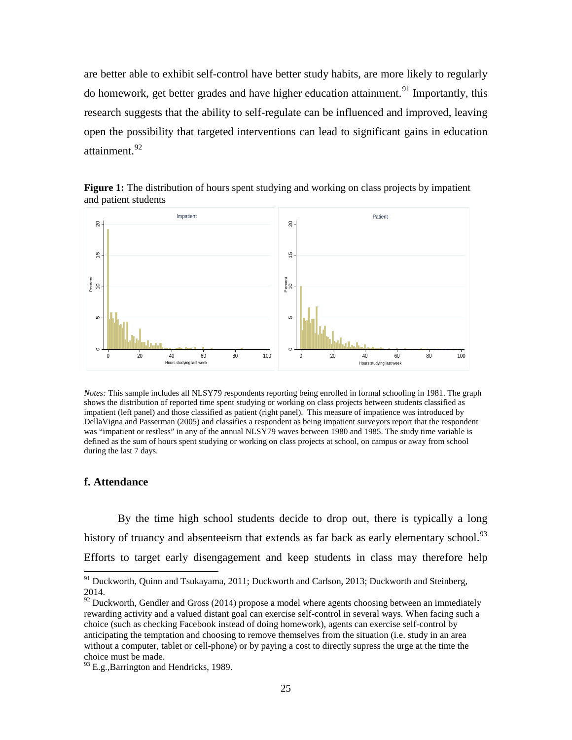are better able to exhibit self-control have better study habits, are more likely to regularly do homework, get better grades and have higher education attainment.<sup>[91](#page-25-2)</sup> Importantly, this research suggests that the ability to self-regulate can be influenced and improved, leaving open the possibility that targeted interventions can lead to significant gains in education attainment.[92](#page-26-0)



**Figure 1:** The distribution of hours spent studying and working on class projects by impatient and patient students

*Notes:* This sample includes all NLSY79 respondents reporting being enrolled in formal schooling in 1981. The graph shows the distribution of reported time spent studying or working on class projects between students classified as impatient (left panel) and those classified as patient (right panel). This measure of impatience was introduced by DellaVigna and Passerman (2005) and classifies a respondent as being impatient surveyors report that the respondent was "impatient or restless" in any of the annual NLSY79 waves between 1980 and 1985. The study time variable is defined as the sum of hours spent studying or working on class projects at school, on campus or away from school during the last 7 days.

#### **f. Attendance**

By the time high school students decide to drop out, there is typically a long history of truancy and absenteeism that extends as far back as early elementary school.<sup>[93](#page-26-1)</sup> Efforts to target early disengagement and keep students in class may therefore help

<sup>&</sup>lt;sup>91</sup> Duckworth, Quinn and Tsukayama, 2011; Duckworth and Carlson, 2013; Duckworth and Steinberg, 2014.

<span id="page-26-0"></span> $92$  Duckworth, Gendler and Gross (2014) propose a model where agents choosing between an immediately rewarding activity and a valued distant goal can exercise self-control in several ways. When facing such a choice (such as checking Facebook instead of doing homework), agents can exercise self-control by anticipating the temptation and choosing to remove themselves from the situation (i.e. study in an area without a computer, tablet or cell-phone) or by paying a cost to directly supress the urge at the time the choice must be made.

<span id="page-26-2"></span><span id="page-26-1"></span> $93$  E.g., Barrington and Hendricks, 1989.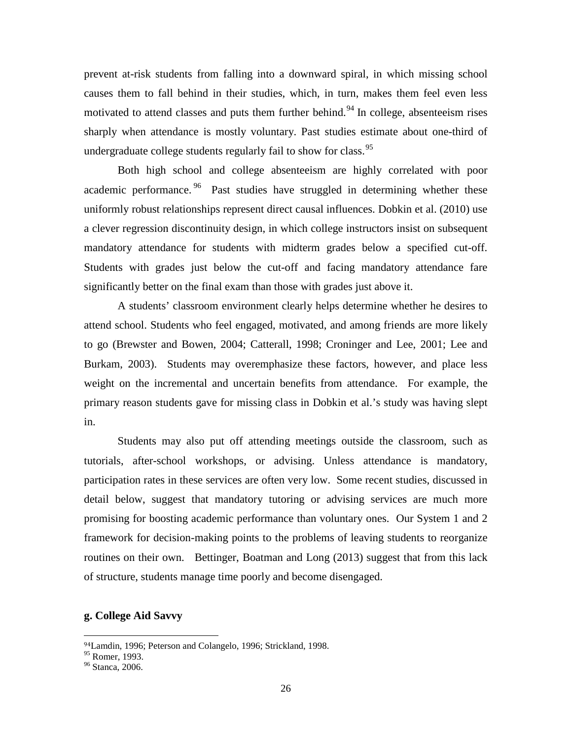prevent at-risk students from falling into a downward spiral, in which missing school causes them to fall behind in their studies, which, in turn, makes them feel even less motivated to attend classes and puts them further behind.<sup>[94](#page-26-2)</sup> In college, absenteeism rises sharply when attendance is mostly voluntary. Past studies estimate about one-third of undergraduate college students regularly fail to show for class.<sup>[95](#page-27-0)</sup>

Both high school and college absenteeism are highly correlated with poor academic performance.  $96$  Past studies have struggled in determining whether these uniformly robust relationships represent direct causal influences. Dobkin et al. (2010) use a clever regression discontinuity design, in which college instructors insist on subsequent mandatory attendance for students with midterm grades below a specified cut-off. Students with grades just below the cut-off and facing mandatory attendance fare significantly better on the final exam than those with grades just above it.

A students' classroom environment clearly helps determine whether he desires to attend school. Students who feel engaged, motivated, and among friends are more likely to go (Brewster and Bowen, 2004; Catterall, 1998; Croninger and Lee, 2001; Lee and Burkam, 2003). Students may overemphasize these factors, however, and place less weight on the incremental and uncertain benefits from attendance. For example, the primary reason students gave for missing class in Dobkin et al.'s study was having slept in.

Students may also put off attending meetings outside the classroom, such as tutorials, after-school workshops, or advising. Unless attendance is mandatory, participation rates in these services are often very low. Some recent studies, discussed in detail below, suggest that mandatory tutoring or advising services are much more promising for boosting academic performance than voluntary ones. Our System 1 and 2 framework for decision-making points to the problems of leaving students to reorganize routines on their own. Bettinger, Boatman and Long (2013) suggest that from this lack of structure, students manage time poorly and become disengaged.

#### **g. College Aid Savvy**

<span id="page-27-2"></span><span id="page-27-0"></span><sup>&</sup>lt;sup>94</sup>Lamdin, 1996; Peterson and Colangelo, 1996; Strickland, 1998.<br><sup>95</sup> Romer. 1993.

<span id="page-27-1"></span><sup>&</sup>lt;sup>96</sup> Stanca, 2006.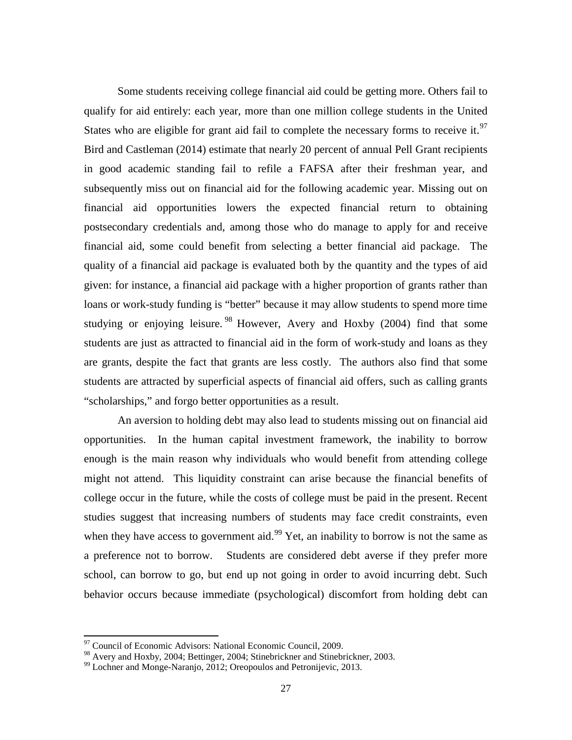Some students receiving college financial aid could be getting more. Others fail to qualify for aid entirely: each year, more than one million college students in the United States who are eligible for grant aid fail to complete the necessary forms to receive it.<sup>[97](#page-27-2)</sup> Bird and Castleman (2014) estimate that nearly 20 percent of annual Pell Grant recipients in good academic standing fail to refile a FAFSA after their freshman year, and subsequently miss out on financial aid for the following academic year. Missing out on financial aid opportunities lowers the expected financial return to obtaining postsecondary credentials and, among those who do manage to apply for and receive financial aid, some could benefit from selecting a better financial aid package. The quality of a financial aid package is evaluated both by the quantity and the types of aid given: for instance, a financial aid package with a higher proportion of grants rather than loans or work-study funding is "better" because it may allow students to spend more time studying or enjoying leisure.<sup>[98](#page-28-0)</sup> However, Avery and Hoxby (2004) find that some students are just as attracted to financial aid in the form of work-study and loans as they are grants, despite the fact that grants are less costly. The authors also find that some students are attracted by superficial aspects of financial aid offers, such as calling grants "scholarships," and forgo better opportunities as a result.

An aversion to holding debt may also lead to students missing out on financial aid opportunities. In the human capital investment framework, the inability to borrow enough is the main reason why individuals who would benefit from attending college might not attend. This liquidity constraint can arise because the financial benefits of college occur in the future, while the costs of college must be paid in the present. Recent studies suggest that increasing numbers of students may face credit constraints, even when they have access to government aid.<sup>[99](#page-28-1)</sup> Yet, an inability to borrow is not the same as a preference not to borrow. Students are considered debt averse if they prefer more school, can borrow to go, but end up not going in order to avoid incurring debt. Such behavior occurs because immediate (psychological) discomfort from holding debt can

<span id="page-28-2"></span><sup>&</sup>lt;sup>97</sup> Council of Economic Advisors: National Economic Council, 2009.

<span id="page-28-0"></span><sup>&</sup>lt;sup>98</sup> Avery and Hoxby, 2004; Bettinger, 2004; Stinebrickner and Stinebrickner, 2003.<br><sup>99</sup> Lochner and Monge-Naranjo, 2012; Oreopoulos and Petronijevic, 2013.

<span id="page-28-1"></span>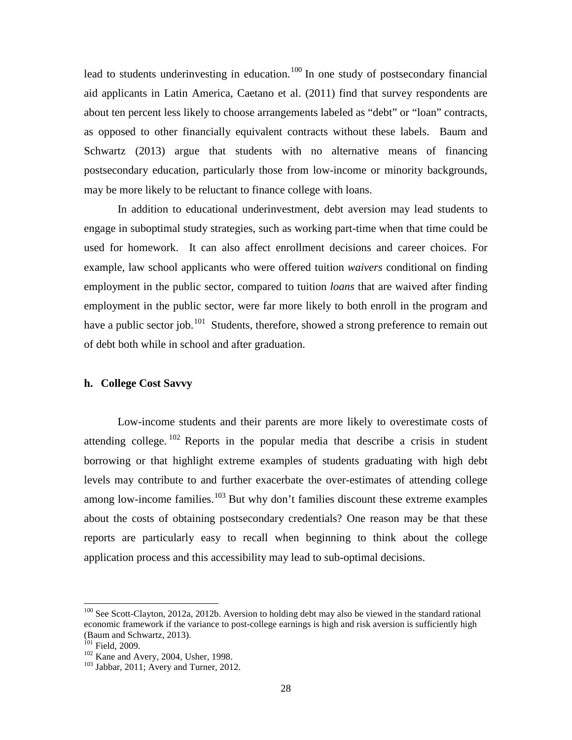lead to students underinvesting in education.<sup>[100](#page-28-2)</sup> In one study of postsecondary financial aid applicants in Latin America, Caetano et al. (2011) find that survey respondents are about ten percent less likely to choose arrangements labeled as "debt" or "loan" contracts, as opposed to other financially equivalent contracts without these labels. Baum and Schwartz (2013) argue that students with no alternative means of financing postsecondary education, particularly those from low-income or minority backgrounds, may be more likely to be reluctant to finance college with loans.

 In addition to educational underinvestment, debt aversion may lead students to engage in suboptimal study strategies, such as working part-time when that time could be used for homework. It can also affect enrollment decisions and career choices. For example, law school applicants who were offered tuition *waivers* conditional on finding employment in the public sector, compared to tuition *loans* that are waived after finding employment in the public sector, were far more likely to both enroll in the program and have a public sector job.<sup>[101](#page-29-0)</sup> Students, therefore, showed a strong preference to remain out of debt both while in school and after graduation.

#### **h. College Cost Savvy**

Low-income students and their parents are more likely to overestimate costs of attending college. <sup>[102](#page-29-1)</sup> Reports in the popular media that describe a crisis in student borrowing or that highlight extreme examples of students graduating with high debt levels may contribute to and further exacerbate the over-estimates of attending college among low-income families.<sup>[103](#page-29-2)</sup> But why don't families discount these extreme examples about the costs of obtaining postsecondary credentials? One reason may be that these reports are particularly easy to recall when beginning to think about the college application process and this accessibility may lead to sub-optimal decisions.

<sup>&</sup>lt;sup>100</sup> See Scott-Clayton, 2012a, 2012b. Aversion to holding debt may also be viewed in the standard rational economic framework if the variance to post-college earnings is high and risk aversion is sufficiently high

<span id="page-29-1"></span><span id="page-29-0"></span> $\frac{101}{102}$  Kane and Avery, 2004, Usher, 1998.<br> $\frac{103}{103}$  Jabbar, 2011; Avery and Turner, 2012.

<span id="page-29-2"></span>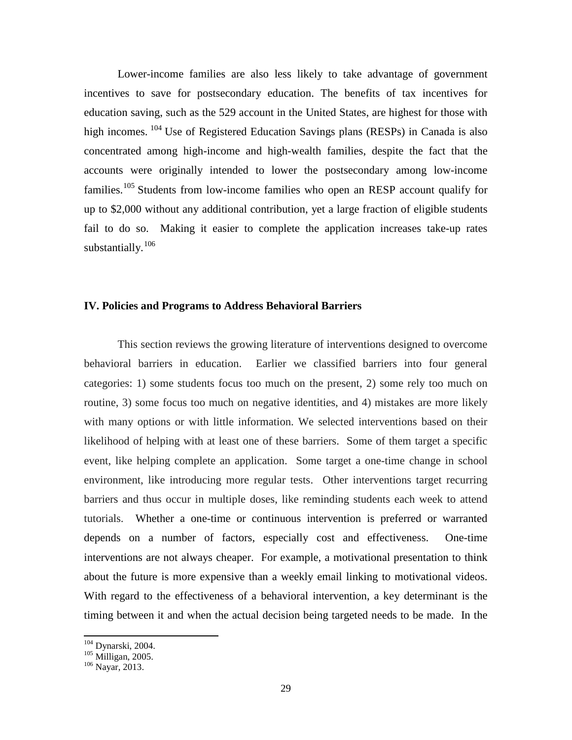Lower-income families are also less likely to take advantage of government incentives to save for postsecondary education. The benefits of tax incentives for education saving, such as the 529 account in the United States, are highest for those with high incomes. <sup>[104](#page-29-0)</sup> Use of Registered Education Savings plans (RESPs) in Canada is also concentrated among high-income and high-wealth families, despite the fact that the accounts were originally intended to lower the postsecondary among low-income families.<sup>[105](#page-30-0)</sup> Students from low-income families who open an RESP account qualify for up to \$2,000 without any additional contribution, yet a large fraction of eligible students fail to do so. Making it easier to complete the application increases take-up rates substantially.<sup>[106](#page-30-1)</sup>

#### **IV. Policies and Programs to Address Behavioral Barriers**

This section reviews the growing literature of interventions designed to overcome behavioral barriers in education. Earlier we classified barriers into four general categories: 1) some students focus too much on the present, 2) some rely too much on routine, 3) some focus too much on negative identities, and 4) mistakes are more likely with many options or with little information. We selected interventions based on their likelihood of helping with at least one of these barriers. Some of them target a specific event, like helping complete an application. Some target a one-time change in school environment, like introducing more regular tests. Other interventions target recurring barriers and thus occur in multiple doses, like reminding students each week to attend tutorials. Whether a one-time or continuous intervention is preferred or warranted depends on a number of factors, especially cost and effectiveness. One-time interventions are not always cheaper. For example, a motivational presentation to think about the future is more expensive than a weekly email linking to motivational videos. With regard to the effectiveness of a behavioral intervention, a key determinant is the timing between it and when the actual decision being targeted needs to be made. In the

<span id="page-30-0"></span><sup>&</sup>lt;sup>104</sup> Dynarski, 2004.<br><sup>105</sup> Milligan, 2005.<br><sup>106</sup> Nayar, 2013.

<span id="page-30-1"></span>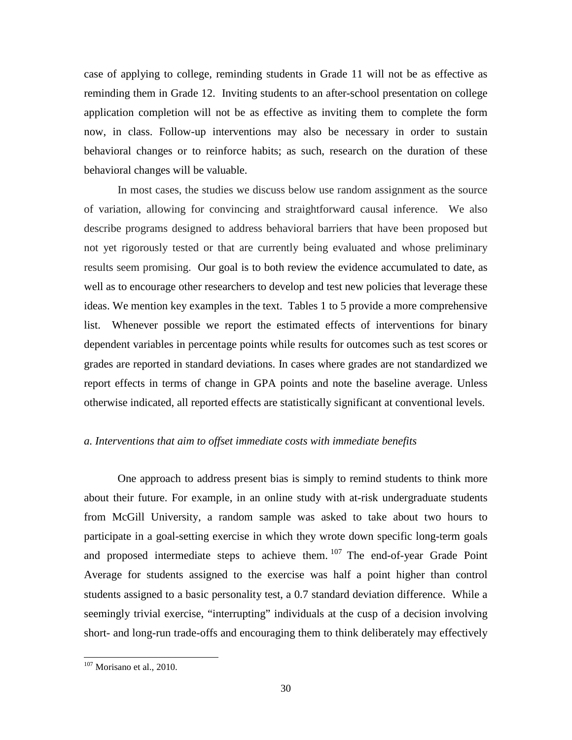case of applying to college, reminding students in Grade 11 will not be as effective as reminding them in Grade 12. Inviting students to an after-school presentation on college application completion will not be as effective as inviting them to complete the form now, in class. Follow-up interventions may also be necessary in order to sustain behavioral changes or to reinforce habits; as such, research on the duration of these behavioral changes will be valuable.

In most cases, the studies we discuss below use random assignment as the source of variation, allowing for convincing and straightforward causal inference. We also describe programs designed to address behavioral barriers that have been proposed but not yet rigorously tested or that are currently being evaluated and whose preliminary results seem promising. Our goal is to both review the evidence accumulated to date, as well as to encourage other researchers to develop and test new policies that leverage these ideas. We mention key examples in the text. Tables 1 to 5 provide a more comprehensive list. Whenever possible we report the estimated effects of interventions for binary dependent variables in percentage points while results for outcomes such as test scores or grades are reported in standard deviations. In cases where grades are not standardized we report effects in terms of change in GPA points and note the baseline average. Unless otherwise indicated, all reported effects are statistically significant at conventional levels.

#### *a. Interventions that aim to offset immediate costs with immediate benefits*

One approach to address present bias is simply to remind students to think more about their future. For example, in an online study with at-risk undergraduate students from McGill University, a random sample was asked to take about two hours to participate in a goal-setting exercise in which they wrote down specific long-term goals and proposed intermediate steps to achieve them.  $107$  The end-of-year Grade Point Average for students assigned to the exercise was half a point higher than control students assigned to a basic personality test, a 0.7 standard deviation difference. While a seemingly trivial exercise, "interrupting" individuals at the cusp of a decision involving short- and long-run trade-offs and encouraging them to think deliberately may effectively

<span id="page-31-0"></span><sup>&</sup>lt;sup>107</sup> Morisano et al., 2010.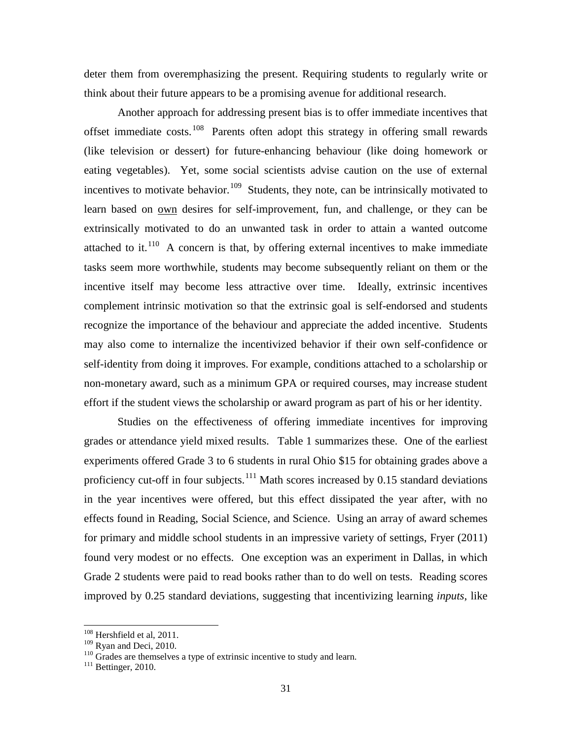deter them from overemphasizing the present. Requiring students to regularly write or think about their future appears to be a promising avenue for additional research.

Another approach for addressing present bias is to offer immediate incentives that offset immediate costs.<sup>[108](#page-31-0)</sup> Parents often adopt this strategy in offering small rewards (like television or dessert) for future-enhancing behaviour (like doing homework or eating vegetables). Yet, some social scientists advise caution on the use of external incentives to motivate behavior.<sup>109</sup> Students, they note, can be intrinsically motivated to learn based on <u>own</u> desires for self-improvement, fun, and challenge, or they can be extrinsically motivated to do an unwanted task in order to attain a wanted outcome attached to it.<sup>110</sup> A concern is that, by offering external incentives to make immediate tasks seem more worthwhile, students may become subsequently reliant on them or the incentive itself may become less attractive over time. Ideally, extrinsic incentives complement intrinsic motivation so that the extrinsic goal is self-endorsed and students recognize the importance of the behaviour and appreciate the added incentive. Students may also come to internalize the incentivized behavior if their own self-confidence or self-identity from doing it improves. For example, conditions attached to a scholarship or non-monetary award, such as a minimum GPA or required courses, may increase student effort if the student views the scholarship or award program as part of his or her identity.

Studies on the effectiveness of offering immediate incentives for improving grades or attendance yield mixed results. Table 1 summarizes these. One of the earliest experiments offered Grade 3 to 6 students in rural Ohio \$15 for obtaining grades above a proficiency cut-off in four subjects.<sup>[111](#page-32-2)</sup> Math scores increased by 0.15 standard deviations in the year incentives were offered, but this effect dissipated the year after, with no effects found in Reading, Social Science, and Science. Using an array of award schemes for primary and middle school students in an impressive variety of settings, Fryer (2011) found very modest or no effects. One exception was an experiment in Dallas, in which Grade 2 students were paid to read books rather than to do well on tests. Reading scores improved by 0.25 standard deviations, suggesting that incentivizing learning *inputs*, like

 $^{108}$  Hershfield et al, 2011.<br> $^{109}$  Ryan and Deci, 2010.

<span id="page-32-2"></span><span id="page-32-1"></span><span id="page-32-0"></span><sup>&</sup>lt;sup>110</sup> Grades are themselves a type of extrinsic incentive to study and learn.<br><sup>111</sup> Bettinger, 2010.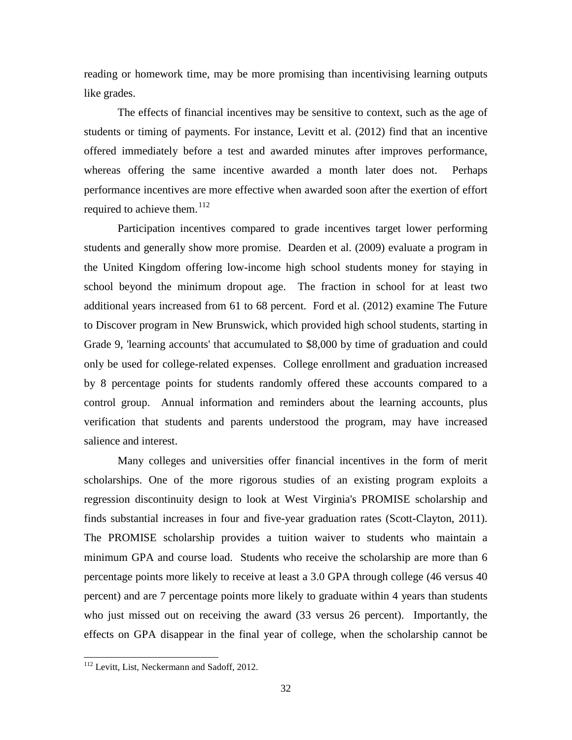reading or homework time, may be more promising than incentivising learning outputs like grades.

The effects of financial incentives may be sensitive to context, such as the age of students or timing of payments. For instance, Levitt et al. (2012) find that an incentive offered immediately before a test and awarded minutes after improves performance, whereas offering the same incentive awarded a month later does not. Perhaps performance incentives are more effective when awarded soon after the exertion of effort required to achieve them.<sup>[112](#page-32-2)</sup>

Participation incentives compared to grade incentives target lower performing students and generally show more promise. Dearden et al. (2009) evaluate a program in the United Kingdom offering low-income high school students money for staying in school beyond the minimum dropout age. The fraction in school for at least two additional years increased from 61 to 68 percent. Ford et al. (2012) examine The Future to Discover program in New Brunswick, which provided high school students, starting in Grade 9, 'learning accounts' that accumulated to \$8,000 by time of graduation and could only be used for college-related expenses. College enrollment and graduation increased by 8 percentage points for students randomly offered these accounts compared to a control group. Annual information and reminders about the learning accounts, plus verification that students and parents understood the program, may have increased salience and interest.

Many colleges and universities offer financial incentives in the form of merit scholarships. One of the more rigorous studies of an existing program exploits a regression discontinuity design to look at West Virginia's PROMISE scholarship and finds substantial increases in four and five-year graduation rates (Scott-Clayton, 2011). The PROMISE scholarship provides a tuition waiver to students who maintain a minimum GPA and course load. Students who receive the scholarship are more than 6 percentage points more likely to receive at least a 3.0 GPA through college (46 versus 40 percent) and are 7 percentage points more likely to graduate within 4 years than students who just missed out on receiving the award (33 versus 26 percent). Importantly, the effects on GPA disappear in the final year of college, when the scholarship cannot be

<span id="page-33-0"></span><sup>&</sup>lt;sup>112</sup> Levitt, List, Neckermann and Sadoff, 2012.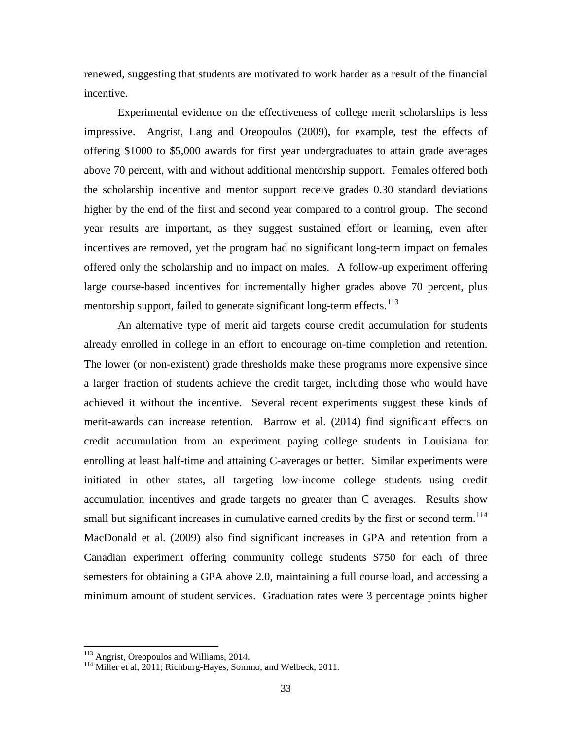renewed, suggesting that students are motivated to work harder as a result of the financial incentive.

Experimental evidence on the effectiveness of college merit scholarships is less impressive. Angrist, Lang and Oreopoulos (2009), for example, test the effects of offering \$1000 to \$5,000 awards for first year undergraduates to attain grade averages above 70 percent, with and without additional mentorship support. Females offered both the scholarship incentive and mentor support receive grades 0.30 standard deviations higher by the end of the first and second year compared to a control group. The second year results are important, as they suggest sustained effort or learning, even after incentives are removed, yet the program had no significant long-term impact on females offered only the scholarship and no impact on males. A follow-up experiment offering large course-based incentives for incrementally higher grades above 70 percent, plus mentorship support, failed to generate significant long-term effects.<sup>[113](#page-33-0)</sup>

An alternative type of merit aid targets course credit accumulation for students already enrolled in college in an effort to encourage on-time completion and retention. The lower (or non-existent) grade thresholds make these programs more expensive since a larger fraction of students achieve the credit target, including those who would have achieved it without the incentive. Several recent experiments suggest these kinds of merit-awards can increase retention. Barrow et al. (2014) find significant effects on credit accumulation from an experiment paying college students in Louisiana for enrolling at least half-time and attaining C-averages or better. Similar experiments were initiated in other states, all targeting low-income college students using credit accumulation incentives and grade targets no greater than C averages. Results show small but significant increases in cumulative earned credits by the first or second term.<sup>[114](#page-34-0)</sup> MacDonald et al. (2009) also find significant increases in GPA and retention from a Canadian experiment offering community college students \$750 for each of three semesters for obtaining a GPA above 2.0, maintaining a full course load, and accessing a minimum amount of student services. Graduation rates were 3 percentage points higher

<span id="page-34-0"></span><sup>&</sup>lt;sup>113</sup> Angrist, Oreopoulos and Williams, 2014.<br><sup>114</sup> Miller et al, 2011; Richburg-Hayes, Sommo, and Welbeck, 2011.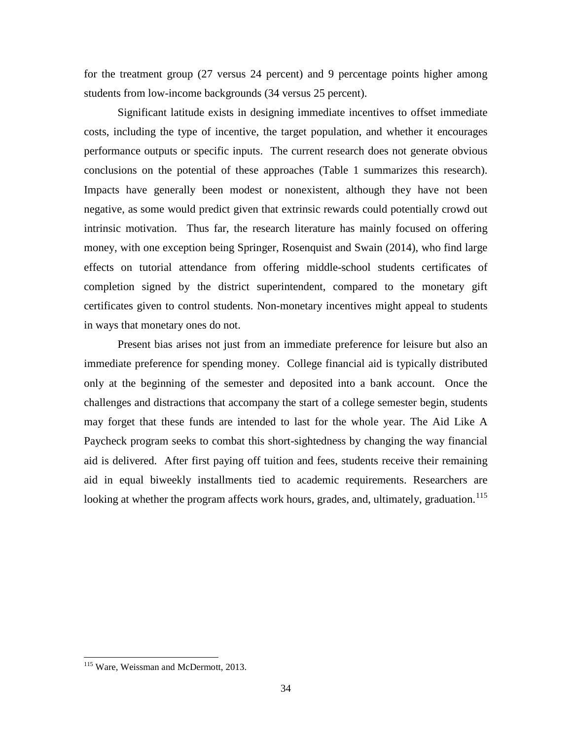for the treatment group (27 versus 24 percent) and 9 percentage points higher among students from low-income backgrounds (34 versus 25 percent).

Significant latitude exists in designing immediate incentives to offset immediate costs, including the type of incentive, the target population, and whether it encourages performance outputs or specific inputs. The current research does not generate obvious conclusions on the potential of these approaches (Table 1 summarizes this research). Impacts have generally been modest or nonexistent, although they have not been negative, as some would predict given that extrinsic rewards could potentially crowd out intrinsic motivation. Thus far, the research literature has mainly focused on offering money, with one exception being Springer, Rosenquist and Swain (2014), who find large effects on tutorial attendance from offering middle-school students certificates of completion signed by the district superintendent, compared to the monetary gift certificates given to control students. Non-monetary incentives might appeal to students in ways that monetary ones do not.

Present bias arises not just from an immediate preference for leisure but also an immediate preference for spending money. College financial aid is typically distributed only at the beginning of the semester and deposited into a bank account. Once the challenges and distractions that accompany the start of a college semester begin, students may forget that these funds are intended to last for the whole year. The Aid Like A Paycheck program seeks to combat this short-sightedness by changing the way financial aid is delivered. After first paying off tuition and fees, students receive their remaining aid in equal biweekly installments tied to academic requirements. Researchers are looking at whether the program affects work hours, grades, and, ultimately, graduation.<sup>[115](#page-34-0)</sup>

<sup>&</sup>lt;sup>115</sup> Ware, Weissman and McDermott, 2013.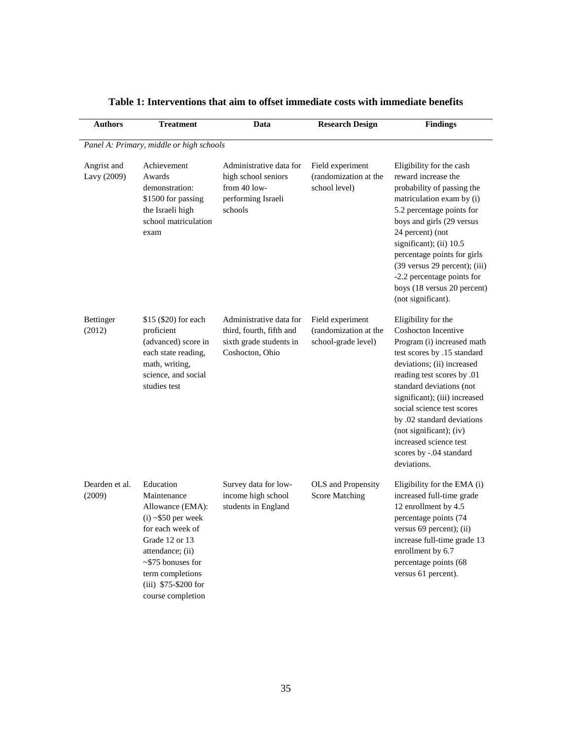| <b>Authors</b>             | <b>Treatment</b>                                                                                                                                                                                                           | Data                                                                                              | <b>Research Design</b>                                           | <b>Findings</b>                                                                                                                                                                                                                                                                                                                                                                             |
|----------------------------|----------------------------------------------------------------------------------------------------------------------------------------------------------------------------------------------------------------------------|---------------------------------------------------------------------------------------------------|------------------------------------------------------------------|---------------------------------------------------------------------------------------------------------------------------------------------------------------------------------------------------------------------------------------------------------------------------------------------------------------------------------------------------------------------------------------------|
|                            | Panel A: Primary, middle or high schools                                                                                                                                                                                   |                                                                                                   |                                                                  |                                                                                                                                                                                                                                                                                                                                                                                             |
| Angrist and<br>Lavy (2009) | Achievement<br>Awards<br>demonstration:<br>\$1500 for passing<br>the Israeli high<br>school matriculation<br>exam                                                                                                          | Administrative data for<br>high school seniors<br>from 40 low-<br>performing Israeli<br>schools   | Field experiment<br>(randomization at the<br>school level)       | Eligibility for the cash<br>reward increase the<br>probability of passing the<br>matriculation exam by (i)<br>5.2 percentage points for<br>boys and girls (29 versus<br>24 percent) (not<br>significant); (ii) 10.5<br>percentage points for girls<br>(39 versus 29 percent); (iii)<br>-2.2 percentage points for<br>boys (18 versus 20 percent)<br>(not significant).                      |
| Bettinger<br>(2012)        | \$15 (\$20) for each<br>proficient<br>(advanced) score in<br>each state reading,<br>math, writing,<br>science, and social<br>studies test                                                                                  | Administrative data for<br>third, fourth, fifth and<br>sixth grade students in<br>Coshocton, Ohio | Field experiment<br>(randomization at the<br>school-grade level) | Eligibility for the<br>Coshocton Incentive<br>Program (i) increased math<br>test scores by .15 standard<br>deviations; (ii) increased<br>reading test scores by .01<br>standard deviations (not<br>significant); (iii) increased<br>social science test scores<br>by .02 standard deviations<br>(not significant); (iv)<br>increased science test<br>scores by -.04 standard<br>deviations. |
| Dearden et al.<br>(2009)   | Education<br>Maintenance<br>Allowance (EMA):<br>$(i)$ ~\$50 per week<br>for each week of<br>Grade 12 or 13<br>attendance; (ii)<br>$\sim$ \$75 bonuses for<br>term completions<br>(iii) \$75-\$200 for<br>course completion | Survey data for low-<br>income high school<br>students in England                                 | OLS and Propensity<br><b>Score Matching</b>                      | Eligibility for the EMA (i)<br>increased full-time grade<br>12 enrollment by 4.5<br>percentage points (74<br>versus 69 percent); (ii)<br>increase full-time grade 13<br>enrollment by 6.7<br>percentage points (68<br>versus 61 percent).                                                                                                                                                   |

## **Table 1: Interventions that aim to offset immediate costs with immediate benefits**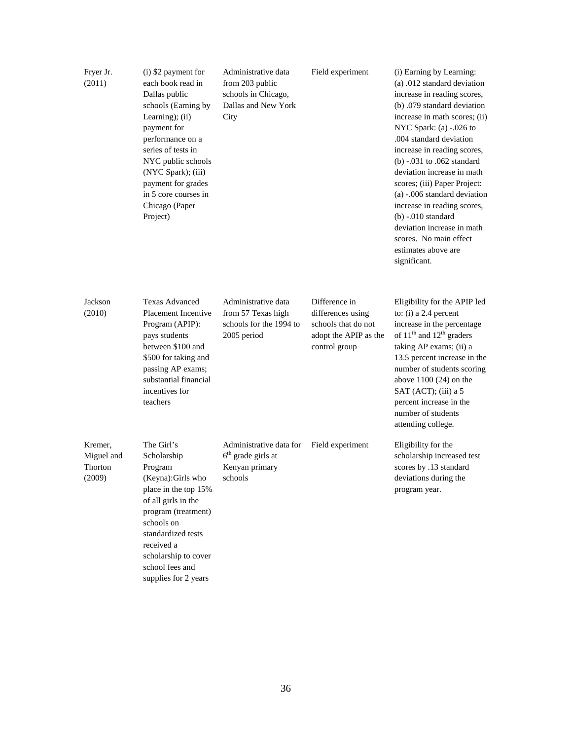| Fryer Jr.<br>(2011)                        | (i) \$2 payment for<br>each book read in<br>Dallas public<br>schools (Earning by<br>Learning); (ii)<br>payment for<br>performance on a<br>series of tests in<br>NYC public schools<br>(NYC Spark); (iii)<br>payment for grades<br>in 5 core courses in<br>Chicago (Paper<br>Project) | Administrative data<br>from 203 public<br>schools in Chicago,<br>Dallas and New York<br>City | Field experiment                                                                                    | (i) Earning by Learning:<br>(a) .012 standard deviation<br>increase in reading scores,<br>(b) .079 standard deviation<br>increase in math scores; (ii)<br>NYC Spark: (a) -.026 to<br>.004 standard deviation<br>increase in reading scores,<br>$(b)$ -.031 to .062 standard<br>deviation increase in math<br>scores; (iii) Paper Project:<br>(a) -.006 standard deviation<br>increase in reading scores,<br>$(b)$ -.010 standard<br>deviation increase in math<br>scores. No main effect<br>estimates above are<br>significant. |
|--------------------------------------------|--------------------------------------------------------------------------------------------------------------------------------------------------------------------------------------------------------------------------------------------------------------------------------------|----------------------------------------------------------------------------------------------|-----------------------------------------------------------------------------------------------------|---------------------------------------------------------------------------------------------------------------------------------------------------------------------------------------------------------------------------------------------------------------------------------------------------------------------------------------------------------------------------------------------------------------------------------------------------------------------------------------------------------------------------------|
| Jackson<br>(2010)                          | <b>Texas Advanced</b><br><b>Placement Incentive</b><br>Program (APIP):<br>pays students<br>between \$100 and<br>\$500 for taking and<br>passing AP exams;<br>substantial financial<br>incentives for<br>teachers                                                                     | Administrative data<br>from 57 Texas high<br>schools for the 1994 to<br>2005 period          | Difference in<br>differences using<br>schools that do not<br>adopt the APIP as the<br>control group | Eligibility for the APIP led<br>to: $(i)$ a 2.4 percent<br>increase in the percentage<br>of 11 <sup>th</sup> and 12 <sup>th</sup> graders<br>taking AP exams; (ii) a<br>13.5 percent increase in the<br>number of students scoring<br>above $1100(24)$ on the<br>SAT (ACT); (iii) a 5<br>percent increase in the<br>number of students<br>attending college.                                                                                                                                                                    |
| Kremer,<br>Miguel and<br>Thorton<br>(2009) | The Girl's<br>Scholarship<br>Program<br>(Keyna):Girls who<br>place in the top 15%<br>of all girls in the<br>program (treatment)<br>schools on<br>standardized tests<br>received a<br>scholarship to cover<br>school fees and<br>supplies for 2 years                                 | Administrative data for<br>$6th$ grade girls at<br>Kenyan primary<br>schools                 | Field experiment                                                                                    | Eligibility for the<br>scholarship increased test<br>scores by .13 standard<br>deviations during the<br>program year.                                                                                                                                                                                                                                                                                                                                                                                                           |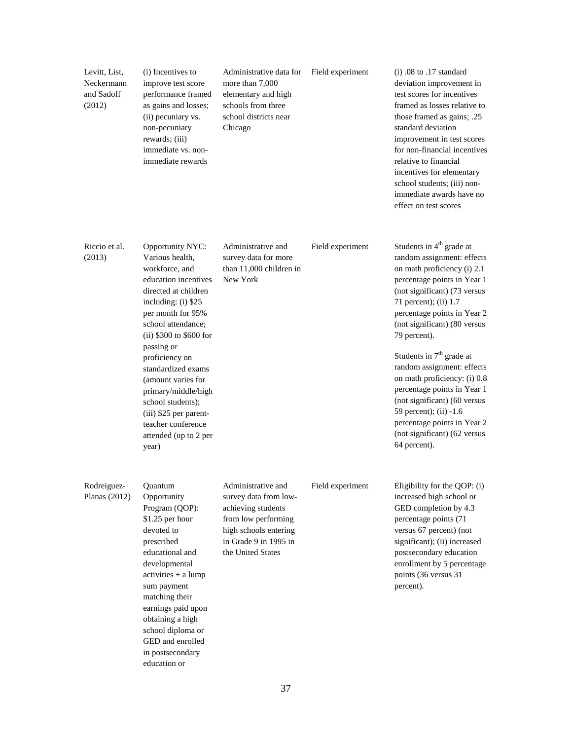| Levitt, List,<br>Neckermann<br>and Sadoff<br>(2012) | (i) Incentives to<br>improve test score<br>performance framed<br>as gains and losses;<br>(ii) pecuniary vs.<br>non-pecuniary<br>rewards; (iii)<br>immediate vs. non-<br>immediate rewards                                                                                                                                                                                                                    | Administrative data for<br>more than 7,000<br>elementary and high<br>schools from three<br>school districts near<br>Chicago                                     | Field experiment | $(i)$ .08 to .17 standard<br>deviation improvement in<br>test scores for incentives<br>framed as losses relative to<br>those framed as gains; .25<br>standard deviation<br>improvement in test scores<br>for non-financial incentives<br>relative to financial<br>incentives for elementary<br>school students; (iii) non-<br>immediate awards have no<br>effect on test scores                                                                                                                                                              |
|-----------------------------------------------------|--------------------------------------------------------------------------------------------------------------------------------------------------------------------------------------------------------------------------------------------------------------------------------------------------------------------------------------------------------------------------------------------------------------|-----------------------------------------------------------------------------------------------------------------------------------------------------------------|------------------|----------------------------------------------------------------------------------------------------------------------------------------------------------------------------------------------------------------------------------------------------------------------------------------------------------------------------------------------------------------------------------------------------------------------------------------------------------------------------------------------------------------------------------------------|
| Riccio et al.<br>(2013)                             | Opportunity NYC:<br>Various health,<br>workforce, and<br>education incentives<br>directed at children<br>including: (i) \$25<br>per month for 95%<br>school attendance;<br>(ii) \$300 to \$600 for<br>passing or<br>proficiency on<br>standardized exams<br>(amount varies for<br>primary/middle/high<br>school students);<br>(iii) \$25 per parent-<br>teacher conference<br>attended (up to 2 per<br>year) | Administrative and<br>survey data for more<br>than 11,000 children in<br>New York                                                                               | Field experiment | Students in 4 <sup>th</sup> grade at<br>random assignment: effects<br>on math proficiency (i) 2.1<br>percentage points in Year 1<br>(not significant) (73 versus<br>71 percent); (ii) 1.7<br>percentage points in Year 2<br>(not significant) (80 versus<br>79 percent).<br>Students in $7th$ grade at<br>random assignment: effects<br>on math proficiency: (i) 0.8<br>percentage points in Year 1<br>(not significant) (60 versus<br>59 percent); (ii) -1.6<br>percentage points in Year 2<br>(not significant) (62 versus<br>64 percent). |
| Rodreiguez-<br>Planas (2012)                        | Quantum<br>Opportunity<br>Program (QOP):<br>\$1.25 per hour<br>devoted to<br>prescribed<br>educational and<br>developmental<br>activities + a lump<br>sum payment<br>matching their<br>earnings paid upon<br>obtaining a high<br>school diploma or<br>GED and enrolled<br>in postsecondary<br>education or                                                                                                   | Administrative and<br>survey data from low-<br>achieving students<br>from low performing<br>high schools entering<br>in Grade 9 in 1995 in<br>the United States | Field experiment | Eligibility for the QOP: (i)<br>increased high school or<br>GED completion by 4.3<br>percentage points (71<br>versus 67 percent) (not<br>significant); (ii) increased<br>postsecondary education<br>enrollment by 5 percentage<br>points (36 versus 31<br>percent).                                                                                                                                                                                                                                                                          |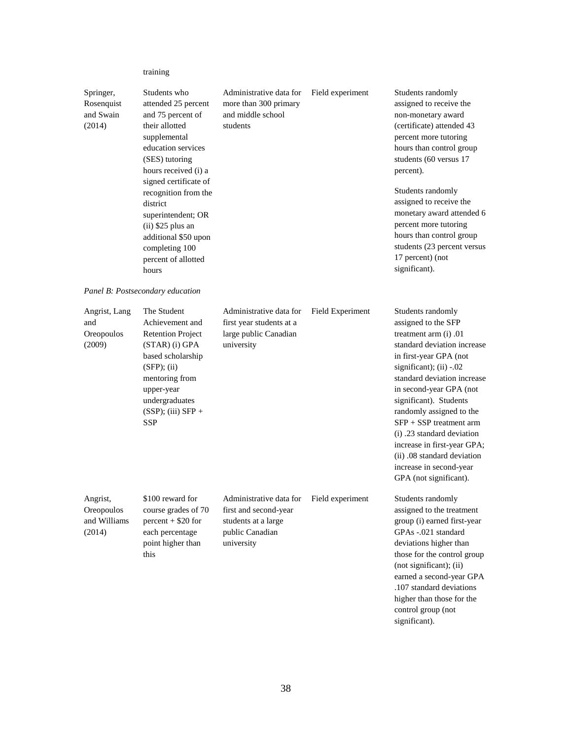#### training

| Springer,<br>Rosenquist<br>and Swain<br>(2014)   | Students who<br>attended 25 percent<br>and 75 percent of<br>their allotted<br>supplemental<br>education services<br>(SES) tutoring<br>hours received (i) a<br>signed certificate of<br>recognition from the<br>district<br>superintendent; OR<br>$(ii)$ \$25 plus an<br>additional \$50 upon<br>completing 100<br>percent of allotted<br>hours | Administrative data for<br>more than 300 primary<br>and middle school<br>students                                         | Field experiment | Students randomly<br>assigned to receive the<br>non-monetary award<br>(certificate) attended 43<br>percent more tutoring<br>hours than control group<br>students (60 versus 17<br>percent).<br>Students randomly<br>assigned to receive the<br>monetary award attended 6<br>percent more tutoring<br>hours than control group<br>students (23 percent versus<br>17 percent) (not<br>significant).                                                   |
|--------------------------------------------------|------------------------------------------------------------------------------------------------------------------------------------------------------------------------------------------------------------------------------------------------------------------------------------------------------------------------------------------------|---------------------------------------------------------------------------------------------------------------------------|------------------|-----------------------------------------------------------------------------------------------------------------------------------------------------------------------------------------------------------------------------------------------------------------------------------------------------------------------------------------------------------------------------------------------------------------------------------------------------|
| Angrist, Lang<br>and<br>Oreopoulos<br>(2009)     | Panel B: Postsecondary education<br>The Student<br>Achievement and<br><b>Retention Project</b><br>(STAR) (i) GPA<br>based scholarship<br>$(SFP);$ (ii)<br>mentoring from<br>upper-year<br>undergraduates<br>$(SSP)$ ; (iii) $SFP +$<br><b>SSP</b>                                                                                              | Administrative data for<br>first year students at a<br>large public Canadian<br>university                                | Field Experiment | Students randomly<br>assigned to the SFP<br>treatment arm (i) .01<br>standard deviation increase<br>in first-year GPA (not<br>significant); (ii) -.02<br>standard deviation increase<br>in second-year GPA (not<br>significant). Students<br>randomly assigned to the<br>$SFP + SSP$ treatment arm<br>(i) .23 standard deviation<br>increase in first-year GPA;<br>(ii) .08 standard deviation<br>increase in second-year<br>GPA (not significant). |
| Angrist,<br>Oreopoulos<br>and Williams<br>(2014) | \$100 reward for<br>course grades of 70<br>$percent + $20$ for<br>each percentage<br>point higher than<br>this                                                                                                                                                                                                                                 | Administrative data for Field experiment<br>first and second-year<br>students at a large<br>public Canadian<br>university |                  | Students randomly<br>assigned to the treatment<br>group (i) earned first-year<br>GPAs -. 021 standard<br>deviations higher than<br>those for the control group<br>(not significant); (ii)<br>earned a second-year GPA<br>.107 standard deviations                                                                                                                                                                                                   |

38

higher than those for the control group (not significant).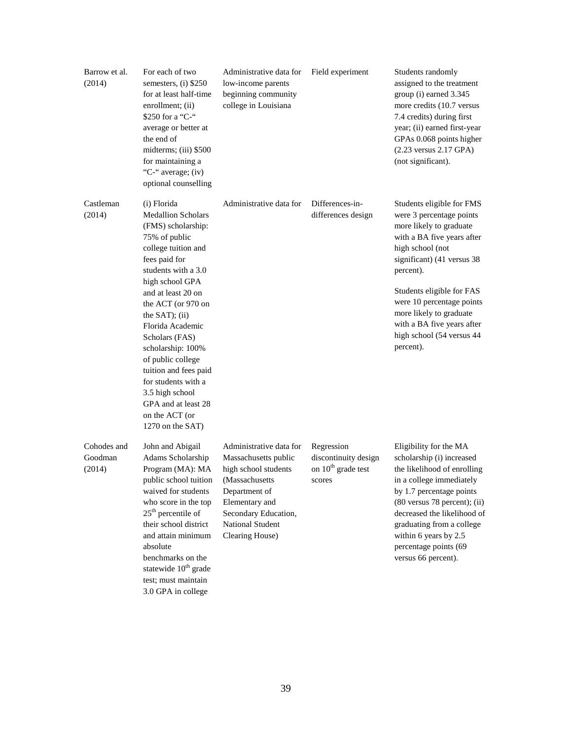| Barrow et al.<br>(2014)          | For each of two<br>semesters, (i) \$250<br>for at least half-time<br>enrollment; (ii)<br>\$250 for a "C-"<br>average or better at<br>the end of<br>midterms; (iii) \$500<br>for maintaining a<br>"C-" average; (iv)<br>optional counselling                                                                                                                                                                                                       | Administrative data for<br>low-income parents<br>beginning community<br>college in Louisiana                                                                                                | Field experiment                                                               | Students randomly<br>assigned to the treatment<br>group (i) earned 3.345<br>more credits (10.7 versus<br>7.4 credits) during first<br>year; (ii) earned first-year<br>GPAs 0.068 points higher<br>(2.23 versus 2.17 GPA)<br>(not significant).                                                                                             |
|----------------------------------|---------------------------------------------------------------------------------------------------------------------------------------------------------------------------------------------------------------------------------------------------------------------------------------------------------------------------------------------------------------------------------------------------------------------------------------------------|---------------------------------------------------------------------------------------------------------------------------------------------------------------------------------------------|--------------------------------------------------------------------------------|--------------------------------------------------------------------------------------------------------------------------------------------------------------------------------------------------------------------------------------------------------------------------------------------------------------------------------------------|
| Castleman<br>(2014)              | (i) Florida<br><b>Medallion Scholars</b><br>(FMS) scholarship:<br>75% of public<br>college tuition and<br>fees paid for<br>students with a 3.0<br>high school GPA<br>and at least 20 on<br>the ACT (or 970 on<br>the SAT); $(ii)$<br>Florida Academic<br>Scholars (FAS)<br>scholarship: 100%<br>of public college<br>tuition and fees paid<br>for students with a<br>3.5 high school<br>GPA and at least 28<br>on the ACT (or<br>1270 on the SAT) | Administrative data for                                                                                                                                                                     | Differences-in-<br>differences design                                          | Students eligible for FMS<br>were 3 percentage points<br>more likely to graduate<br>with a BA five years after<br>high school (not<br>significant) (41 versus 38<br>percent).<br>Students eligible for FAS<br>were 10 percentage points<br>more likely to graduate<br>with a BA five years after<br>high school (54 versus 44<br>percent). |
| Cohodes and<br>Goodman<br>(2014) | John and Abigail<br>Adams Scholarship<br>Program (MA): MA<br>public school tuition<br>waived for students<br>who score in the top<br>$25th$ percentile of<br>their school district<br>and attain minimum<br>absolute<br>benchmarks on the<br>statewide 10 <sup>th</sup> grade<br>test; must maintain<br>3.0 GPA in college                                                                                                                        | Administrative data for<br>Massachusetts public<br>high school students<br>(Massachusetts<br>Department of<br>Elementary and<br>Secondary Education,<br>National Student<br>Clearing House) | Regression<br>discontinuity design<br>on 10 <sup>th</sup> grade test<br>scores | Eligibility for the MA<br>scholarship (i) increased<br>the likelihood of enrolling<br>in a college immediately<br>by 1.7 percentage points<br>$(80$ versus 78 percent); $(ii)$<br>decreased the likelihood of<br>graduating from a college<br>within 6 years by 2.5<br>percentage points (69<br>versus 66 percent).                        |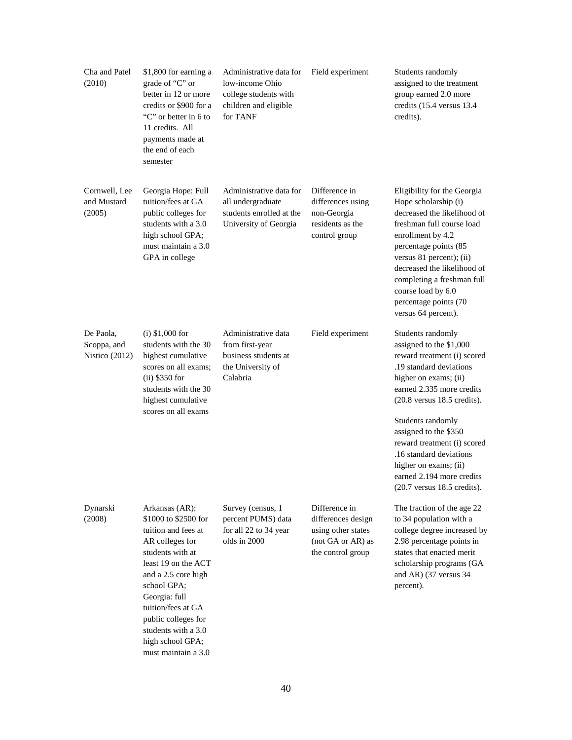| Cha and Patel<br>(2010)                    | \$1,800 for earning a<br>grade of "C" or<br>better in 12 or more<br>credits or \$900 for a<br>"C" or better in 6 to<br>11 credits. All<br>payments made at<br>the end of each<br>semester                                                                                                         | Administrative data for<br>low-income Ohio<br>college students with<br>children and eligible<br>for TANF | Field experiment                                                                                    | Students randomly<br>assigned to the treatment<br>group earned 2.0 more<br>credits (15.4 versus 13.4<br>credits).                                                                                                                                                                                                            |
|--------------------------------------------|---------------------------------------------------------------------------------------------------------------------------------------------------------------------------------------------------------------------------------------------------------------------------------------------------|----------------------------------------------------------------------------------------------------------|-----------------------------------------------------------------------------------------------------|------------------------------------------------------------------------------------------------------------------------------------------------------------------------------------------------------------------------------------------------------------------------------------------------------------------------------|
| Cornwell, Lee<br>and Mustard<br>(2005)     | Georgia Hope: Full<br>tuition/fees at GA<br>public colleges for<br>students with a 3.0<br>high school GPA;<br>must maintain a 3.0<br>GPA in college                                                                                                                                               | Administrative data for<br>all undergraduate<br>students enrolled at the<br>University of Georgia        | Difference in<br>differences using<br>non-Georgia<br>residents as the<br>control group              | Eligibility for the Georgia<br>Hope scholarship (i)<br>decreased the likelihood of<br>freshman full course load<br>enrollment by 4.2<br>percentage points (85<br>versus 81 percent); (ii)<br>decreased the likelihood of<br>completing a freshman full<br>course load by 6.0<br>percentage points (70<br>versus 64 percent). |
| De Paola.<br>Scoppa, and<br>Nistico (2012) | $(i)$ \$1,000 for<br>students with the 30<br>highest cumulative<br>scores on all exams;<br>$(ii)$ \$350 for<br>students with the 30<br>highest cumulative<br>scores on all exams                                                                                                                  | Administrative data<br>from first-year<br>business students at<br>the University of<br>Calabria          | Field experiment                                                                                    | Students randomly<br>assigned to the \$1,000<br>reward treatment (i) scored<br>.19 standard deviations<br>higher on exams; (ii)<br>earned 2.335 more credits<br>$(20.8$ versus 18.5 credits).                                                                                                                                |
|                                            |                                                                                                                                                                                                                                                                                                   |                                                                                                          |                                                                                                     | Students randomly<br>assigned to the \$350<br>reward treatment (i) scored<br>.16 standard deviations<br>higher on exams; (ii)<br>earned 2.194 more credits<br>(20.7 versus 18.5 credits).                                                                                                                                    |
| Dynarski<br>(2008)                         | Arkansas (AR):<br>\$1000 to \$2500 for<br>tuition and fees at<br>AR colleges for<br>students with at<br>least 19 on the ACT<br>and a 2.5 core high<br>school GPA;<br>Georgia: full<br>tuition/fees at GA<br>public colleges for<br>students with a 3.0<br>high school GPA;<br>must maintain a 3.0 | Survey (census, 1<br>percent PUMS) data<br>for all 22 to 34 year<br>olds in 2000                         | Difference in<br>differences design<br>using other states<br>(not GA or AR) as<br>the control group | The fraction of the age 22<br>to 34 population with a<br>college degree increased by<br>2.98 percentage points in<br>states that enacted merit<br>scholarship programs (GA<br>and AR) (37 versus 34<br>percent).                                                                                                             |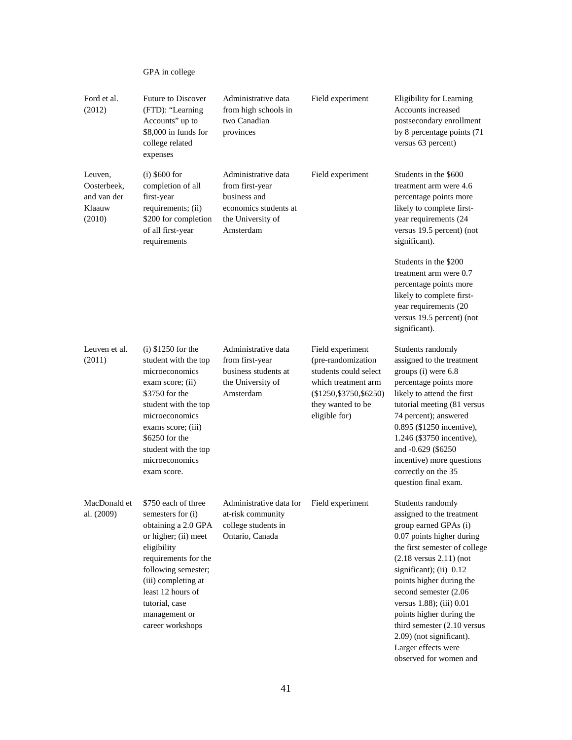|                                                           | GPA in college                                                                                                                                                                                                                                           |                                                                                                                   |                                                                                                                                                          |                                                                                                                                                                                                                                                                                                                                                                                                |
|-----------------------------------------------------------|----------------------------------------------------------------------------------------------------------------------------------------------------------------------------------------------------------------------------------------------------------|-------------------------------------------------------------------------------------------------------------------|----------------------------------------------------------------------------------------------------------------------------------------------------------|------------------------------------------------------------------------------------------------------------------------------------------------------------------------------------------------------------------------------------------------------------------------------------------------------------------------------------------------------------------------------------------------|
| Ford et al.<br>(2012)                                     | <b>Future to Discover</b><br>(FTD): "Learning<br>Accounts" up to<br>\$8,000 in funds for<br>college related<br>expenses                                                                                                                                  | Administrative data<br>from high schools in<br>two Canadian<br>provinces                                          | Field experiment                                                                                                                                         | <b>Eligibility for Learning</b><br>Accounts increased<br>postsecondary enrollment<br>by 8 percentage points (71<br>versus 63 percent)                                                                                                                                                                                                                                                          |
| Leuven,<br>Oosterbeek.<br>and van der<br>Klaauw<br>(2010) | $(i)$ \$600 for<br>completion of all<br>first-year<br>requirements; (ii)<br>\$200 for completion<br>of all first-year<br>requirements                                                                                                                    | Administrative data<br>from first-year<br>business and<br>economics students at<br>the University of<br>Amsterdam | Field experiment                                                                                                                                         | Students in the \$600<br>treatment arm were 4.6<br>percentage points more<br>likely to complete first-<br>year requirements (24<br>versus 19.5 percent) (not<br>significant).                                                                                                                                                                                                                  |
|                                                           |                                                                                                                                                                                                                                                          |                                                                                                                   |                                                                                                                                                          | Students in the \$200<br>treatment arm were 0.7<br>percentage points more<br>likely to complete first-<br>year requirements (20<br>versus 19.5 percent) (not<br>significant).                                                                                                                                                                                                                  |
| Leuven et al.<br>(2011)                                   | $(i)$ \$1250 for the<br>student with the top<br>microeconomics<br>exam score; (ii)<br>\$3750 for the<br>student with the top<br>microeconomics<br>exams score; (iii)<br>\$6250 for the<br>student with the top<br>microeconomics<br>exam score.          | Administrative data<br>from first-year<br>business students at<br>the University of<br>Amsterdam                  | Field experiment<br>(pre-randomization<br>students could select<br>which treatment arm<br>(\$1250, \$3750, \$6250)<br>they wanted to be<br>eligible for) | Students randomly<br>assigned to the treatment<br>groups (i) were 6.8<br>percentage points more<br>likely to attend the first<br>tutorial meeting (81 versus<br>74 percent); answered<br>0.895 (\$1250 incentive),<br>1.246 (\$3750 incentive),<br>and -0.629 (\$6250<br>incentive) more questions<br>correctly on the 35<br>question final exam.                                              |
| MacDonald et<br>al. (2009)                                | \$750 each of three<br>semesters for (i)<br>obtaining a 2.0 GPA<br>or higher; (ii) meet<br>eligibility<br>requirements for the<br>following semester;<br>(iii) completing at<br>least 12 hours of<br>tutorial, case<br>management or<br>career workshops | Administrative data for<br>at-risk community<br>college students in<br>Ontario, Canada                            | Field experiment                                                                                                                                         | Students randomly<br>assigned to the treatment<br>group earned GPAs (i)<br>0.07 points higher during<br>the first semester of college<br>$(2.18$ versus $2.11)$ (not<br>significant); (ii) 0.12<br>points higher during the<br>second semester (2.06<br>versus 1.88); (iii) 0.01<br>points higher during the<br>third semester (2.10 versus<br>2.09) (not significant).<br>Larger effects were |

41

observed for women and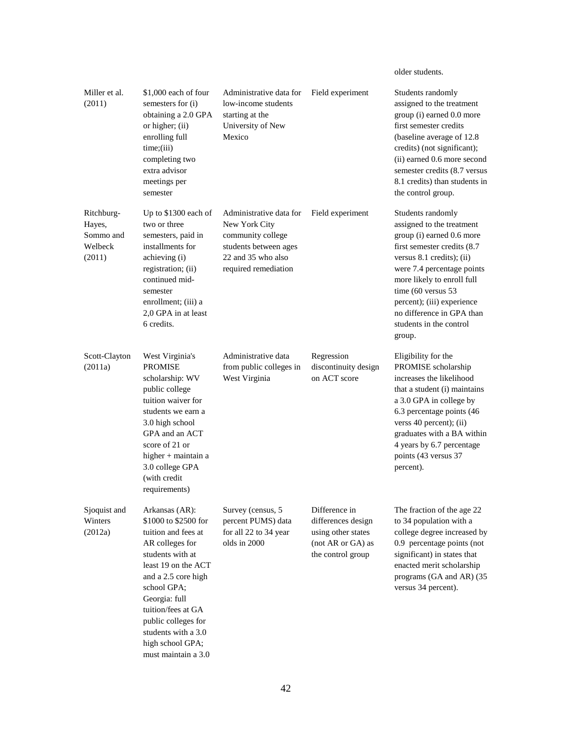older students.

| Miller et al.<br>(2011)                                | \$1,000 each of four<br>semesters for (i)<br>obtaining a 2.0 GPA<br>or higher; (ii)<br>enrolling full<br>time;(iii)<br>completing two<br>extra advisor<br>meetings per<br>semester                                                                                                                | Administrative data for<br>low-income students<br>starting at the<br>University of New<br>Mexico                                     | Field experiment                                                                                    | Students randomly<br>assigned to the treatment<br>group (i) earned 0.0 more<br>first semester credits<br>(baseline average of 12.8)<br>credits) (not significant);<br>(ii) earned 0.6 more second<br>semester credits (8.7 versus<br>8.1 credits) than students in<br>the control group.                                  |
|--------------------------------------------------------|---------------------------------------------------------------------------------------------------------------------------------------------------------------------------------------------------------------------------------------------------------------------------------------------------|--------------------------------------------------------------------------------------------------------------------------------------|-----------------------------------------------------------------------------------------------------|---------------------------------------------------------------------------------------------------------------------------------------------------------------------------------------------------------------------------------------------------------------------------------------------------------------------------|
| Ritchburg-<br>Hayes,<br>Sommo and<br>Welbeck<br>(2011) | Up to \$1300 each of<br>two or three<br>semesters, paid in<br>installments for<br>achieving (i)<br>registration; (ii)<br>continued mid-<br>semester<br>enrollment; (iii) a<br>2,0 GPA in at least<br>6 credits.                                                                                   | Administrative data for<br>New York City<br>community college<br>students between ages<br>22 and 35 who also<br>required remediation | Field experiment                                                                                    | Students randomly<br>assigned to the treatment<br>group (i) earned 0.6 more<br>first semester credits (8.7<br>versus 8.1 credits); (ii)<br>were 7.4 percentage points<br>more likely to enroll full<br>time (60 versus 53<br>percent); (iii) experience<br>no difference in GPA than<br>students in the control<br>group. |
| Scott-Clayton<br>(2011a)                               | West Virginia's<br><b>PROMISE</b><br>scholarship: WV<br>public college<br>tuition waiver for<br>students we earn a<br>3.0 high school<br>GPA and an ACT<br>score of 21 or<br>$higher + maintain\ a$<br>3.0 college GPA<br>(with credit<br>requirements)                                           | Administrative data<br>from public colleges in<br>West Virginia                                                                      | Regression<br>discontinuity design<br>on ACT score                                                  | Eligibility for the<br>PROMISE scholarship<br>increases the likelihood<br>that a student (i) maintains<br>a 3.0 GPA in college by<br>6.3 percentage points (46<br>verss 40 percent); (ii)<br>graduates with a BA within<br>4 years by 6.7 percentage<br>points (43 versus 37<br>percent).                                 |
| Sjoquist and<br>Winters<br>(2012a)                     | Arkansas (AR):<br>\$1000 to \$2500 for<br>tuition and fees at<br>AR colleges for<br>students with at<br>least 19 on the ACT<br>and a 2.5 core high<br>school GPA;<br>Georgia: full<br>tuition/fees at GA<br>public colleges for<br>students with a 3.0<br>high school GPA;<br>must maintain a 3.0 | Survey (census, 5<br>percent PUMS) data<br>for all 22 to 34 year<br>olds in 2000                                                     | Difference in<br>differences design<br>using other states<br>(not AR or GA) as<br>the control group | The fraction of the age 22<br>to 34 population with a<br>college degree increased by<br>0.9 percentage points (not<br>significant) in states that<br>enacted merit scholarship<br>programs (GA and AR) (35<br>versus 34 percent).                                                                                         |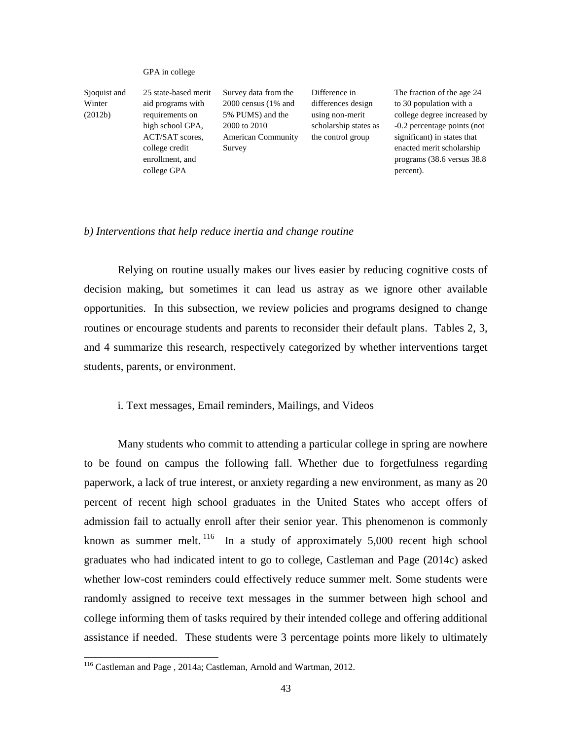#### GPA in college

Sjoquist and Winter (2012b) 25 state-based merit aid programs with requirements on high school GPA, ACT/SAT scores, college credit enrollment, and college GPA Survey data from the 2000 census (1% and 5% PUMS) and the 2000 to 2010 American Community Survey Difference in differences design using non-merit scholarship states as the control group

The fraction of the age 24 to 30 population with a college degree increased by -0.2 percentage points (not significant) in states that enacted merit scholarship programs (38.6 versus 38.8 percent).

#### *b) Interventions that help reduce inertia and change routine*

Relying on routine usually makes our lives easier by reducing cognitive costs of decision making, but sometimes it can lead us astray as we ignore other available opportunities. In this subsection, we review policies and programs designed to change routines or encourage students and parents to reconsider their default plans. Tables 2, 3, and 4 summarize this research, respectively categorized by whether interventions target students, parents, or environment.

#### i. Text messages, Email reminders, Mailings, and Videos

Many students who commit to attending a particular college in spring are nowhere to be found on campus the following fall. Whether due to forgetfulness regarding paperwork, a lack of true interest, or anxiety regarding a new environment, as many as 20 percent of recent high school graduates in the United States who accept offers of admission fail to actually enroll after their senior year. This phenomenon is commonly known as summer melt.  $116$  In a study of approximately 5,000 recent high school graduates who had indicated intent to go to college, Castleman and Page (2014c) asked whether low-cost reminders could effectively reduce summer melt. Some students were randomly assigned to receive text messages in the summer between high school and college informing them of tasks required by their intended college and offering additional assistance if needed. These students were 3 percentage points more likely to ultimately

<span id="page-44-0"></span><sup>116</sup> Castleman and Page , 2014a; Castleman, Arnold and Wartman, 2012.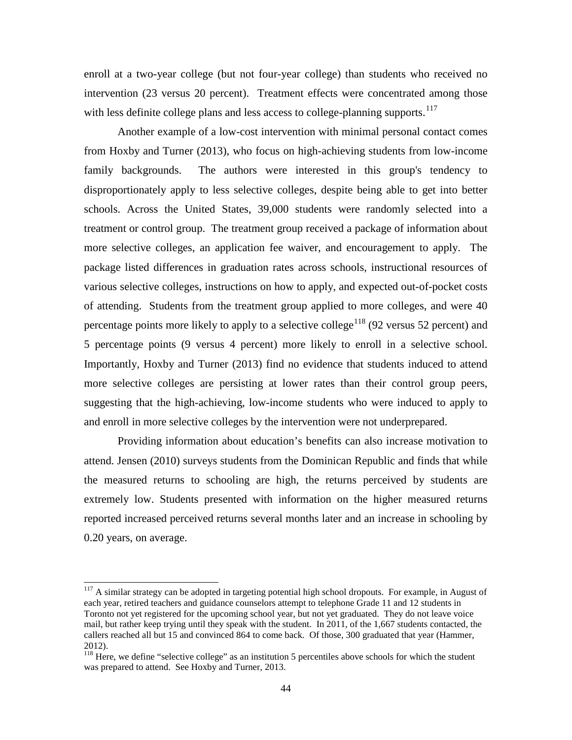enroll at a two-year college (but not four-year college) than students who received no intervention (23 versus 20 percent). Treatment effects were concentrated among those with less definite college plans and less access to college-planning supports.<sup>[117](#page-44-0)</sup>

Another example of a low-cost intervention with minimal personal contact comes from Hoxby and Turner (2013), who focus on high-achieving students from low-income family backgrounds. The authors were interested in this group's tendency to disproportionately apply to less selective colleges, despite being able to get into better schools. Across the United States, 39,000 students were randomly selected into a treatment or control group. The treatment group received a package of information about more selective colleges, an application fee waiver, and encouragement to apply. The package listed differences in graduation rates across schools, instructional resources of various selective colleges, instructions on how to apply, and expected out-of-pocket costs of attending. Students from the treatment group applied to more colleges, and were 40 percentage points more likely to apply to a selective college<sup>[118](#page-45-0)</sup> (92 versus 52 percent) and 5 percentage points (9 versus 4 percent) more likely to enroll in a selective school. Importantly, Hoxby and Turner (2013) find no evidence that students induced to attend more selective colleges are persisting at lower rates than their control group peers, suggesting that the high-achieving, low-income students who were induced to apply to and enroll in more selective colleges by the intervention were not underprepared.

Providing information about education's benefits can also increase motivation to attend. Jensen (2010) surveys students from the Dominican Republic and finds that while the measured returns to schooling are high, the returns perceived by students are extremely low. Students presented with information on the higher measured returns reported increased perceived returns several months later and an increase in schooling by 0.20 years, on average.

<sup>&</sup>lt;sup>117</sup> A similar strategy can be adopted in targeting potential high school dropouts. For example, in August of each year, retired teachers and guidance counselors attempt to telephone Grade 11 and 12 students in Toronto not yet registered for the upcoming school year, but not yet graduated. They do not leave voice mail, but rather keep trying until they speak with the student. In 2011, of the 1,667 students contacted, the callers reached all but 15 and convinced 864 to come back. Of those, 300 graduated that year (Hammer, 2012).

<span id="page-45-1"></span><span id="page-45-0"></span> $118$  Here, we define "selective college" as an institution 5 percentiles above schools for which the student was prepared to attend. See Hoxby and Turner, 2013.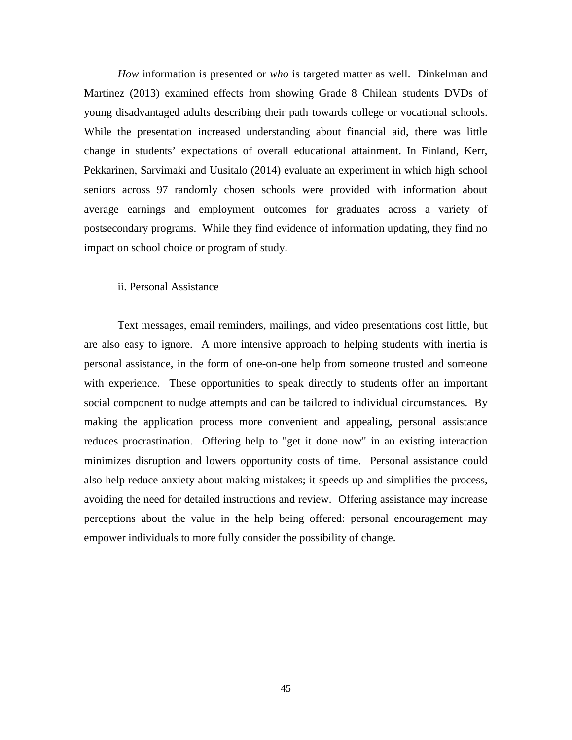*How* information is presented or *who* is targeted matter as well. Dinkelman and Martinez (2013) examined effects from showing Grade 8 Chilean students DVDs of young disadvantaged adults describing their path towards college or vocational schools. While the presentation increased understanding about financial aid, there was little change in students' expectations of overall educational attainment. In Finland, Kerr, Pekkarinen, Sarvimaki and Uusitalo (2014) evaluate an experiment in which high school seniors across 97 randomly chosen schools were provided with information about average earnings and employment outcomes for graduates across a variety of postsecondary programs. While they find evidence of information updating, they find no impact on school choice or program of study.

#### ii. Personal Assistance

Text messages, email reminders, mailings, and video presentations cost little, but are also easy to ignore. A more intensive approach to helping students with inertia is personal assistance, in the form of one-on-one help from someone trusted and someone with experience. These opportunities to speak directly to students offer an important social component to nudge attempts and can be tailored to individual circumstances. By making the application process more convenient and appealing, personal assistance reduces procrastination. Offering help to "get it done now" in an existing interaction minimizes disruption and lowers opportunity costs of time. Personal assistance could also help reduce anxiety about making mistakes; it speeds up and simplifies the process, avoiding the need for detailed instructions and review. Offering assistance may increase perceptions about the value in the help being offered: personal encouragement may empower individuals to more fully consider the possibility of change.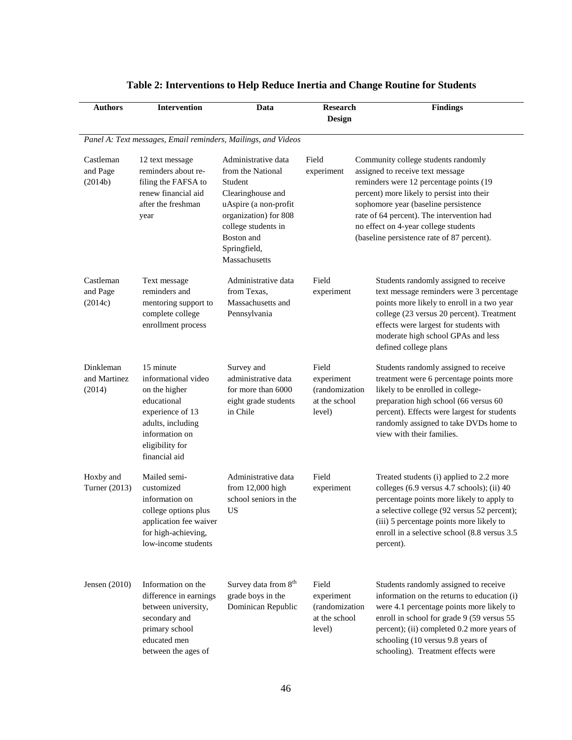| Authors                             | <b>Intervention</b>                                                                                                                                             | Data                                                                                                                                                                                             | <b>Research</b><br>Design                                        | <b>Findings</b>                                                                                                                                                                                                                                                                                                                             |
|-------------------------------------|-----------------------------------------------------------------------------------------------------------------------------------------------------------------|--------------------------------------------------------------------------------------------------------------------------------------------------------------------------------------------------|------------------------------------------------------------------|---------------------------------------------------------------------------------------------------------------------------------------------------------------------------------------------------------------------------------------------------------------------------------------------------------------------------------------------|
|                                     |                                                                                                                                                                 | Panel A: Text messages, Email reminders, Mailings, and Videos                                                                                                                                    |                                                                  |                                                                                                                                                                                                                                                                                                                                             |
| Castleman<br>and Page<br>(2014b)    | 12 text message<br>reminders about re-<br>filing the FAFSA to<br>renew financial aid<br>after the freshman<br>year                                              | Administrative data<br>from the National<br>Student<br>Clearinghouse and<br>uAspire (a non-profit<br>organization) for 808<br>college students in<br>Boston and<br>Springfield,<br>Massachusetts | Field<br>experiment                                              | Community college students randomly<br>assigned to receive text message<br>reminders were 12 percentage points (19<br>percent) more likely to persist into their<br>sophomore year (baseline persistence<br>rate of 64 percent). The intervention had<br>no effect on 4-year college students<br>(baseline persistence rate of 87 percent). |
| Castleman<br>and Page<br>(2014c)    | Text message<br>reminders and<br>mentoring support to<br>complete college<br>enrollment process                                                                 | Administrative data<br>from Texas,<br>Massachusetts and<br>Pennsylvania                                                                                                                          | Field<br>experiment                                              | Students randomly assigned to receive<br>text message reminders were 3 percentage<br>points more likely to enroll in a two year<br>college (23 versus 20 percent). Treatment<br>effects were largest for students with<br>moderate high school GPAs and less<br>defined college plans                                                       |
| Dinkleman<br>and Martinez<br>(2014) | 15 minute<br>informational video<br>on the higher<br>educational<br>experience of 13<br>adults, including<br>information on<br>eligibility for<br>financial aid | Survey and<br>administrative data<br>for more than 6000<br>eight grade students<br>in Chile                                                                                                      | Field<br>experiment<br>(randomization<br>at the school<br>level) | Students randomly assigned to receive<br>treatment were 6 percentage points more<br>likely to be enrolled in college-<br>preparation high school (66 versus 60<br>percent). Effects were largest for students<br>randomly assigned to take DVDs home to<br>view with their families.                                                        |
| Hoxby and<br>Turner (2013)          | Mailed semi-<br>customized<br>information on<br>college options plus<br>application fee waiver<br>for high-achieving,<br>low-income students                    | Administrative data<br>from 12,000 high<br>school seniors in the<br>US                                                                                                                           | Field<br>experiment                                              | Treated students (i) applied to 2.2 more<br>colleges (6.9 versus 4.7 schools); (ii) 40<br>percentage points more likely to apply to<br>a selective college (92 versus 52 percent);<br>(iii) 5 percentage points more likely to<br>enroll in a selective school (8.8 versus 3.5<br>percent).                                                 |
| Jensen $(2010)$                     | Information on the<br>difference in earnings<br>between university,<br>secondary and<br>primary school<br>educated men<br>between the ages of                   | Survey data from 8 <sup>th</sup><br>grade boys in the<br>Dominican Republic                                                                                                                      | Field<br>experiment<br>(randomization<br>at the school<br>level) | Students randomly assigned to receive<br>information on the returns to education (i)<br>were 4.1 percentage points more likely to<br>enroll in school for grade 9 (59 versus 55<br>percent); (ii) completed 0.2 more years of<br>schooling (10 versus 9.8 years of<br>schooling). Treatment effects were                                    |

# **Table 2: Interventions to Help Reduce Inertia and Change Routine for Students**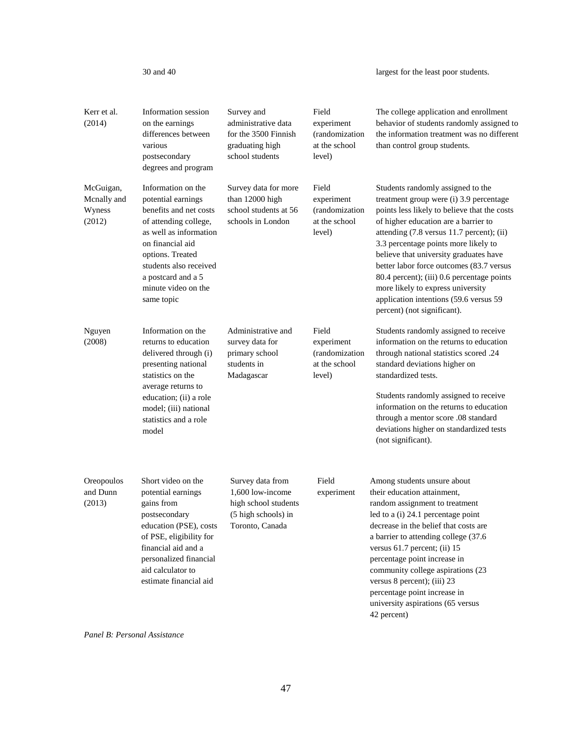| Kerr et al.<br>(2014)                        | Information session<br>on the earnings<br>differences between<br>various<br>postsecondary<br>degrees and program                                                                                                                                   | Survey and<br>administrative data<br>for the 3500 Finnish<br>graduating high<br>school students        | Field<br>experiment<br>(randomization<br>at the school<br>level) | The college application and enrollment<br>behavior of students randomly assigned to<br>the information treatment was no different<br>than control group students.                                                                                                                                                                                                                                                                                                                                           |
|----------------------------------------------|----------------------------------------------------------------------------------------------------------------------------------------------------------------------------------------------------------------------------------------------------|--------------------------------------------------------------------------------------------------------|------------------------------------------------------------------|-------------------------------------------------------------------------------------------------------------------------------------------------------------------------------------------------------------------------------------------------------------------------------------------------------------------------------------------------------------------------------------------------------------------------------------------------------------------------------------------------------------|
| McGuigan,<br>Mcnally and<br>Wyness<br>(2012) | Information on the<br>potential earnings<br>benefits and net costs<br>of attending college,<br>as well as information<br>on financial aid<br>options. Treated<br>students also received<br>a postcard and a 5<br>minute video on the<br>same topic | Survey data for more<br>than 12000 high<br>school students at 56<br>schools in London                  | Field<br>experiment<br>(randomization<br>at the school<br>level) | Students randomly assigned to the<br>treatment group were (i) 3.9 percentage<br>points less likely to believe that the costs<br>of higher education are a barrier to<br>attending (7.8 versus 11.7 percent); (ii)<br>3.3 percentage points more likely to<br>believe that university graduates have<br>better labor force outcomes (83.7 versus<br>80.4 percent); (iii) 0.6 percentage points<br>more likely to express university<br>application intentions (59.6 versus 59<br>percent) (not significant). |
| Nguyen<br>(2008)                             | Information on the<br>returns to education<br>delivered through (i)<br>presenting national<br>statistics on the<br>average returns to<br>education; (ii) a role<br>model; (iii) national<br>statistics and a role<br>model                         | Administrative and<br>survey data for<br>primary school<br>students in<br>Madagascar                   | Field<br>experiment<br>(randomization<br>at the school<br>level) | Students randomly assigned to receive<br>information on the returns to education<br>through national statistics scored .24<br>standard deviations higher on<br>standardized tests.<br>Students randomly assigned to receive<br>information on the returns to education<br>through a mentor score .08 standard<br>deviations higher on standardized tests<br>(not significant).                                                                                                                              |
| Oreopoulos<br>and Dunn<br>(2013)             | Short video on the<br>potential earnings<br>gains from<br>postsecondary<br>education (PSE), costs<br>of PSE, eligibility for<br>financial aid and a<br>personalized financial<br>aid calculator to<br>estimate financial aid                       | Survey data from<br>1,600 low-income<br>high school students<br>(5 high schools) in<br>Toronto, Canada | Field<br>experiment                                              | Among students unsure about<br>their education attainment,<br>random assignment to treatment<br>led to a (i) 24.1 percentage point<br>decrease in the belief that costs are<br>a barrier to attending college (37.6<br>versus 61.7 percent; (ii) 15<br>percentage point increase in<br>community college aspirations (23<br>versus 8 percent); (iii) 23<br>percentage point increase in<br>university aspirations (65 versus                                                                                |

*Panel B: Personal Assistance*

42 percent)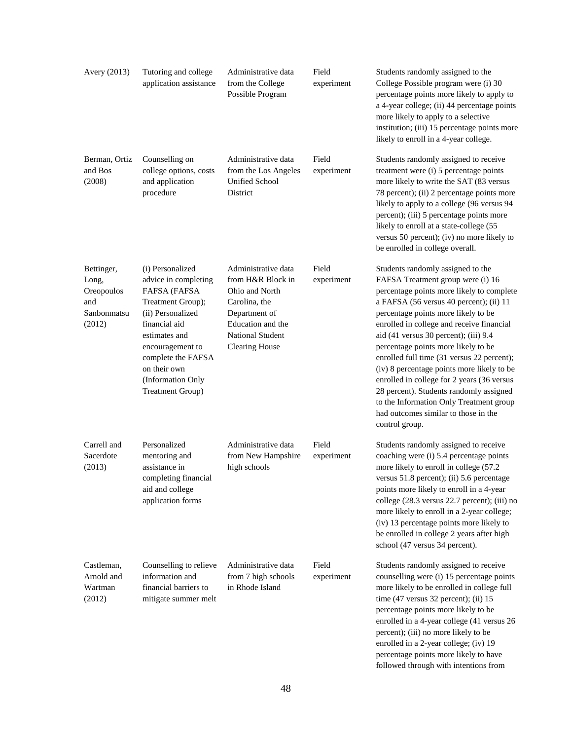| Avery (2013)                                                      | Tutoring and college<br>application assistance                                                                                                                                                                                          | Administrative data<br>from the College<br>Possible Program                                                                                                    | Field<br>experiment | Students randomly assigned to the<br>College Possible program were (i) 30<br>percentage points more likely to apply to<br>a 4-year college; (ii) 44 percentage points<br>more likely to apply to a selective<br>institution; (iii) 15 percentage points more<br>likely to enroll in a 4-year college.                                                                                                                                                                                                                                                                                                                        |
|-------------------------------------------------------------------|-----------------------------------------------------------------------------------------------------------------------------------------------------------------------------------------------------------------------------------------|----------------------------------------------------------------------------------------------------------------------------------------------------------------|---------------------|------------------------------------------------------------------------------------------------------------------------------------------------------------------------------------------------------------------------------------------------------------------------------------------------------------------------------------------------------------------------------------------------------------------------------------------------------------------------------------------------------------------------------------------------------------------------------------------------------------------------------|
| Berman, Ortiz<br>and Bos<br>(2008)                                | Counselling on<br>college options, costs<br>and application<br>procedure                                                                                                                                                                | Administrative data<br>from the Los Angeles<br><b>Unified School</b><br>District                                                                               | Field<br>experiment | Students randomly assigned to receive<br>treatment were (i) 5 percentage points<br>more likely to write the SAT (83 versus<br>78 percent); (ii) 2 percentage points more<br>likely to apply to a college (96 versus 94<br>percent); (iii) 5 percentage points more<br>likely to enroll at a state-college (55<br>versus 50 percent); (iv) no more likely to<br>be enrolled in college overall.                                                                                                                                                                                                                               |
| Bettinger,<br>Long,<br>Oreopoulos<br>and<br>Sanbonmatsu<br>(2012) | (i) Personalized<br>advice in completing<br>FAFSA (FAFSA<br>Treatment Group);<br>(ii) Personalized<br>financial aid<br>estimates and<br>encouragement to<br>complete the FAFSA<br>on their own<br>(Information Only<br>Treatment Group) | Administrative data<br>from H&R Block in<br>Ohio and North<br>Carolina, the<br>Department of<br>Education and the<br>National Student<br><b>Clearing House</b> | Field<br>experiment | Students randomly assigned to the<br>FAFSA Treatment group were (i) 16<br>percentage points more likely to complete<br>a FAFSA (56 versus 40 percent); (ii) 11<br>percentage points more likely to be<br>enrolled in college and receive financial<br>aid (41 versus 30 percent); (iii) 9.4<br>percentage points more likely to be<br>enrolled full time (31 versus 22 percent);<br>(iv) 8 percentage points more likely to be<br>enrolled in college for 2 years (36 versus<br>28 percent). Students randomly assigned<br>to the Information Only Treatment group<br>had outcomes similar to those in the<br>control group. |
| Carrell and<br>Sacerdote<br>(2013)                                | Personalized<br>mentoring and<br>assistance in<br>completing financial<br>aid and college<br>application forms                                                                                                                          | Administrative data<br>from New Hampshire<br>high schools                                                                                                      | Field<br>experiment | Students randomly assigned to receive<br>coaching were (i) 5.4 percentage points<br>more likely to enroll in college (57.2<br>versus 51.8 percent); (ii) 5.6 percentage<br>points more likely to enroll in a 4-year<br>college (28.3 versus 22.7 percent); (iii) no<br>more likely to enroll in a 2-year college;<br>(iv) 13 percentage points more likely to<br>be enrolled in college 2 years after high<br>school (47 versus 34 percent).                                                                                                                                                                                 |
| Castleman,<br>Arnold and<br>Wartman<br>(2012)                     | Counselling to relieve<br>information and<br>financial barriers to<br>mitigate summer melt                                                                                                                                              | Administrative data<br>from 7 high schools<br>in Rhode Island                                                                                                  | Field<br>experiment | Students randomly assigned to receive<br>counselling were (i) 15 percentage points<br>more likely to be enrolled in college full<br>time (47 versus 32 percent); (ii) 15<br>percentage points more likely to be<br>enrolled in a 4-year college (41 versus 26<br>percent); (iii) no more likely to be<br>enrolled in a 2-year college; (iv) 19<br>percentage points more likely to have<br>followed through with intentions from                                                                                                                                                                                             |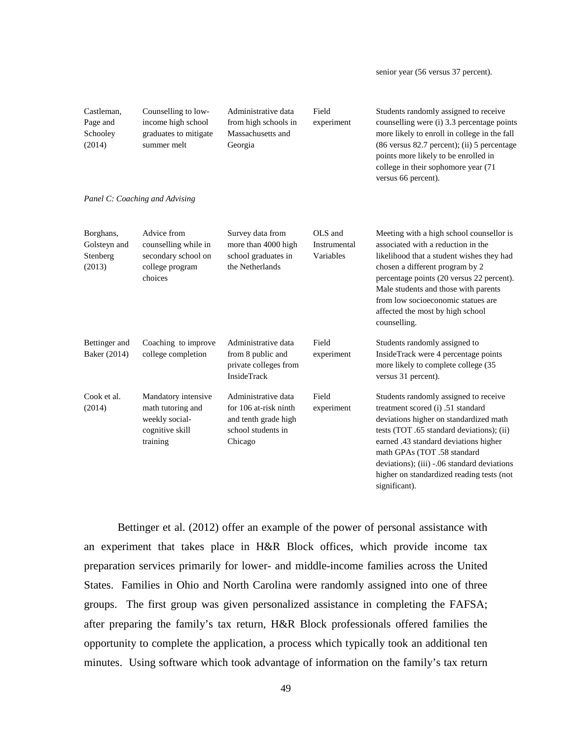significant).

| Castleman,<br>Page and<br>Schooley<br>(2014)    | Counselling to low-<br>income high school<br>graduates to mitigate<br>summer melt         | Administrative data<br>from high schools in<br>Massachusetts and<br>Georgia                           | Field<br>experiment                  | Students randomly assigned to receive<br>counselling were (i) 3.3 percentage points<br>more likely to enroll in college in the fall<br>(86 versus 82.7 percent); (ii) 5 percentage<br>points more likely to be enrolled in<br>college in their sophomore year (71<br>versus 66 percent).                                                      |
|-------------------------------------------------|-------------------------------------------------------------------------------------------|-------------------------------------------------------------------------------------------------------|--------------------------------------|-----------------------------------------------------------------------------------------------------------------------------------------------------------------------------------------------------------------------------------------------------------------------------------------------------------------------------------------------|
|                                                 | Panel C: Coaching and Advising                                                            |                                                                                                       |                                      |                                                                                                                                                                                                                                                                                                                                               |
| Borghans,<br>Golsteyn and<br>Stenberg<br>(2013) | Advice from<br>counselling while in<br>secondary school on<br>college program<br>choices  | Survey data from<br>more than 4000 high<br>school graduates in<br>the Netherlands                     | OLS and<br>Instrumental<br>Variables | Meeting with a high school counsellor is<br>associated with a reduction in the<br>likelihood that a student wishes they had<br>chosen a different program by 2<br>percentage points (20 versus 22 percent).<br>Male students and those with parents<br>from low socioeconomic statues are<br>affected the most by high school<br>counselling. |
| Bettinger and<br>Baker (2014)                   | Coaching to improve<br>college completion                                                 | Administrative data<br>from 8 public and<br>private colleges from<br><b>InsideTrack</b>               | Field<br>experiment                  | Students randomly assigned to<br>InsideTrack were 4 percentage points<br>more likely to complete college (35<br>versus 31 percent).                                                                                                                                                                                                           |
| Cook et al.<br>(2014)                           | Mandatory intensive<br>math tutoring and<br>weekly social-<br>cognitive skill<br>training | Administrative data<br>for 106 at-risk ninth<br>and tenth grade high<br>school students in<br>Chicago | Field<br>experiment                  | Students randomly assigned to receive<br>treatment scored (i) .51 standard<br>deviations higher on standardized math<br>tests (TOT .65 standard deviations); (ii)<br>earned .43 standard deviations higher<br>math GPAs (TOT .58 standard<br>deviations); (iii) -.06 standard deviations<br>higher on standardized reading tests (not         |

Bettinger et al. (2012) offer an example of the power of personal assistance with an experiment that takes place in H&R Block offices, which provide income tax preparation services primarily for lower- and middle-income families across the United States. Families in Ohio and North Carolina were randomly assigned into one of three groups. The first group was given personalized assistance in completing the FAFSA; after preparing the family's tax return, H&R Block professionals offered families the opportunity to complete the application, a process which typically took an additional ten minutes. Using software which took advantage of information on the family's tax return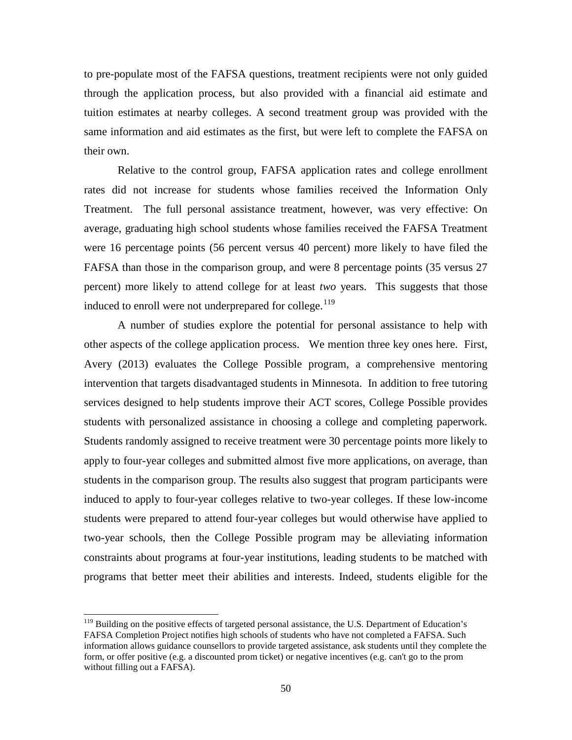to pre-populate most of the FAFSA questions, treatment recipients were not only guided through the application process, but also provided with a financial aid estimate and tuition estimates at nearby colleges. A second treatment group was provided with the same information and aid estimates as the first, but were left to complete the FAFSA on their own.

Relative to the control group, FAFSA application rates and college enrollment rates did not increase for students whose families received the Information Only Treatment. The full personal assistance treatment, however, was very effective: On average, graduating high school students whose families received the FAFSA Treatment were 16 percentage points (56 percent versus 40 percent) more likely to have filed the FAFSA than those in the comparison group, and were 8 percentage points (35 versus 27 percent) more likely to attend college for at least *two* years. This suggests that those induced to enroll were not underprepared for college.<sup>[119](#page-45-1)</sup>

A number of studies explore the potential for personal assistance to help with other aspects of the college application process. We mention three key ones here. First, Avery (2013) evaluates the College Possible program, a comprehensive mentoring intervention that targets disadvantaged students in Minnesota. In addition to free tutoring services designed to help students improve their ACT scores, College Possible provides students with personalized assistance in choosing a college and completing paperwork. Students randomly assigned to receive treatment were 30 percentage points more likely to apply to four-year colleges and submitted almost five more applications, on average, than students in the comparison group. The results also suggest that program participants were induced to apply to four-year colleges relative to two-year colleges. If these low-income students were prepared to attend four-year colleges but would otherwise have applied to two-year schools, then the College Possible program may be alleviating information constraints about programs at four-year institutions, leading students to be matched with programs that better meet their abilities and interests. Indeed, students eligible for the

<span id="page-51-0"></span><sup>&</sup>lt;sup>119</sup> Building on the positive effects of targeted personal assistance, the U.S. Department of Education's FAFSA Completion Project notifies high schools of students who have not completed a FAFSA. Such information allows guidance counsellors to provide targeted assistance, ask students until they complete the form, or offer positive (e.g. a discounted prom ticket) or negative incentives (e.g. can't go to the prom without filling out a FAFSA).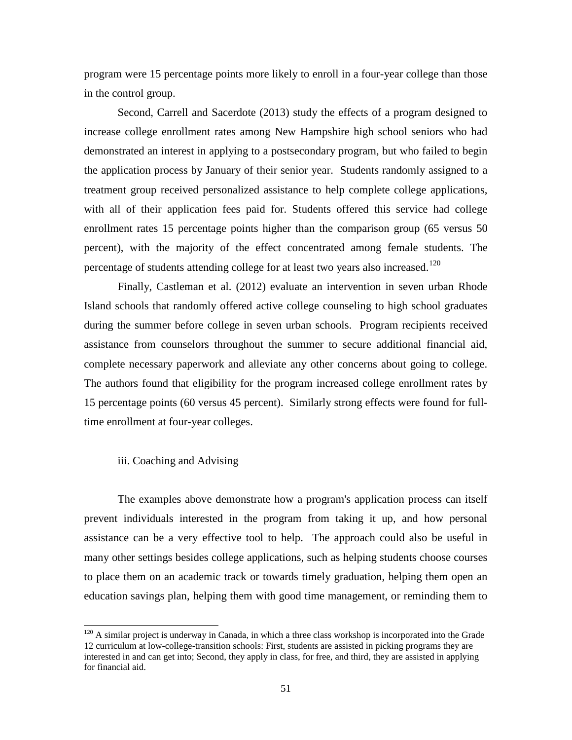program were 15 percentage points more likely to enroll in a four-year college than those in the control group.

Second, Carrell and Sacerdote (2013) study the effects of a program designed to increase college enrollment rates among New Hampshire high school seniors who had demonstrated an interest in applying to a postsecondary program, but who failed to begin the application process by January of their senior year. Students randomly assigned to a treatment group received personalized assistance to help complete college applications, with all of their application fees paid for. Students offered this service had college enrollment rates 15 percentage points higher than the comparison group (65 versus 50 percent), with the majority of the effect concentrated among female students. The percentage of students attending college for at least two years also increased.<sup>120</sup>

Finally, Castleman et al. (2012) evaluate an intervention in seven urban Rhode Island schools that randomly offered active college counseling to high school graduates during the summer before college in seven urban schools. Program recipients received assistance from counselors throughout the summer to secure additional financial aid, complete necessary paperwork and alleviate any other concerns about going to college. The authors found that eligibility for the program increased college enrollment rates by 15 percentage points (60 versus 45 percent). Similarly strong effects were found for fulltime enrollment at four-year colleges.

#### iii. Coaching and Advising

The examples above demonstrate how a program's application process can itself prevent individuals interested in the program from taking it up, and how personal assistance can be a very effective tool to help. The approach could also be useful in many other settings besides college applications, such as helping students choose courses to place them on an academic track or towards timely graduation, helping them open an education savings plan, helping them with good time management, or reminding them to

<span id="page-52-0"></span> $120$  A similar project is underway in Canada, in which a three class workshop is incorporated into the Grade 12 curriculum at low-college-transition schools: First, students are assisted in picking programs they are interested in and can get into; Second, they apply in class, for free, and third, they are assisted in applying for financial aid.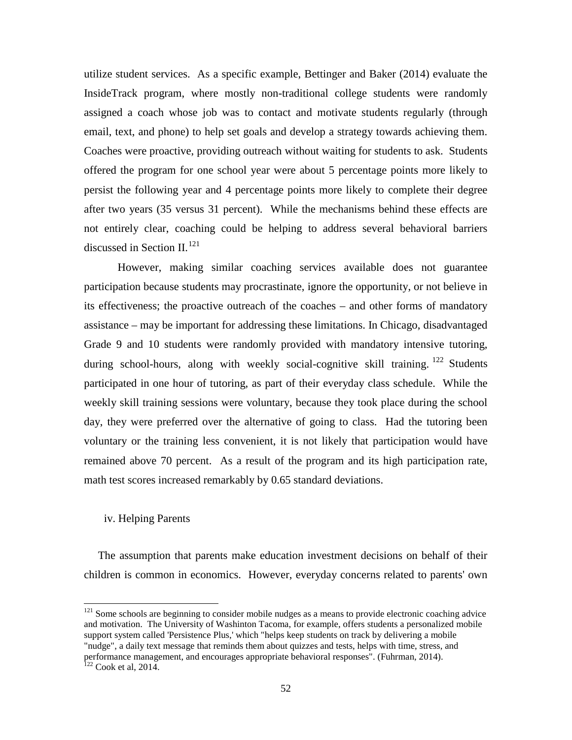utilize student services. As a specific example, Bettinger and Baker (2014) evaluate the InsideTrack program, where mostly non-traditional college students were randomly assigned a coach whose job was to contact and motivate students regularly (through email, text, and phone) to help set goals and develop a strategy towards achieving them. Coaches were proactive, providing outreach without waiting for students to ask. Students offered the program for one school year were about 5 percentage points more likely to persist the following year and 4 percentage points more likely to complete their degree after two years (35 versus 31 percent). While the mechanisms behind these effects are not entirely clear, coaching could be helping to address several behavioral barriers discussed in Section II. $^{121}$  $^{121}$  $^{121}$ 

However, making similar coaching services available does not guarantee participation because students may procrastinate, ignore the opportunity, or not believe in its effectiveness; the proactive outreach of the coaches – and other forms of mandatory assistance – may be important for addressing these limitations. In Chicago, disadvantaged Grade 9 and 10 students were randomly provided with mandatory intensive tutoring, during school-hours, along with weekly social-cognitive skill training.  $122$  Students participated in one hour of tutoring, as part of their everyday class schedule. While the weekly skill training sessions were voluntary, because they took place during the school day, they were preferred over the alternative of going to class. Had the tutoring been voluntary or the training less convenient, it is not likely that participation would have remained above 70 percent. As a result of the program and its high participation rate, math test scores increased remarkably by 0.65 standard deviations.

### iv. Helping Parents

 The assumption that parents make education investment decisions on behalf of their children is common in economics. However, everyday concerns related to parents' own

<span id="page-53-1"></span><sup>&</sup>lt;sup>121</sup> Some schools are beginning to consider mobile nudges as a means to provide electronic coaching advice and motivation. The University of Washinton Tacoma, for example, offers students a personalized mobile support system called 'Persistence Plus,' which "helps keep students on track by delivering a mobile "nudge", a daily text message that reminds them about quizzes and tests, helps with time, stress, and performance management, and encourages appropriate behavioral responses". (Fuhrman, 2014). <sup>122</sup> Cook et al, 2014.

<span id="page-53-0"></span>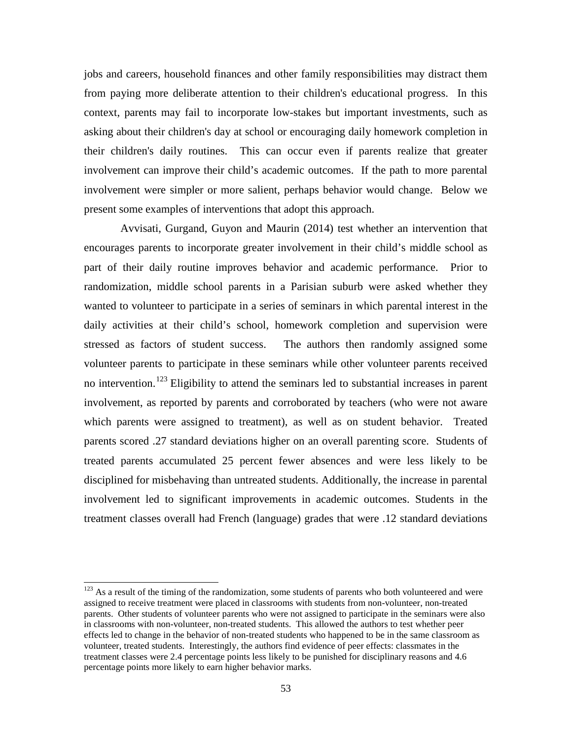jobs and careers, household finances and other family responsibilities may distract them from paying more deliberate attention to their children's educational progress. In this context, parents may fail to incorporate low-stakes but important investments, such as asking about their children's day at school or encouraging daily homework completion in their children's daily routines. This can occur even if parents realize that greater involvement can improve their child's academic outcomes. If the path to more parental involvement were simpler or more salient, perhaps behavior would change. Below we present some examples of interventions that adopt this approach.

Avvisati, Gurgand, Guyon and Maurin (2014) test whether an intervention that encourages parents to incorporate greater involvement in their child's middle school as part of their daily routine improves behavior and academic performance. Prior to randomization, middle school parents in a Parisian suburb were asked whether they wanted to volunteer to participate in a series of seminars in which parental interest in the daily activities at their child's school, homework completion and supervision were stressed as factors of student success. The authors then randomly assigned some volunteer parents to participate in these seminars while other volunteer parents received no intervention.<sup>[123](#page-53-1)</sup> Eligibility to attend the seminars led to substantial increases in parent involvement, as reported by parents and corroborated by teachers (who were not aware which parents were assigned to treatment), as well as on student behavior. Treated parents scored .27 standard deviations higher on an overall parenting score. Students of treated parents accumulated 25 percent fewer absences and were less likely to be disciplined for misbehaving than untreated students. Additionally, the increase in parental involvement led to significant improvements in academic outcomes. Students in the treatment classes overall had French (language) grades that were .12 standard deviations

<span id="page-54-0"></span><sup>&</sup>lt;sup>123</sup> As a result of the timing of the randomization, some students of parents who both volunteered and were assigned to receive treatment were placed in classrooms with students from non-volunteer, non-treated parents. Other students of volunteer parents who were not assigned to participate in the seminars were also in classrooms with non-volunteer, non-treated students. This allowed the authors to test whether peer effects led to change in the behavior of non-treated students who happened to be in the same classroom as volunteer, treated students. Interestingly, the authors find evidence of peer effects: classmates in the treatment classes were 2.4 percentage points less likely to be punished for disciplinary reasons and 4.6 percentage points more likely to earn higher behavior marks.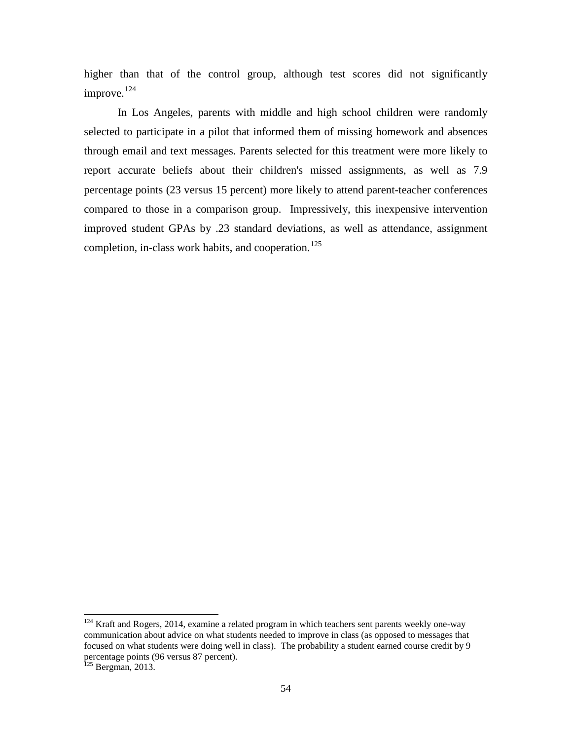higher than that of the control group, although test scores did not significantly improve.<sup>[124](#page-54-0)</sup>

In Los Angeles, parents with middle and high school children were randomly selected to participate in a pilot that informed them of missing homework and absences through email and text messages. Parents selected for this treatment were more likely to report accurate beliefs about their children's missed assignments, as well as 7.9 percentage points (23 versus 15 percent) more likely to attend parent-teacher conferences compared to those in a comparison group. Impressively, this inexpensive intervention improved student GPAs by .23 standard deviations, as well as attendance, assignment completion, in-class work habits, and cooperation. [125](#page-55-0)

<sup>&</sup>lt;sup>124</sup> Kraft and Rogers, 2014, examine a related program in which teachers sent parents weekly one-way communication about advice on what students needed to improve in class (as opposed to messages that focused on what students were doing well in class). The probability a student earned course credit by 9 percentage points (96 versus 87 percent).

<span id="page-55-0"></span> $125$  Bergman, 2013.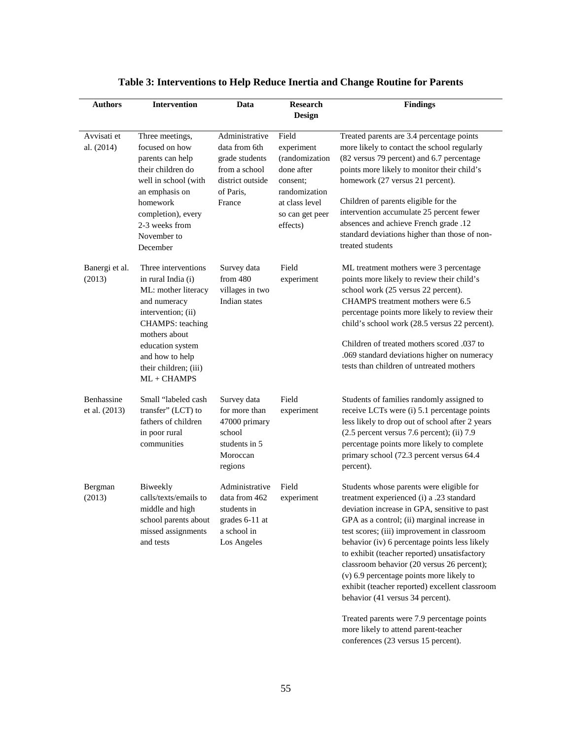| <b>Authors</b>              | Intervention                                                                                                                                                                                                                 | Data                                                                                                          | <b>Research</b><br>Design                                                                                                         | <b>Findings</b>                                                                                                                                                                                                                                                                                                                                                                                                                                                                                                                                                                                           |
|-----------------------------|------------------------------------------------------------------------------------------------------------------------------------------------------------------------------------------------------------------------------|---------------------------------------------------------------------------------------------------------------|-----------------------------------------------------------------------------------------------------------------------------------|-----------------------------------------------------------------------------------------------------------------------------------------------------------------------------------------------------------------------------------------------------------------------------------------------------------------------------------------------------------------------------------------------------------------------------------------------------------------------------------------------------------------------------------------------------------------------------------------------------------|
| Avvisati et<br>al. (2014)   | Three meetings,<br>focused on how<br>parents can help<br>their children do<br>well in school (with<br>an emphasis on<br>homework<br>completion), every<br>2-3 weeks from<br>November to<br>December                          | Administrative<br>data from 6th<br>grade students<br>from a school<br>district outside<br>of Paris,<br>France | Field<br>experiment<br>(randomization<br>done after<br>consent;<br>randomization<br>at class level<br>so can get peer<br>effects) | Treated parents are 3.4 percentage points<br>more likely to contact the school regularly<br>(82 versus 79 percent) and 6.7 percentage<br>points more likely to monitor their child's<br>homework (27 versus 21 percent).<br>Children of parents eligible for the<br>intervention accumulate 25 percent fewer<br>absences and achieve French grade .12<br>standard deviations higher than those of non-<br>treated students                                                                                                                                                                                |
| Banergi et al.<br>(2013)    | Three interventions<br>in rural India (i)<br>ML: mother literacy<br>and numeracy<br>intervention; (ii)<br>CHAMPS: teaching<br>mothers about<br>education system<br>and how to help<br>their children; (iii)<br>$ML + CHAMPS$ | Survey data<br>from 480<br>villages in two<br>Indian states                                                   | Field<br>experiment                                                                                                               | ML treatment mothers were 3 percentage<br>points more likely to review their child's<br>school work (25 versus 22 percent).<br>CHAMPS treatment mothers were 6.5<br>percentage points more likely to review their<br>child's school work (28.5 versus 22 percent).<br>Children of treated mothers scored .037 to<br>.069 standard deviations higher on numeracy<br>tests than children of untreated mothers                                                                                                                                                                                               |
| Benhassine<br>et al. (2013) | Small "labeled cash<br>transfer" (LCT) to<br>fathers of children<br>in poor rural<br>communities                                                                                                                             | Survey data<br>for more than<br>47000 primary<br>school<br>students in 5<br>Moroccan<br>regions               | Field<br>experiment                                                                                                               | Students of families randomly assigned to<br>receive LCTs were (i) 5.1 percentage points<br>less likely to drop out of school after 2 years<br>(2.5 percent versus 7.6 percent); (ii) 7.9<br>percentage points more likely to complete<br>primary school (72.3 percent versus 64.4<br>percent).                                                                                                                                                                                                                                                                                                           |
| Bergman<br>(2013)           | Biweekly<br>calls/texts/emails to<br>middle and high<br>school parents about<br>missed assignments<br>and tests                                                                                                              | Administrative<br>data from 462<br>students in<br>grades 6-11 at<br>a school in<br>Los Angeles                | Field<br>experiment                                                                                                               | Students whose parents were eligible for<br>treatment experienced (i) a .23 standard<br>deviation increase in GPA, sensitive to past<br>GPA as a control; (ii) marginal increase in<br>test scores; (iii) improvement in classroom<br>behavior (iv) 6 percentage points less likely<br>to exhibit (teacher reported) unsatisfactory<br>classroom behavior (20 versus 26 percent);<br>(v) 6.9 percentage points more likely to<br>exhibit (teacher reported) excellent classroom<br>behavior (41 versus 34 percent).<br>Treated parents were 7.9 percentage points<br>more likely to attend parent-teacher |

## **Table 3: Interventions to Help Reduce Inertia and Change Routine for Parents**

conferences (23 versus 15 percent).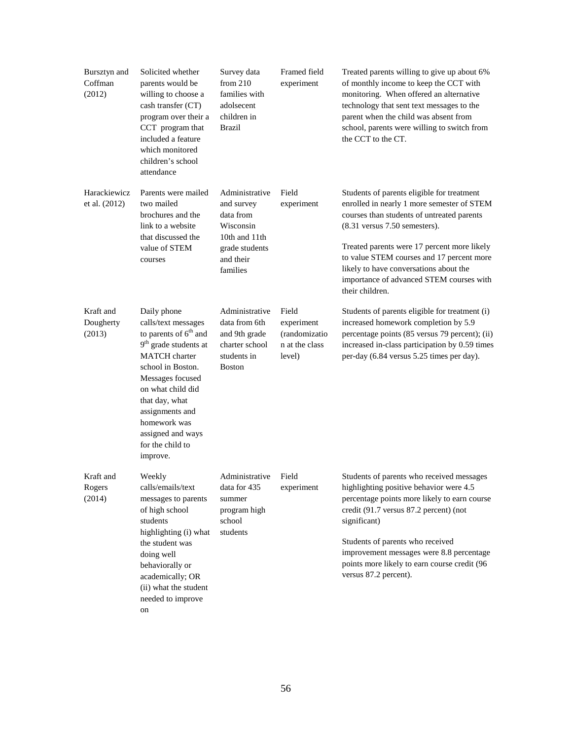| Bursztyn and<br>Coffman<br>(2012) | Solicited whether<br>parents would be<br>willing to choose a<br>cash transfer (CT)<br>program over their a<br>CCT program that<br>included a feature<br>which monitored<br>children's school<br>attendance                                                                                         | Survey data<br>from 210<br>families with<br>adolsecent<br>children in<br><b>Brazil</b>                             | Framed field<br>experiment                                       | Treated parents willing to give up about 6%<br>of monthly income to keep the CCT with<br>monitoring. When offered an alternative<br>technology that sent text messages to the<br>parent when the child was absent from<br>school, parents were willing to switch from<br>the CCT to the CT.                                                                                      |
|-----------------------------------|----------------------------------------------------------------------------------------------------------------------------------------------------------------------------------------------------------------------------------------------------------------------------------------------------|--------------------------------------------------------------------------------------------------------------------|------------------------------------------------------------------|----------------------------------------------------------------------------------------------------------------------------------------------------------------------------------------------------------------------------------------------------------------------------------------------------------------------------------------------------------------------------------|
| Harackiewicz<br>et al. (2012)     | Parents were mailed<br>two mailed<br>brochures and the<br>link to a website<br>that discussed the<br>value of STEM<br>courses                                                                                                                                                                      | Administrative<br>and survey<br>data from<br>Wisconsin<br>10th and 11th<br>grade students<br>and their<br>families | Field<br>experiment                                              | Students of parents eligible for treatment<br>enrolled in nearly 1 more semester of STEM<br>courses than students of untreated parents<br>$(8.31$ versus $7.50$ semesters).<br>Treated parents were 17 percent more likely<br>to value STEM courses and 17 percent more<br>likely to have conversations about the<br>importance of advanced STEM courses with<br>their children. |
| Kraft and<br>Dougherty<br>(2013)  | Daily phone<br>calls/text messages<br>to parents of 6 <sup>th</sup> and<br>$9th$ grade students at<br><b>MATCH</b> charter<br>school in Boston.<br>Messages focused<br>on what child did<br>that day, what<br>assignments and<br>homework was<br>assigned and ways<br>for the child to<br>improve. | Administrative<br>data from 6th<br>and 9th grade<br>charter school<br>students in<br><b>Boston</b>                 | Field<br>experiment<br>(randomizatio<br>n at the class<br>level) | Students of parents eligible for treatment (i)<br>increased homework completion by 5.9<br>percentage points (85 versus 79 percent); (ii)<br>increased in-class participation by 0.59 times<br>per-day (6.84 versus 5.25 times per day).                                                                                                                                          |
| Kraft and<br>Rogers<br>(2014)     | Weekly<br>calls/emails/text<br>messages to parents<br>of high school<br>students<br>highlighting (i) what<br>the student was<br>doing well<br>behaviorally or<br>academically; OR<br>(ii) what the student<br>needed to improve<br>on                                                              | Administrative<br>data for 435<br>summer<br>program high<br>school<br>students                                     | Field<br>experiment                                              | Students of parents who received messages<br>highlighting positive behavior were 4.5<br>percentage points more likely to earn course<br>credit (91.7 versus 87.2 percent) (not<br>significant)<br>Students of parents who received<br>improvement messages were 8.8 percentage<br>points more likely to earn course credit (96<br>versus 87.2 percent).                          |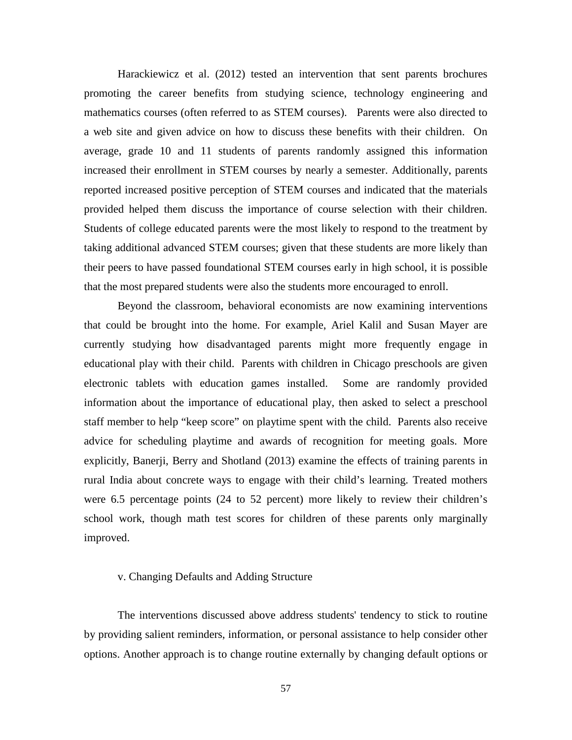Harackiewicz et al. (2012) tested an intervention that sent parents brochures promoting the career benefits from studying science, technology engineering and mathematics courses (often referred to as STEM courses). Parents were also directed to a web site and given advice on how to discuss these benefits with their children. On average, grade 10 and 11 students of parents randomly assigned this information increased their enrollment in STEM courses by nearly a semester. Additionally, parents reported increased positive perception of STEM courses and indicated that the materials provided helped them discuss the importance of course selection with their children. Students of college educated parents were the most likely to respond to the treatment by taking additional advanced STEM courses; given that these students are more likely than their peers to have passed foundational STEM courses early in high school, it is possible that the most prepared students were also the students more encouraged to enroll.

Beyond the classroom, behavioral economists are now examining interventions that could be brought into the home. For example, Ariel Kalil and Susan Mayer are currently studying how disadvantaged parents might more frequently engage in educational play with their child. Parents with children in Chicago preschools are given electronic tablets with education games installed. Some are randomly provided information about the importance of educational play, then asked to select a preschool staff member to help "keep score" on playtime spent with the child. Parents also receive advice for scheduling playtime and awards of recognition for meeting goals. More explicitly, Banerji, Berry and Shotland (2013) examine the effects of training parents in rural India about concrete ways to engage with their child's learning. Treated mothers were 6.5 percentage points (24 to 52 percent) more likely to review their children's school work, though math test scores for children of these parents only marginally improved.

#### v. Changing Defaults and Adding Structure

The interventions discussed above address students' tendency to stick to routine by providing salient reminders, information, or personal assistance to help consider other options. Another approach is to change routine externally by changing default options or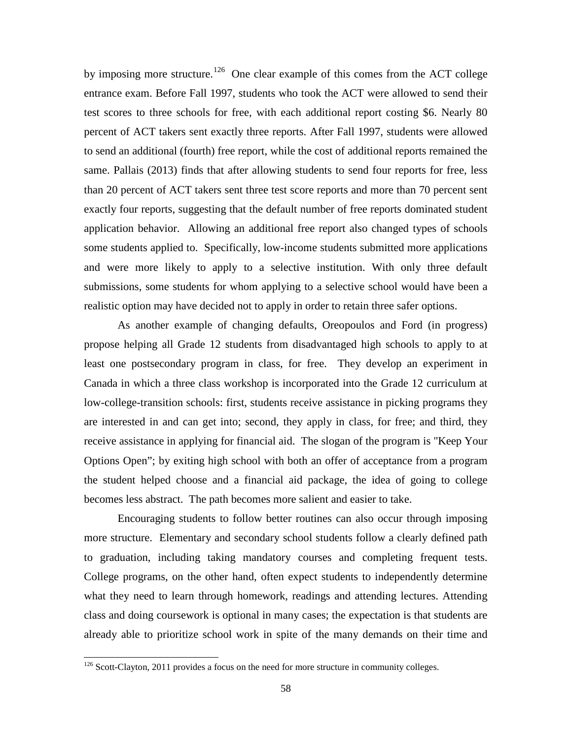by imposing more structure.<sup>126</sup> One clear example of this comes from the ACT college entrance exam. Before Fall 1997, students who took the ACT were allowed to send their test scores to three schools for free, with each additional report costing \$6. Nearly 80 percent of ACT takers sent exactly three reports. After Fall 1997, students were allowed to send an additional (fourth) free report, while the cost of additional reports remained the same. Pallais (2013) finds that after allowing students to send four reports for free, less than 20 percent of ACT takers sent three test score reports and more than 70 percent sent exactly four reports, suggesting that the default number of free reports dominated student application behavior. Allowing an additional free report also changed types of schools some students applied to. Specifically, low-income students submitted more applications and were more likely to apply to a selective institution. With only three default submissions, some students for whom applying to a selective school would have been a realistic option may have decided not to apply in order to retain three safer options.

As another example of changing defaults, Oreopoulos and Ford (in progress) propose helping all Grade 12 students from disadvantaged high schools to apply to at least one postsecondary program in class, for free. They develop an experiment in Canada in which a three class workshop is incorporated into the Grade 12 curriculum at low-college-transition schools: first, students receive assistance in picking programs they are interested in and can get into; second, they apply in class, for free; and third, they receive assistance in applying for financial aid. The slogan of the program is "Keep Your Options Open"; by exiting high school with both an offer of acceptance from a program the student helped choose and a financial aid package, the idea of going to college becomes less abstract. The path becomes more salient and easier to take.

Encouraging students to follow better routines can also occur through imposing more structure. Elementary and secondary school students follow a clearly defined path to graduation, including taking mandatory courses and completing frequent tests. College programs, on the other hand, often expect students to independently determine what they need to learn through homework, readings and attending lectures. Attending class and doing coursework is optional in many cases; the expectation is that students are already able to prioritize school work in spite of the many demands on their time and

<span id="page-59-0"></span><sup>&</sup>lt;sup>126</sup> Scott-Clayton, 2011 provides a focus on the need for more structure in community colleges.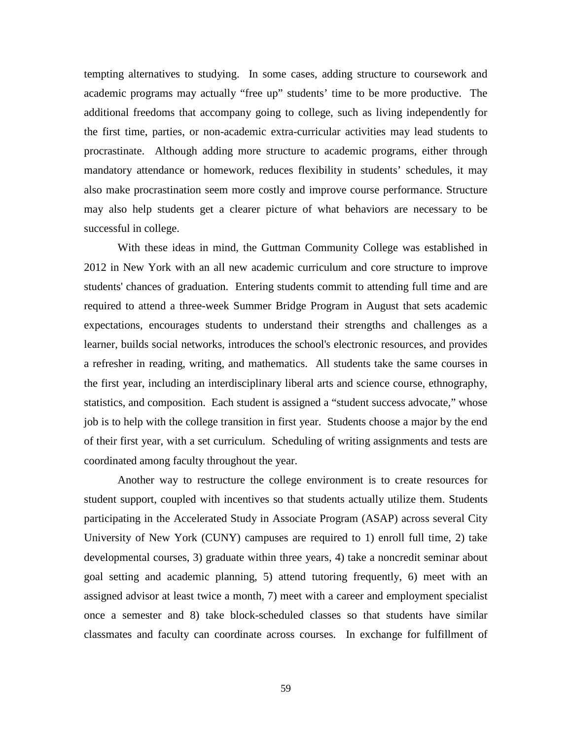tempting alternatives to studying. In some cases, adding structure to coursework and academic programs may actually "free up" students' time to be more productive. The additional freedoms that accompany going to college, such as living independently for the first time, parties, or non-academic extra-curricular activities may lead students to procrastinate. Although adding more structure to academic programs, either through mandatory attendance or homework, reduces flexibility in students' schedules, it may also make procrastination seem more costly and improve course performance. Structure may also help students get a clearer picture of what behaviors are necessary to be successful in college.

With these ideas in mind, the Guttman Community College was established in 2012 in New York with an all new academic curriculum and core structure to improve students' chances of graduation. Entering students commit to attending full time and are required to attend a three-week Summer Bridge Program in August that sets academic expectations, encourages students to understand their strengths and challenges as a learner, builds social networks, introduces the school's electronic resources, and provides a refresher in reading, writing, and mathematics. All students take the same courses in the first year, including an interdisciplinary liberal arts and science course, ethnography, statistics, and composition. Each student is assigned a "student success advocate," whose job is to help with the college transition in first year. Students choose a major by the end of their first year, with a set curriculum. Scheduling of writing assignments and tests are coordinated among faculty throughout the year.

Another way to restructure the college environment is to create resources for student support, coupled with incentives so that students actually utilize them. Students participating in the Accelerated Study in Associate Program (ASAP) across several City University of New York (CUNY) campuses are required to 1) enroll full time, 2) take developmental courses, 3) graduate within three years, 4) take a noncredit seminar about goal setting and academic planning, 5) attend tutoring frequently, 6) meet with an assigned advisor at least twice a month, 7) meet with a career and employment specialist once a semester and 8) take block-scheduled classes so that students have similar classmates and faculty can coordinate across courses. In exchange for fulfillment of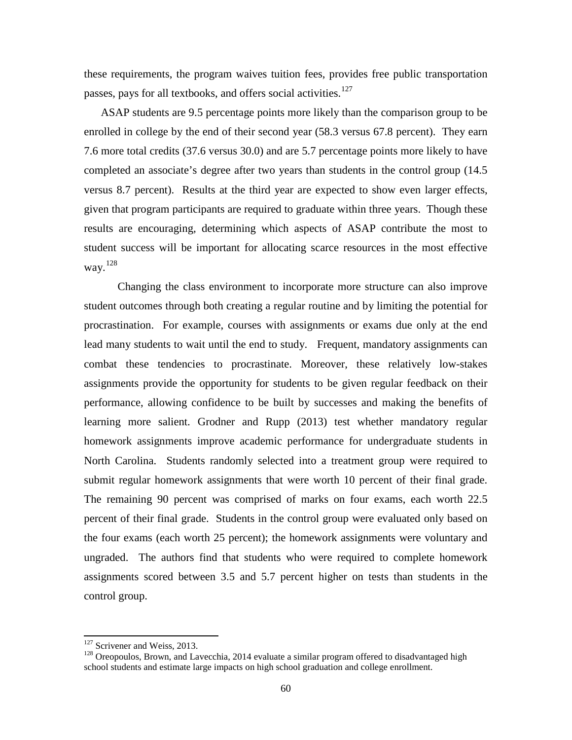these requirements, the program waives tuition fees, provides free public transportation passes, pays for all textbooks, and offers social activities.<sup>[127](#page-59-0)</sup>

 ASAP students are 9.5 percentage points more likely than the comparison group to be enrolled in college by the end of their second year (58.3 versus 67.8 percent). They earn 7.6 more total credits (37.6 versus 30.0) and are 5.7 percentage points more likely to have completed an associate's degree after two years than students in the control group (14.5 versus 8.7 percent). Results at the third year are expected to show even larger effects, given that program participants are required to graduate within three years. Though these results are encouraging, determining which aspects of ASAP contribute the most to student success will be important for allocating scarce resources in the most effective way.[128](#page-61-0) 

Changing the class environment to incorporate more structure can also improve student outcomes through both creating a regular routine and by limiting the potential for procrastination. For example, courses with assignments or exams due only at the end lead many students to wait until the end to study. Frequent, mandatory assignments can combat these tendencies to procrastinate. Moreover, these relatively low-stakes assignments provide the opportunity for students to be given regular feedback on their performance, allowing confidence to be built by successes and making the benefits of learning more salient. Grodner and Rupp (2013) test whether mandatory regular homework assignments improve academic performance for undergraduate students in North Carolina. Students randomly selected into a treatment group were required to submit regular homework assignments that were worth 10 percent of their final grade. The remaining 90 percent was comprised of marks on four exams, each worth 22.5 percent of their final grade. Students in the control group were evaluated only based on the four exams (each worth 25 percent); the homework assignments were voluntary and ungraded. The authors find that students who were required to complete homework assignments scored between 3.5 and 5.7 percent higher on tests than students in the control group.

<span id="page-61-0"></span><sup>&</sup>lt;sup>127</sup> Scrivener and Weiss, 2013.<br><sup>128</sup> Oreopoulos, Brown, and Lavecchia, 2014 evaluate a similar program offered to disadvantaged high school students and estimate large impacts on high school graduation and college enrollment.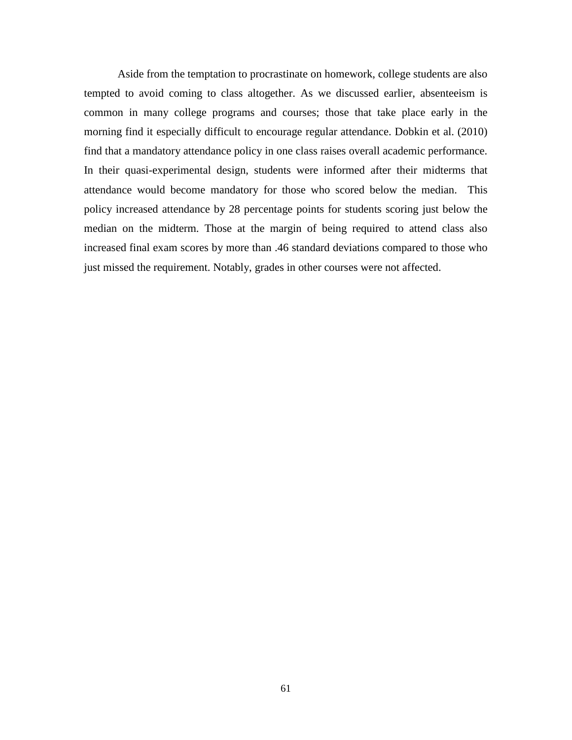Aside from the temptation to procrastinate on homework, college students are also tempted to avoid coming to class altogether. As we discussed earlier, absenteeism is common in many college programs and courses; those that take place early in the morning find it especially difficult to encourage regular attendance. Dobkin et al. (2010) find that a mandatory attendance policy in one class raises overall academic performance. In their quasi-experimental design, students were informed after their midterms that attendance would become mandatory for those who scored below the median. This policy increased attendance by 28 percentage points for students scoring just below the median on the midterm. Those at the margin of being required to attend class also increased final exam scores by more than .46 standard deviations compared to those who just missed the requirement. Notably, grades in other courses were not affected.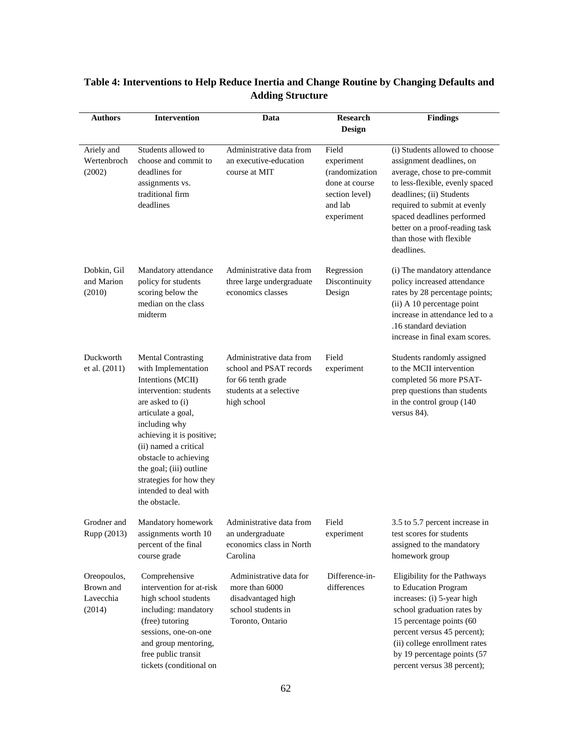## **Table 4: Interventions to Help Reduce Inertia and Change Routine by Changing Defaults and Adding Structure**

| <b>Authors</b>                                  | Intervention                                                                                                                                                                                                                                                                                                                              | Data                                                                                                                | <b>Research</b><br>Design                                                                          | <b>Findings</b>                                                                                                                                                                                                                                                                                     |
|-------------------------------------------------|-------------------------------------------------------------------------------------------------------------------------------------------------------------------------------------------------------------------------------------------------------------------------------------------------------------------------------------------|---------------------------------------------------------------------------------------------------------------------|----------------------------------------------------------------------------------------------------|-----------------------------------------------------------------------------------------------------------------------------------------------------------------------------------------------------------------------------------------------------------------------------------------------------|
| Ariely and<br>Wertenbroch<br>(2002)             | Students allowed to<br>choose and commit to<br>deadlines for<br>assignments vs.<br>traditional firm<br>deadlines                                                                                                                                                                                                                          | Administrative data from<br>an executive-education<br>course at MIT                                                 | Field<br>experiment<br>(randomization<br>done at course<br>section level)<br>and lab<br>experiment | (i) Students allowed to choose<br>assignment deadlines, on<br>average, chose to pre-commit<br>to less-flexible, evenly spaced<br>deadlines; (ii) Students<br>required to submit at evenly<br>spaced deadlines performed<br>better on a proof-reading task<br>than those with flexible<br>deadlines. |
| Dobkin, Gil<br>and Marion<br>(2010)             | Mandatory attendance<br>policy for students<br>scoring below the<br>median on the class<br>midterm                                                                                                                                                                                                                                        | Administrative data from<br>three large undergraduate<br>economics classes                                          | Regression<br>Discontinuity<br>Design                                                              | (i) The mandatory attendance<br>policy increased attendance<br>rates by 28 percentage points;<br>(ii) A 10 percentage point<br>increase in attendance led to a<br>.16 standard deviation<br>increase in final exam scores.                                                                          |
| Duckworth<br>et al. (2011)                      | <b>Mental Contrasting</b><br>with Implementation<br>Intentions (MCII)<br>intervention: students<br>are asked to (i)<br>articulate a goal,<br>including why<br>achieving it is positive;<br>(ii) named a critical<br>obstacle to achieving<br>the goal; (iii) outline<br>strategies for how they<br>intended to deal with<br>the obstacle. | Administrative data from<br>school and PSAT records<br>for 66 tenth grade<br>students at a selective<br>high school | Field<br>experiment                                                                                | Students randomly assigned<br>to the MCII intervention<br>completed 56 more PSAT-<br>prep questions than students<br>in the control group (140<br>versus 84).                                                                                                                                       |
| Grodner and<br>Rupp (2013)                      | Mandatory homework<br>assignments worth 10<br>percent of the final<br>course grade                                                                                                                                                                                                                                                        | Administrative data from<br>an undergraduate<br>economics class in North<br>Carolina                                | Field<br>experiment                                                                                | 3.5 to 5.7 percent increase in<br>test scores for students<br>assigned to the mandatory<br>homework group                                                                                                                                                                                           |
| Oreopoulos,<br>Brown and<br>Lavecchia<br>(2014) | Comprehensive<br>intervention for at-risk<br>high school students<br>including: mandatory<br>(free) tutoring<br>sessions, one-on-one<br>and group mentoring,<br>free public transit<br>tickets (conditional on                                                                                                                            | Administrative data for<br>more than 6000<br>disadvantaged high<br>school students in<br>Toronto, Ontario           | Difference-in-<br>differences                                                                      | Eligibility for the Pathways<br>to Education Program<br>increases: (i) 5-year high<br>school graduation rates by<br>15 percentage points (60<br>percent versus 45 percent);<br>(ii) college enrollment rates<br>by 19 percentage points (57<br>percent versus 38 percent);                          |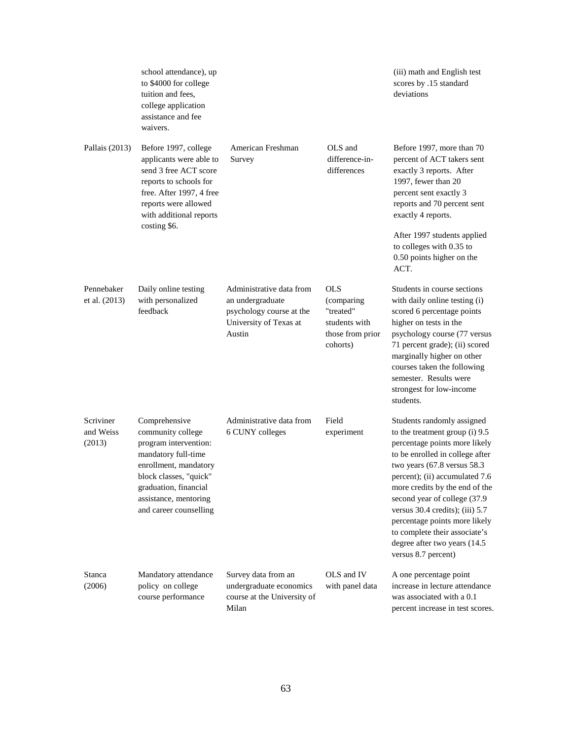|                                  | school attendance), up<br>to \$4000 for college<br>tuition and fees,<br>college application<br>assistance and fee<br>waivers.                                                                                     |                                                                                                              |                                                                                        | (iii) math and English test<br>scores by .15 standard<br>deviations                                                                                                                                                                                                                                                                                                                                                                 |
|----------------------------------|-------------------------------------------------------------------------------------------------------------------------------------------------------------------------------------------------------------------|--------------------------------------------------------------------------------------------------------------|----------------------------------------------------------------------------------------|-------------------------------------------------------------------------------------------------------------------------------------------------------------------------------------------------------------------------------------------------------------------------------------------------------------------------------------------------------------------------------------------------------------------------------------|
| Pallais (2013)                   | Before 1997, college<br>applicants were able to<br>send 3 free ACT score<br>reports to schools for<br>free. After 1997, 4 free<br>reports were allowed<br>with additional reports<br>costing \$6.                 | American Freshman<br>Survey                                                                                  | OLS and<br>difference-in-<br>differences                                               | Before 1997, more than 70<br>percent of ACT takers sent<br>exactly 3 reports. After<br>1997, fewer than 20<br>percent sent exactly 3<br>reports and 70 percent sent<br>exactly 4 reports.                                                                                                                                                                                                                                           |
|                                  |                                                                                                                                                                                                                   |                                                                                                              |                                                                                        | After 1997 students applied<br>to colleges with 0.35 to<br>0.50 points higher on the<br>ACT.                                                                                                                                                                                                                                                                                                                                        |
| Pennebaker<br>et al. (2013)      | Daily online testing<br>with personalized<br>feedback                                                                                                                                                             | Administrative data from<br>an undergraduate<br>psychology course at the<br>University of Texas at<br>Austin | <b>OLS</b><br>(comparing<br>"treated"<br>students with<br>those from prior<br>cohorts) | Students in course sections<br>with daily online testing (i)<br>scored 6 percentage points<br>higher on tests in the<br>psychology course (77 versus<br>71 percent grade); (ii) scored<br>marginally higher on other<br>courses taken the following<br>semester. Results were<br>strongest for low-income<br>students.                                                                                                              |
| Scriviner<br>and Weiss<br>(2013) | Comprehensive<br>community college<br>program intervention:<br>mandatory full-time<br>enrollment, mandatory<br>block classes, "quick"<br>graduation, financial<br>assistance, mentoring<br>and career counselling | Administrative data from<br>6 CUNY colleges                                                                  | Field<br>experiment                                                                    | Students randomly assigned<br>to the treatment group (i) 9.5<br>percentage points more likely<br>to be enrolled in college after<br>two years (67.8 versus 58.3<br>percent); (ii) accumulated 7.6<br>more credits by the end of the<br>second year of college (37.9<br>versus $30.4$ credits); (iii) $5.7$<br>percentage points more likely<br>to complete their associate's<br>degree after two years (14.5<br>versus 8.7 percent) |
| Stanca<br>(2006)                 | Mandatory attendance<br>policy on college<br>course performance                                                                                                                                                   | Survey data from an<br>undergraduate economics<br>course at the University of<br>Milan                       | OLS and IV<br>with panel data                                                          | A one percentage point<br>increase in lecture attendance<br>was associated with a 0.1<br>percent increase in test scores.                                                                                                                                                                                                                                                                                                           |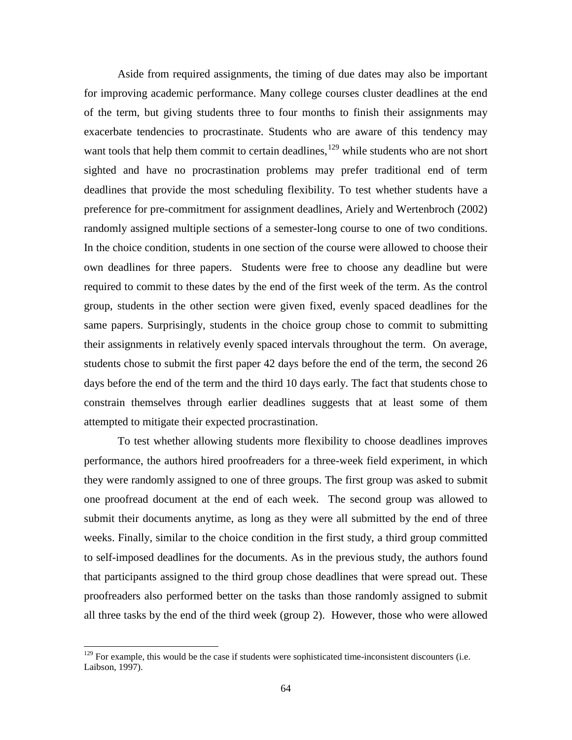Aside from required assignments, the timing of due dates may also be important for improving academic performance. Many college courses cluster deadlines at the end of the term, but giving students three to four months to finish their assignments may exacerbate tendencies to procrastinate. Students who are aware of this tendency may want tools that help them commit to certain deadlines, <sup>[129](#page-61-0)</sup> while students who are not short sighted and have no procrastination problems may prefer traditional end of term deadlines that provide the most scheduling flexibility. To test whether students have a preference for pre-commitment for assignment deadlines, Ariely and Wertenbroch (2002) randomly assigned multiple sections of a semester-long course to one of two conditions. In the choice condition, students in one section of the course were allowed to choose their own deadlines for three papers. Students were free to choose any deadline but were required to commit to these dates by the end of the first week of the term. As the control group, students in the other section were given fixed, evenly spaced deadlines for the same papers. Surprisingly, students in the choice group chose to commit to submitting their assignments in relatively evenly spaced intervals throughout the term. On average, students chose to submit the first paper 42 days before the end of the term, the second 26 days before the end of the term and the third 10 days early. The fact that students chose to constrain themselves through earlier deadlines suggests that at least some of them attempted to mitigate their expected procrastination.

To test whether allowing students more flexibility to choose deadlines improves performance, the authors hired proofreaders for a three-week field experiment, in which they were randomly assigned to one of three groups. The first group was asked to submit one proofread document at the end of each week. The second group was allowed to submit their documents anytime, as long as they were all submitted by the end of three weeks. Finally, similar to the choice condition in the first study, a third group committed to self-imposed deadlines for the documents. As in the previous study, the authors found that participants assigned to the third group chose deadlines that were spread out. These proofreaders also performed better on the tasks than those randomly assigned to submit all three tasks by the end of the third week (group 2). However, those who were allowed

<span id="page-65-0"></span> $129$  For example, this would be the case if students were sophisticated time-inconsistent discounters (i.e. Laibson, 1997).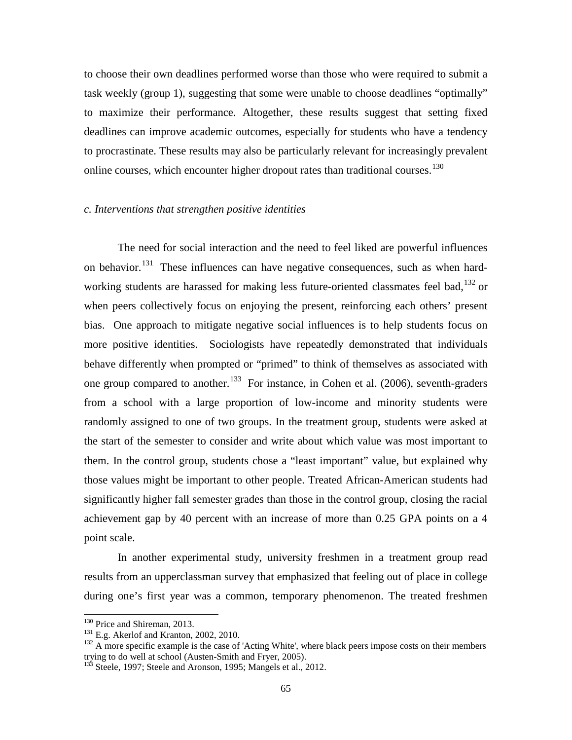to choose their own deadlines performed worse than those who were required to submit a task weekly (group 1), suggesting that some were unable to choose deadlines "optimally" to maximize their performance. Altogether, these results suggest that setting fixed deadlines can improve academic outcomes, especially for students who have a tendency to procrastinate. These results may also be particularly relevant for increasingly prevalent online courses, which encounter higher dropout rates than traditional courses.<sup>[130](#page-65-0)</sup>

#### *c. Interventions that strengthen positive identities*

The need for social interaction and the need to feel liked are powerful influences on behavior.<sup>[131](#page-66-0)</sup> These influences can have negative consequences, such as when hard-working students are harassed for making less future-oriented classmates feel bad,<sup>[132](#page-66-1)</sup> or when peers collectively focus on enjoying the present, reinforcing each others' present bias. One approach to mitigate negative social influences is to help students focus on more positive identities. Sociologists have repeatedly demonstrated that individuals behave differently when prompted or "primed" to think of themselves as associated with one group compared to another.<sup>133</sup> For instance, in Cohen et al. (2006), seventh-graders from a school with a large proportion of low-income and minority students were randomly assigned to one of two groups. In the treatment group, students were asked at the start of the semester to consider and write about which value was most important to them. In the control group, students chose a "least important" value, but explained why those values might be important to other people. Treated African-American students had significantly higher fall semester grades than those in the control group, closing the racial achievement gap by 40 percent with an increase of more than 0.25 GPA points on a 4 point scale.

In another experimental study, university freshmen in a treatment group read results from an upperclassman survey that emphasized that feeling out of place in college during one's first year was a common, temporary phenomenon. The treated freshmen

<span id="page-66-1"></span>

<span id="page-66-0"></span><sup>&</sup>lt;sup>130</sup> Price and Shireman, 2013.<br><sup>131</sup> E.g. Akerlof and Kranton, 2002, 2010.<br><sup>132</sup> A more specific example is the case of 'Acting White', where black peers impose costs on their members<br>trying to do well at school (Austen-S

<span id="page-66-2"></span> $t^{133}$  Steele, 1997; Steele and Aronson, 1995; Mangels et al., 2012.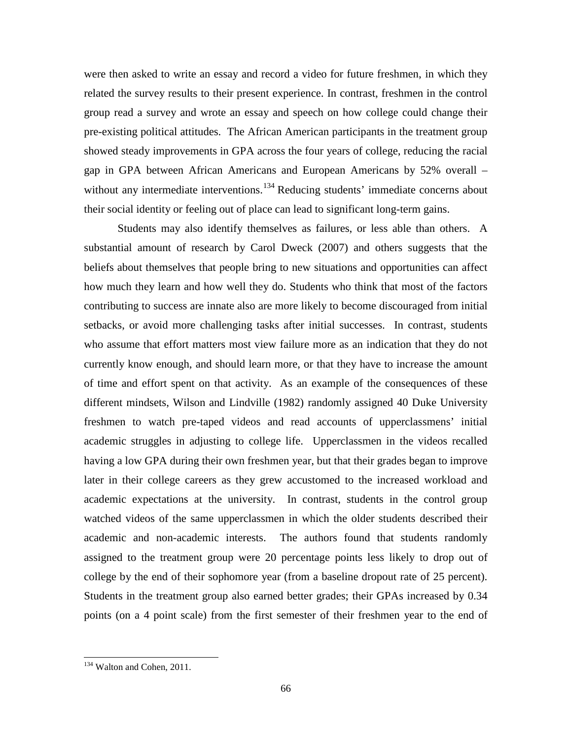were then asked to write an essay and record a video for future freshmen, in which they related the survey results to their present experience. In contrast, freshmen in the control group read a survey and wrote an essay and speech on how college could change their pre-existing political attitudes. The African American participants in the treatment group showed steady improvements in GPA across the four years of college, reducing the racial gap in GPA between African Americans and European Americans by 52% overall – without any intermediate interventions.<sup>[134](#page-66-2)</sup> Reducing students' immediate concerns about their social identity or feeling out of place can lead to significant long-term gains.

Students may also identify themselves as failures, or less able than others. A substantial amount of research by Carol Dweck (2007) and others suggests that the beliefs about themselves that people bring to new situations and opportunities can affect how much they learn and how well they do. Students who think that most of the factors contributing to success are innate also are more likely to become discouraged from initial setbacks, or avoid more challenging tasks after initial successes. In contrast, students who assume that effort matters most view failure more as an indication that they do not currently know enough, and should learn more, or that they have to increase the amount of time and effort spent on that activity. As an example of the consequences of these different mindsets, Wilson and Lindville (1982) randomly assigned 40 Duke University freshmen to watch pre-taped videos and read accounts of upperclassmens' initial academic struggles in adjusting to college life. Upperclassmen in the videos recalled having a low GPA during their own freshmen year, but that their grades began to improve later in their college careers as they grew accustomed to the increased workload and academic expectations at the university. In contrast, students in the control group watched videos of the same upperclassmen in which the older students described their academic and non-academic interests. The authors found that students randomly assigned to the treatment group were 20 percentage points less likely to drop out of college by the end of their sophomore year (from a baseline dropout rate of 25 percent). Students in the treatment group also earned better grades; their GPAs increased by 0.34 points (on a 4 point scale) from the first semester of their freshmen year to the end of

<span id="page-67-0"></span><sup>&</sup>lt;sup>134</sup> Walton and Cohen, 2011.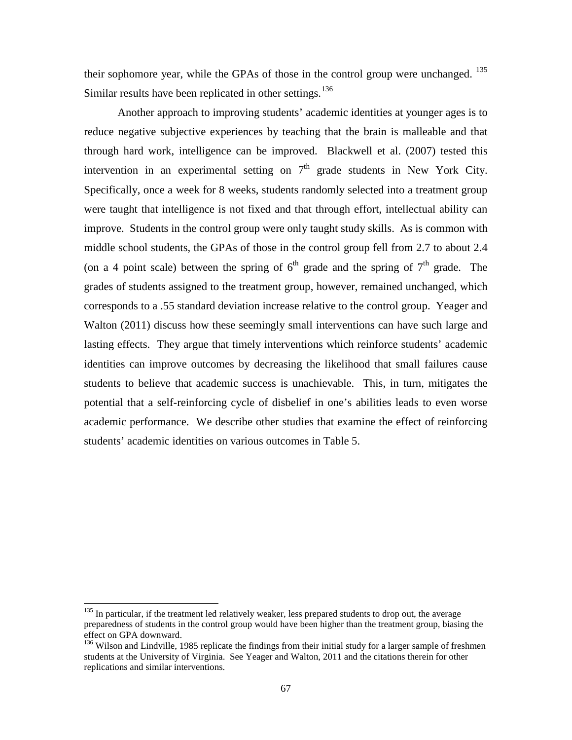their sophomore year, while the GPAs of those in the control group were unchanged. <sup>[135](#page-67-0)</sup> Similar results have been replicated in other settings.<sup>136</sup>

Another approach to improving students' academic identities at younger ages is to reduce negative subjective experiences by teaching that the brain is malleable and that through hard work, intelligence can be improved. Blackwell et al. (2007) tested this intervention in an experimental setting on  $7<sup>th</sup>$  grade students in New York City. Specifically, once a week for 8 weeks, students randomly selected into a treatment group were taught that intelligence is not fixed and that through effort, intellectual ability can improve. Students in the control group were only taught study skills. As is common with middle school students, the GPAs of those in the control group fell from 2.7 to about 2.4 (on a 4 point scale) between the spring of  $6<sup>th</sup>$  grade and the spring of  $7<sup>th</sup>$  grade. The grades of students assigned to the treatment group, however, remained unchanged, which corresponds to a .55 standard deviation increase relative to the control group. Yeager and Walton (2011) discuss how these seemingly small interventions can have such large and lasting effects. They argue that timely interventions which reinforce students' academic identities can improve outcomes by decreasing the likelihood that small failures cause students to believe that academic success is unachievable. This, in turn, mitigates the potential that a self-reinforcing cycle of disbelief in one's abilities leads to even worse academic performance. We describe other studies that examine the effect of reinforcing students' academic identities on various outcomes in Table 5.

<sup>&</sup>lt;sup>135</sup> In particular, if the treatment led relatively weaker, less prepared students to drop out, the average preparedness of students in the control group would have been higher than the treatment group, biasing the effect on GPA downward.

<span id="page-68-0"></span><sup>&</sup>lt;sup>136</sup> Wilson and Lindville, 1985 replicate the findings from their initial study for a larger sample of freshmen students at the University of Virginia. See Yeager and Walton, 2011 and the citations therein for other replications and similar interventions.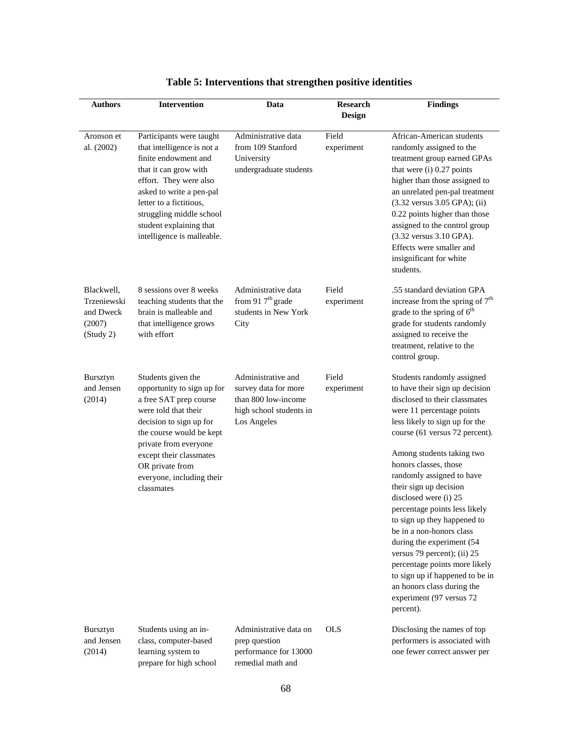| <b>Authors</b>                                                | <b>Intervention</b>                                                                                                                                                                                                                                                           | Data                                                                                                        | <b>Research</b>               | <b>Findings</b>                                                                                                                                                                                                                                                                                                                                                                                                                                                                                                                                                                                                                         |
|---------------------------------------------------------------|-------------------------------------------------------------------------------------------------------------------------------------------------------------------------------------------------------------------------------------------------------------------------------|-------------------------------------------------------------------------------------------------------------|-------------------------------|-----------------------------------------------------------------------------------------------------------------------------------------------------------------------------------------------------------------------------------------------------------------------------------------------------------------------------------------------------------------------------------------------------------------------------------------------------------------------------------------------------------------------------------------------------------------------------------------------------------------------------------------|
| Aronson et<br>al. (2002)                                      | Participants were taught<br>that intelligence is not a<br>finite endowment and<br>that it can grow with<br>effort. They were also<br>asked to write a pen-pal<br>letter to a fictitious,<br>struggling middle school<br>student explaining that<br>intelligence is malleable. | Administrative data<br>from 109 Stanford<br>University<br>undergraduate students                            | Design<br>Field<br>experiment | African-American students<br>randomly assigned to the<br>treatment group earned GPAs<br>that were (i) 0.27 points<br>higher than those assigned to<br>an unrelated pen-pal treatment<br>$(3.32 \text{ versus } 3.05 \text{ GPA})$ ; (ii)<br>0.22 points higher than those<br>assigned to the control group<br>(3.32 versus 3.10 GPA).<br>Effects were smaller and<br>insignificant for white<br>students.                                                                                                                                                                                                                               |
| Blackwell,<br>Trzeniewski<br>and Dweck<br>(2007)<br>(Study 2) | 8 sessions over 8 weeks<br>teaching students that the<br>brain is malleable and<br>that intelligence grows<br>with effort                                                                                                                                                     | Administrative data<br>from 91 $7th$ grade<br>students in New York<br>City                                  | Field<br>experiment           | .55 standard deviation GPA<br>increase from the spring of $7th$<br>grade to the spring of $6th$<br>grade for students randomly<br>assigned to receive the<br>treatment, relative to the<br>control group.                                                                                                                                                                                                                                                                                                                                                                                                                               |
| Bursztyn<br>and Jensen<br>(2014)                              | Students given the<br>opportunity to sign up for<br>a free SAT prep course<br>were told that their<br>decision to sign up for<br>the course would be kept<br>private from everyone<br>except their classmates<br>OR private from<br>everyone, including their<br>classmates   | Administrative and<br>survey data for more<br>than 800 low-income<br>high school students in<br>Los Angeles | Field<br>experiment           | Students randomly assigned<br>to have their sign up decision<br>disclosed to their classmates<br>were 11 percentage points<br>less likely to sign up for the<br>course (61 versus 72 percent).<br>Among students taking two<br>honors classes, those<br>randomly assigned to have<br>their sign up decision<br>disclosed were (i) 25<br>percentage points less likely<br>to sign up they happened to<br>be in a non-honors class<br>during the experiment (54<br>versus 79 percent); (ii) 25<br>percentage points more likely<br>to sign up if happened to be in<br>an honors class during the<br>experiment (97 versus 72<br>percent). |
| Bursztyn<br>and Jensen<br>(2014)                              | Students using an in-<br>class, computer-based<br>learning system to<br>prepare for high school                                                                                                                                                                               | Administrative data on<br>prep question<br>performance for 13000<br>remedial math and                       | <b>OLS</b>                    | Disclosing the names of top<br>performers is associated with<br>one fewer correct answer per                                                                                                                                                                                                                                                                                                                                                                                                                                                                                                                                            |

## **Table 5: Interventions that strengthen positive identities**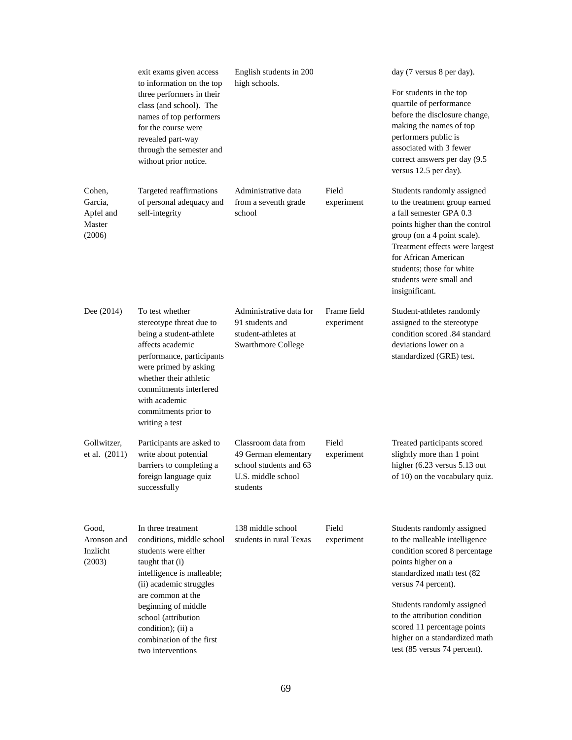|                                                    | exit exams given access<br>to information on the top<br>three performers in their                                                                                                                                                                                                             | English students in 200<br>high schools.                                                                |                           | day (7 versus 8 per day).<br>For students in the top                                                                                                                                                                                                                                                                                  |
|----------------------------------------------------|-----------------------------------------------------------------------------------------------------------------------------------------------------------------------------------------------------------------------------------------------------------------------------------------------|---------------------------------------------------------------------------------------------------------|---------------------------|---------------------------------------------------------------------------------------------------------------------------------------------------------------------------------------------------------------------------------------------------------------------------------------------------------------------------------------|
|                                                    | class (and school). The<br>names of top performers<br>for the course were<br>revealed part-way<br>through the semester and<br>without prior notice.                                                                                                                                           |                                                                                                         |                           | quartile of performance<br>before the disclosure change,<br>making the names of top<br>performers public is<br>associated with 3 fewer<br>correct answers per day (9.5<br>versus 12.5 per day).                                                                                                                                       |
| Cohen,<br>Garcia,<br>Apfel and<br>Master<br>(2006) | Targeted reaffirmations<br>of personal adequacy and<br>self-integrity                                                                                                                                                                                                                         | Administrative data<br>from a seventh grade<br>school                                                   | Field<br>experiment       | Students randomly assigned<br>to the treatment group earned<br>a fall semester GPA 0.3<br>points higher than the control<br>group (on a 4 point scale).<br>Treatment effects were largest<br>for African American<br>students; those for white<br>students were small and<br>insignificant.                                           |
| Dee (2014)                                         | To test whether<br>stereotype threat due to<br>being a student-athlete<br>affects academic<br>performance, participants<br>were primed by asking<br>whether their athletic<br>commitments interfered<br>with academic<br>commitments prior to<br>writing a test                               | Administrative data for<br>91 students and<br>student-athletes at<br>Swarthmore College                 | Frame field<br>experiment | Student-athletes randomly<br>assigned to the stereotype<br>condition scored .84 standard<br>deviations lower on a<br>standardized (GRE) test.                                                                                                                                                                                         |
| Gollwitzer,<br>et al. (2011)                       | Participants are asked to<br>write about potential<br>barriers to completing a<br>foreign language quiz<br>successfully                                                                                                                                                                       | Classroom data from<br>49 German elementary<br>school students and 63<br>U.S. middle school<br>students | Field<br>experiment       | Treated participants scored<br>slightly more than 1 point<br>higher (6.23 versus 5.13 out<br>of 10) on the vocabulary quiz.                                                                                                                                                                                                           |
| Good.<br>Aronson and<br>Inzlicht<br>(2003)         | In three treatment<br>conditions, middle school<br>students were either<br>taught that (i)<br>intelligence is malleable;<br>(ii) academic struggles<br>are common at the<br>beginning of middle<br>school (attribution<br>condition); (ii) a<br>combination of the first<br>two interventions | 138 middle school<br>students in rural Texas                                                            | Field<br>experiment       | Students randomly assigned<br>to the malleable intelligence<br>condition scored 8 percentage<br>points higher on a<br>standardized math test (82<br>versus 74 percent).<br>Students randomly assigned<br>to the attribution condition<br>scored 11 percentage points<br>higher on a standardized math<br>test (85 versus 74 percent). |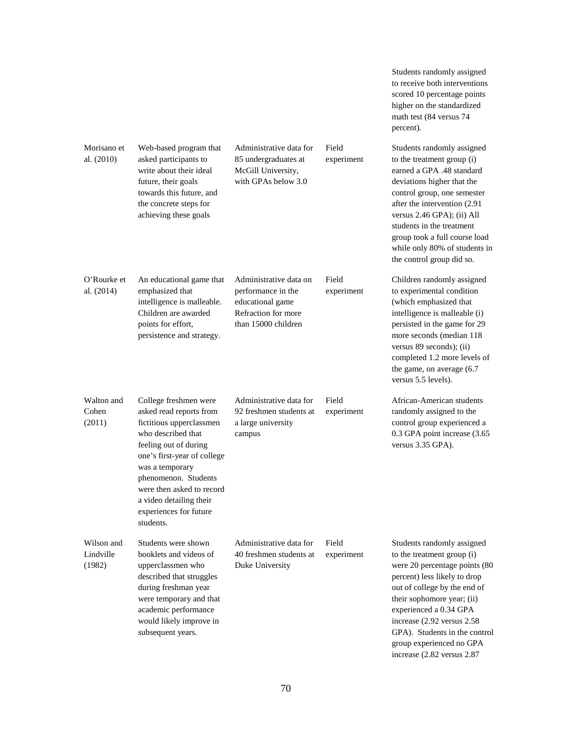|                                   |                                                                                                                                                                                                                                                                                                      |                                                                                                                |                     | higher on the standardized<br>math test (84 versus 74<br>percent).                                                                                                                                                                                                                                                                            |
|-----------------------------------|------------------------------------------------------------------------------------------------------------------------------------------------------------------------------------------------------------------------------------------------------------------------------------------------------|----------------------------------------------------------------------------------------------------------------|---------------------|-----------------------------------------------------------------------------------------------------------------------------------------------------------------------------------------------------------------------------------------------------------------------------------------------------------------------------------------------|
| Morisano et<br>al. (2010)         | Web-based program that<br>asked participants to<br>write about their ideal<br>future, their goals<br>towards this future, and<br>the concrete steps for<br>achieving these goals                                                                                                                     | Administrative data for<br>85 undergraduates at<br>McGill University,<br>with GPAs below 3.0                   | Field<br>experiment | Students randomly assigned<br>to the treatment group (i)<br>earned a GPA .48 standard<br>deviations higher that the<br>control group, one semester<br>after the intervention (2.91)<br>versus 2.46 GPA); (ii) All<br>students in the treatment<br>group took a full course load<br>while only 80% of students in<br>the control group did so. |
| O'Rourke et<br>al. (2014)         | An educational game that<br>emphasized that<br>intelligence is malleable.<br>Children are awarded<br>points for effort,<br>persistence and strategy.                                                                                                                                                 | Administrative data on<br>performance in the<br>educational game<br>Refraction for more<br>than 15000 children | Field<br>experiment | Children randomly assigned<br>to experimental condition<br>(which emphasized that<br>intelligence is malleable (i)<br>persisted in the game for 29<br>more seconds (median 118)<br>versus 89 seconds); (ii)<br>completed 1.2 more levels of<br>the game, on average (6.7<br>versus 5.5 levels).                                               |
| Walton and<br>Cohen<br>(2011)     | College freshmen were<br>asked read reports from<br>fictitious upperclassmen<br>who described that<br>feeling out of during<br>one's first-year of college<br>was a temporary<br>phenomenon. Students<br>were then asked to record<br>a video detailing their<br>experiences for future<br>students. | Administrative data for<br>92 freshmen students at<br>a large university<br>campus                             | Field<br>experiment | African-American students<br>randomly assigned to the<br>control group experienced a<br>0.3 GPA point increase (3.65<br>versus 3.35 GPA).                                                                                                                                                                                                     |
| Wilson and<br>Lindville<br>(1982) | Students were shown<br>booklets and videos of<br>upperclassmen who<br>described that struggles<br>during freshman year<br>were temporary and that<br>academic performance<br>would likely improve in<br>subsequent years.                                                                            | Administrative data for<br>40 freshmen students at<br>Duke University                                          | Field<br>experiment | Students randomly assigned<br>to the treatment group (i)<br>were 20 percentage points (80<br>percent) less likely to drop<br>out of college by the end of<br>their sophomore year; (ii)<br>experienced a 0.34 GPA<br>increase (2.92 versus 2.58<br>GPA). Students in the control<br>group experienced no GPA                                  |

Students randomly assigned to receive both interventions scored 10 percentage points

increase (2.82 versus 2.87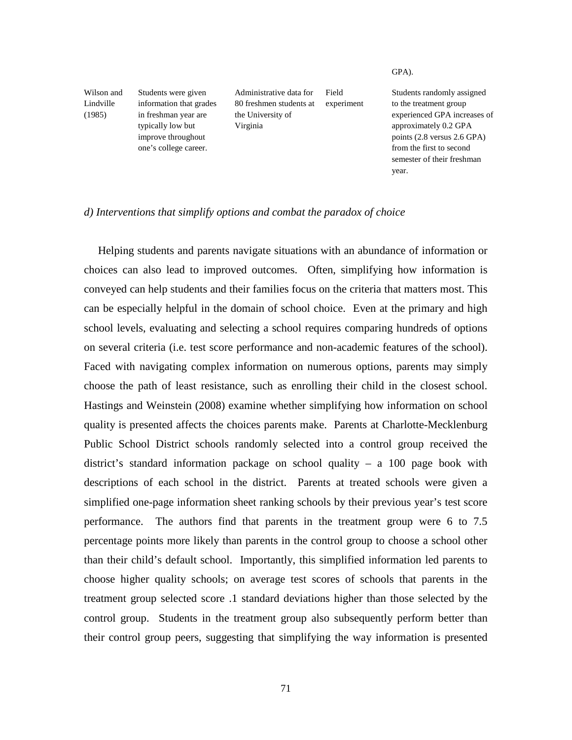Wilson and Lindville (1985) Students were given information that grades in freshman year are typically low but improve throughout one's college career.

Administrative data for 80 freshmen students at the University of Virginia Field experiment

## GPA).

Students randomly assigned to the treatment group experienced GPA increases of approximately 0.2 GPA points (2.8 versus 2.6 GPA) from the first to second semester of their freshman year.

## *d) Interventions that simplify options and combat the paradox of choice*

 Helping students and parents navigate situations with an abundance of information or choices can also lead to improved outcomes. Often, simplifying how information is conveyed can help students and their families focus on the criteria that matters most. This can be especially helpful in the domain of school choice. Even at the primary and high school levels, evaluating and selecting a school requires comparing hundreds of options on several criteria (i.e. test score performance and non-academic features of the school). Faced with navigating complex information on numerous options, parents may simply choose the path of least resistance, such as enrolling their child in the closest school. Hastings and Weinstein (2008) examine whether simplifying how information on school quality is presented affects the choices parents make. Parents at Charlotte-Mecklenburg Public School District schools randomly selected into a control group received the district's standard information package on school quality – a 100 page book with descriptions of each school in the district. Parents at treated schools were given a simplified one-page information sheet ranking schools by their previous year's test score performance. The authors find that parents in the treatment group were 6 to 7.5 percentage points more likely than parents in the control group to choose a school other than their child's default school. Importantly, this simplified information led parents to choose higher quality schools; on average test scores of schools that parents in the treatment group selected score .1 standard deviations higher than those selected by the control group. Students in the treatment group also subsequently perform better than their control group peers, suggesting that simplifying the way information is presented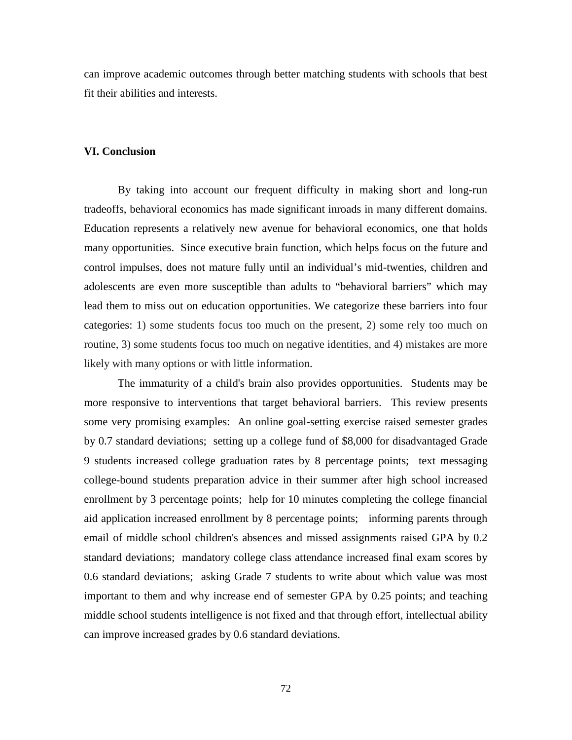can improve academic outcomes through better matching students with schools that best fit their abilities and interests.

## **VI. Conclusion**

By taking into account our frequent difficulty in making short and long-run tradeoffs, behavioral economics has made significant inroads in many different domains. Education represents a relatively new avenue for behavioral economics, one that holds many opportunities. Since executive brain function, which helps focus on the future and control impulses, does not mature fully until an individual's mid-twenties, children and adolescents are even more susceptible than adults to "behavioral barriers" which may lead them to miss out on education opportunities. We categorize these barriers into four categories: 1) some students focus too much on the present, 2) some rely too much on routine, 3) some students focus too much on negative identities, and 4) mistakes are more likely with many options or with little information.

The immaturity of a child's brain also provides opportunities. Students may be more responsive to interventions that target behavioral barriers. This review presents some very promising examples: An online goal-setting exercise raised semester grades by 0.7 standard deviations; setting up a college fund of \$8,000 for disadvantaged Grade 9 students increased college graduation rates by 8 percentage points; text messaging college-bound students preparation advice in their summer after high school increased enrollment by 3 percentage points; help for 10 minutes completing the college financial aid application increased enrollment by 8 percentage points; informing parents through email of middle school children's absences and missed assignments raised GPA by 0.2 standard deviations; mandatory college class attendance increased final exam scores by 0.6 standard deviations; asking Grade 7 students to write about which value was most important to them and why increase end of semester GPA by 0.25 points; and teaching middle school students intelligence is not fixed and that through effort, intellectual ability can improve increased grades by 0.6 standard deviations.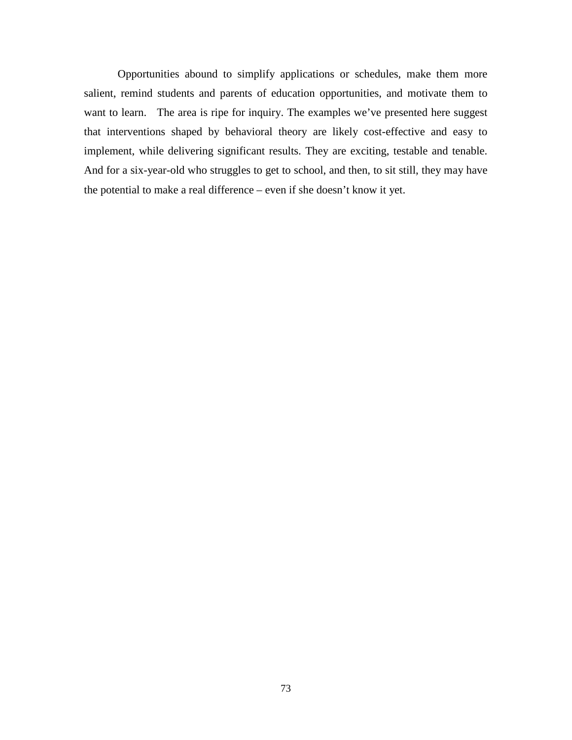Opportunities abound to simplify applications or schedules, make them more salient, remind students and parents of education opportunities, and motivate them to want to learn. The area is ripe for inquiry. The examples we've presented here suggest that interventions shaped by behavioral theory are likely cost-effective and easy to implement, while delivering significant results. They are exciting, testable and tenable. And for a six-year-old who struggles to get to school, and then, to sit still, they may have the potential to make a real difference – even if she doesn't know it yet.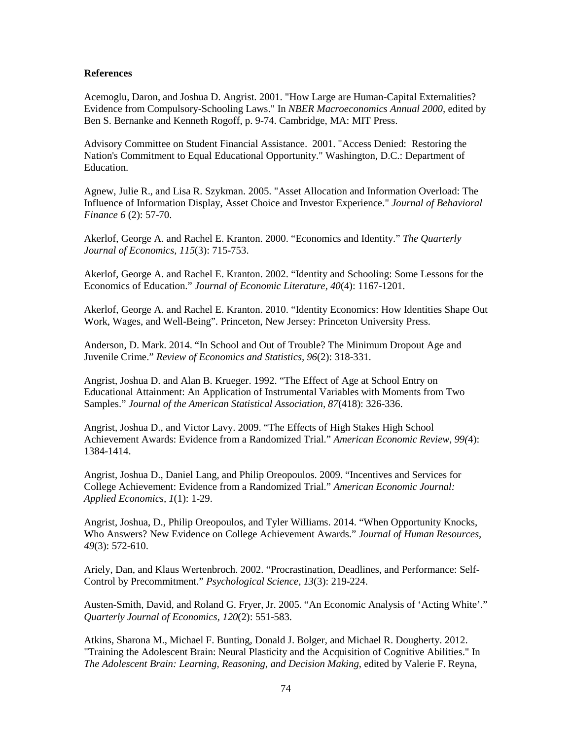## **References**

Acemoglu, Daron, and Joshua D. Angrist. 2001. "How Large are Human-Capital Externalities? Evidence from Compulsory-Schooling Laws." In *NBER Macroeconomics Annual 2000,* edited by Ben S. Bernanke and Kenneth Rogoff, p. 9-74. Cambridge, MA: MIT Press.

Advisory Committee on Student Financial Assistance. 2001. "Access Denied: Restoring the Nation's Commitment to Equal Educational Opportunity." Washington, D.C.: Department of Education.

Agnew, Julie R., and Lisa R. Szykman. 2005. "Asset Allocation and Information Overload: The Influence of Information Display, Asset Choice and Investor Experience." *Journal of Behavioral Finance 6* (2): 57-70.

Akerlof, George A. and Rachel E. Kranton. 2000. "Economics and Identity." *The Quarterly Journal of Economics, 115*(3): 715-753.

Akerlof, George A. and Rachel E. Kranton. 2002. "Identity and Schooling: Some Lessons for the Economics of Education." *Journal of Economic Literature, 40*(4): 1167-1201.

Akerlof, George A. and Rachel E. Kranton. 2010. "Identity Economics: How Identities Shape Out Work, Wages, and Well-Being"*.* Princeton, New Jersey: Princeton University Press.

Anderson, D. Mark. 2014. "In School and Out of Trouble? The Minimum Dropout Age and Juvenile Crime." *Review of Economics and Statistics, 96*(2): 318-331.

Angrist, Joshua D. and Alan B. Krueger. 1992. "The Effect of Age at School Entry on Educational Attainment: An Application of Instrumental Variables with Moments from Two Samples." *Journal of the American Statistical Association, 87*(418): 326-336.

Angrist, Joshua D., and Victor Lavy. 2009. "The Effects of High Stakes High School Achievement Awards: Evidence from a Randomized Trial." *American Economic Review, 99(*4): 1384-1414.

Angrist, Joshua D., Daniel Lang, and Philip Oreopoulos. 2009. "Incentives and Services for College Achievement: Evidence from a Randomized Trial." *American Economic Journal: Applied Economics, 1*(1): 1-29.

Angrist, Joshua, D., Philip Oreopoulos, and Tyler Williams. 2014. "When Opportunity Knocks, Who Answers? New Evidence on College Achievement Awards." *Journal of Human Resources, 49*(3): 572-610.

Ariely, Dan, and Klaus Wertenbroch. 2002. "Procrastination, Deadlines, and Performance: Self-Control by Precommitment." *Psychological Science, 13*(3): 219-224.

Austen-Smith, David, and Roland G. Fryer, Jr. 2005. "An Economic Analysis of 'Acting White'." *Quarterly Journal of Economics, 120*(2): 551-583.

Atkins, Sharona M., Michael F. Bunting, Donald J. Bolger, and Michael R. Dougherty. 2012. "Training the Adolescent Brain: Neural Plasticity and the Acquisition of Cognitive Abilities." In *The Adolescent Brain: Learning, Reasoning, and Decision Making*, edited by Valerie F. Reyna,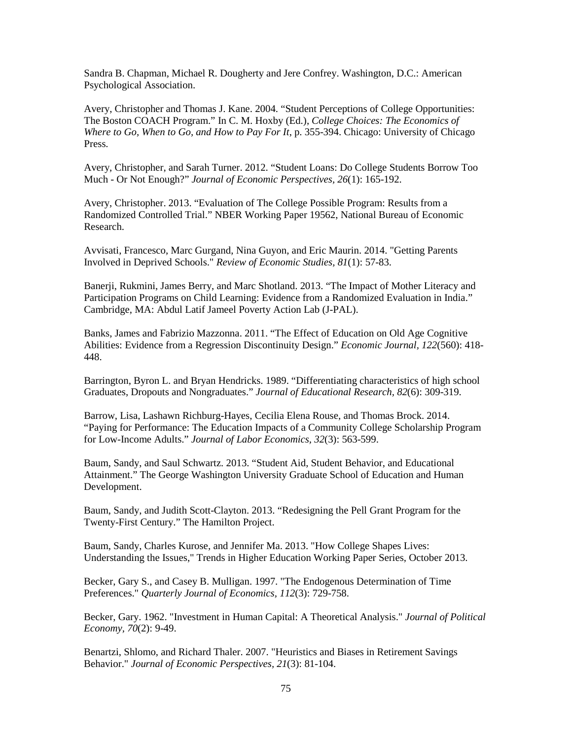Sandra B. Chapman, Michael R. Dougherty and Jere Confrey. Washington, D.C.: American Psychological Association.

Avery, Christopher and Thomas J. Kane. 2004. "Student Perceptions of College Opportunities: The Boston COACH Program." In C. M. Hoxby (Ed.), *College Choices: The Economics of Where to Go, When to Go, and How to Pay For It*, p. 355-394. Chicago: University of Chicago Press.

Avery, Christopher, and Sarah Turner. 2012. "Student Loans: Do College Students Borrow Too Much - Or Not Enough?" *Journal of Economic Perspectives, 26*(1): 165-192.

Avery, Christopher. 2013. "Evaluation of The College Possible Program: Results from a Randomized Controlled Trial." NBER Working Paper 19562, National Bureau of Economic Research.

Avvisati, Francesco, Marc Gurgand, Nina Guyon, and Eric Maurin. 2014. "Getting Parents Involved in Deprived Schools." *Review of Economic Studies, 81*(1): 57-83.

Banerji, Rukmini, James Berry, and Marc Shotland. 2013. "The Impact of Mother Literacy and Participation Programs on Child Learning: Evidence from a Randomized Evaluation in India." Cambridge, MA: Abdul Latif Jameel Poverty Action Lab (J-PAL).

Banks, James and Fabrizio Mazzonna. 2011. "The Effect of Education on Old Age Cognitive Abilities: Evidence from a Regression Discontinuity Design." *Economic Journal, 122*(560): 418- 448.

Barrington, Byron L. and Bryan Hendricks. 1989. "Differentiating characteristics of high school Graduates, Dropouts and Nongraduates." *Journal of Educational Research, 82*(6): 309-319.

Barrow, Lisa, Lashawn Richburg-Hayes, Cecilia Elena Rouse, and Thomas Brock. 2014. "Paying for Performance: The Education Impacts of a Community College Scholarship Program for Low-Income Adults." *Journal of Labor Economics, 32*(3): 563-599.

Baum, Sandy, and Saul Schwartz. 2013. "Student Aid, Student Behavior, and Educational Attainment." The George Washington University Graduate School of Education and Human Development.

Baum, Sandy, and Judith Scott-Clayton. 2013. "Redesigning the Pell Grant Program for the Twenty-First Century." The Hamilton Project.

Baum, Sandy, Charles Kurose, and Jennifer Ma. 2013. "How College Shapes Lives: Understanding the Issues," Trends in Higher Education Working Paper Series, October 2013.

Becker, Gary S., and Casey B. Mulligan. 1997. "The Endogenous Determination of Time Preferences." *Quarterly Journal of Economics, 112*(3): 729-758.

Becker, Gary. 1962. "Investment in Human Capital: A Theoretical Analysis." *Journal of Political Economy, 70*(2): 9-49.

Benartzi, Shlomo, and Richard Thaler. 2007. "Heuristics and Biases in Retirement Savings Behavior." *Journal of Economic Perspectives, 21*(3): 81-104.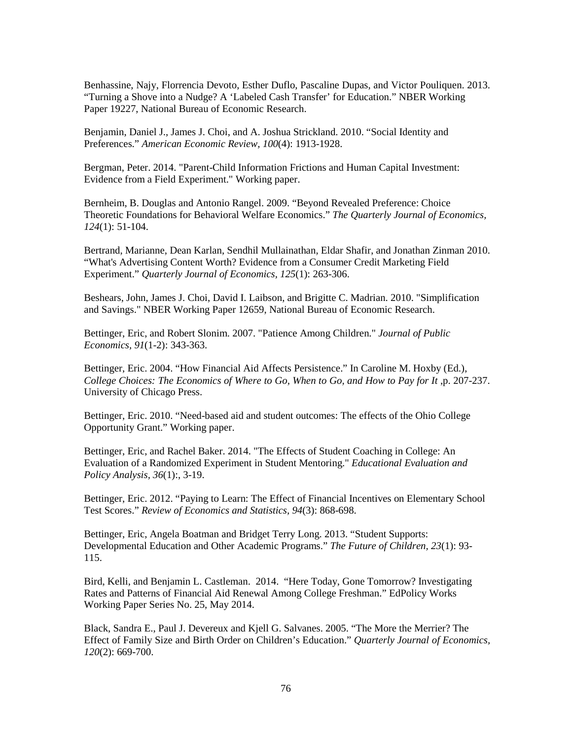Benhassine, Najy, Florrencia Devoto, Esther Duflo, Pascaline Dupas, and Victor Pouliquen. 2013. "Turning a Shove into a Nudge? A 'Labeled Cash Transfer' for Education." NBER Working Paper 19227, National Bureau of Economic Research.

Benjamin, Daniel J., James J. Choi, and A. Joshua Strickland. 2010. "Social Identity and Preferences." *American Economic Review, 100*(4): 1913-1928.

Bergman, Peter. 2014. "Parent-Child Information Frictions and Human Capital Investment: Evidence from a Field Experiment." Working paper.

Bernheim, B. Douglas and Antonio Rangel. 2009. "Beyond Revealed Preference: Choice Theoretic Foundations for Behavioral Welfare Economics." *The Quarterly Journal of Economics, 124*(1): 51-104.

Bertrand, Marianne, Dean Karlan, Sendhil Mullainathan, Eldar Shafir, and Jonathan Zinman 2010. "What's Advertising Content Worth? Evidence from a Consumer Credit Marketing Field Experiment." *Quarterly Journal of Economics, 125*(1): 263-306.

Beshears, John, James J. Choi, David I. Laibson, and Brigitte C. Madrian. 2010. "Simplification and Savings." NBER Working Paper 12659, National Bureau of Economic Research.

Bettinger, Eric, and Robert Slonim. 2007. "Patience Among Children." *Journal of Public Economics, 91*(1-2): 343-363.

Bettinger, Eric. 2004. "How Financial Aid Affects Persistence." In Caroline M. Hoxby (Ed.), *College Choices: The Economics of Where to Go, When to Go, and How to Pay for It* ,p. 207-237. University of Chicago Press.

Bettinger, Eric. 2010. "Need-based aid and student outcomes: The effects of the Ohio College Opportunity Grant." Working paper.

Bettinger, Eric, and Rachel Baker. 2014. "The Effects of Student Coaching in College: An Evaluation of a Randomized Experiment in Student Mentoring." *Educational Evaluation and Policy Analysis, 36*(1):, 3-19.

Bettinger, Eric. 2012. "Paying to Learn: The Effect of Financial Incentives on Elementary School Test Scores." *Review of Economics and Statistics, 94*(3): 868-698.

Bettinger, Eric, Angela Boatman and Bridget Terry Long. 2013. "Student Supports: Developmental Education and Other Academic Programs." *The Future of Children, 23*(1): 93- 115.

Bird, Kelli, and Benjamin L. Castleman. 2014. "Here Today, Gone Tomorrow? Investigating Rates and Patterns of Financial Aid Renewal Among College Freshman." EdPolicy Works Working Paper Series No. 25, May 2014.

Black, Sandra E., Paul J. Devereux and Kjell G. Salvanes. 2005. "The More the Merrier? The Effect of Family Size and Birth Order on Children's Education." *Quarterly Journal of Economics, 120*(2): 669-700.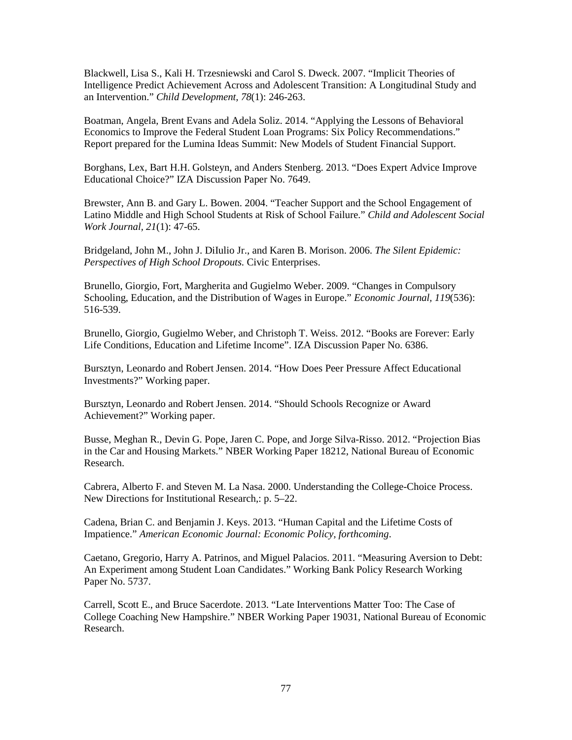Blackwell, Lisa S., Kali H. Trzesniewski and Carol S. Dweck. 2007. "Implicit Theories of Intelligence Predict Achievement Across and Adolescent Transition: A Longitudinal Study and an Intervention." *Child Development, 78*(1): 246-263.

Boatman, Angela, Brent Evans and Adela Soliz. 2014. "Applying the Lessons of Behavioral Economics to Improve the Federal Student Loan Programs: Six Policy Recommendations." Report prepared for the Lumina Ideas Summit: New Models of Student Financial Support.

Borghans, Lex, Bart H.H. Golsteyn, and Anders Stenberg. 2013. "Does Expert Advice Improve Educational Choice?" IZA Discussion Paper No. 7649.

Brewster, Ann B. and Gary L. Bowen. 2004. "Teacher Support and the School Engagement of Latino Middle and High School Students at Risk of School Failure." *Child and Adolescent Social Work Journal, 21*(1): 47-65.

Bridgeland, John M., John J. DiIulio Jr., and Karen B. Morison. 2006. *The Silent Epidemic: Perspectives of High School Dropouts.* Civic Enterprises.

Brunello, Giorgio, Fort, Margherita and Gugielmo Weber. 2009. "Changes in Compulsory Schooling, Education, and the Distribution of Wages in Europe." *Economic Journal, 119*(536): 516-539.

Brunello, Giorgio, Gugielmo Weber, and Christoph T. Weiss. 2012. "Books are Forever: Early Life Conditions, Education and Lifetime Income". IZA Discussion Paper No. 6386.

Bursztyn, Leonardo and Robert Jensen. 2014. "How Does Peer Pressure Affect Educational Investments?" Working paper.

Bursztyn, Leonardo and Robert Jensen. 2014. "Should Schools Recognize or Award Achievement?" Working paper.

Busse, Meghan R., Devin G. Pope, Jaren C. Pope, and Jorge Silva-Risso. 2012. "Projection Bias in the Car and Housing Markets." NBER Working Paper 18212, National Bureau of Economic Research.

Cabrera, Alberto F. and Steven M. La Nasa. 2000. Understanding the College-Choice Process. New Directions for Institutional Research,: p. 5–22.

Cadena, Brian C. and Benjamin J. Keys. 2013. "Human Capital and the Lifetime Costs of Impatience." *American Economic Journal: Economic Policy, forthcoming*.

Caetano, Gregorio, Harry A. Patrinos, and Miguel Palacios. 2011. "Measuring Aversion to Debt: An Experiment among Student Loan Candidates." Working Bank Policy Research Working Paper No. 5737.

Carrell, Scott E., and Bruce Sacerdote. 2013. "Late Interventions Matter Too: The Case of College Coaching New Hampshire." NBER Working Paper 19031, National Bureau of Economic Research.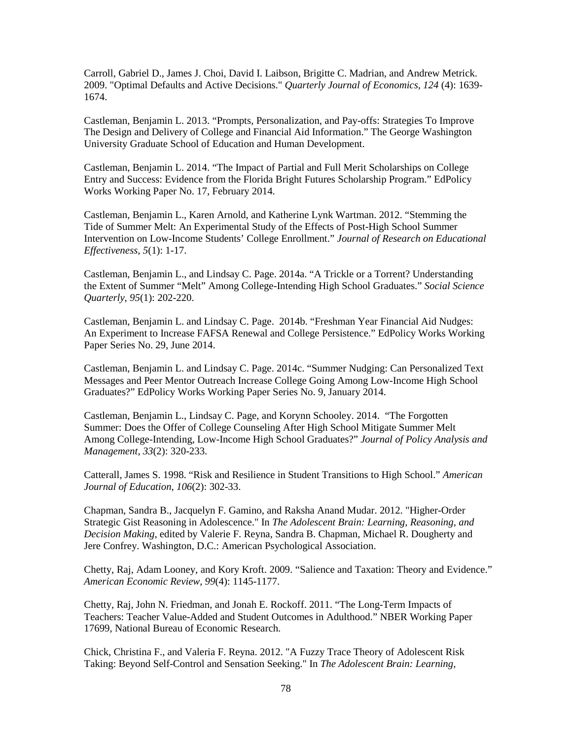Carroll, Gabriel D., James J. Choi, David I. Laibson, Brigitte C. Madrian, and Andrew Metrick. 2009. "Optimal Defaults and Active Decisions." *Quarterly Journal of Economics, 124* (4): 1639- 1674.

Castleman, Benjamin L. 2013. "Prompts, Personalization, and Pay-offs: Strategies To Improve The Design and Delivery of College and Financial Aid Information." The George Washington University Graduate School of Education and Human Development.

Castleman, Benjamin L. 2014. "The Impact of Partial and Full Merit Scholarships on College Entry and Success: Evidence from the Florida Bright Futures Scholarship Program." EdPolicy Works Working Paper No. 17, February 2014.

Castleman, Benjamin L., Karen Arnold, and Katherine Lynk Wartman. 2012. "Stemming the Tide of Summer Melt: An Experimental Study of the Effects of Post-High School Summer Intervention on Low-Income Students' College Enrollment." *Journal of Research on Educational Effectiveness, 5*(1): 1-17.

Castleman, Benjamin L., and Lindsay C. Page. 2014a. "A Trickle or a Torrent? Understanding the Extent of Summer "Melt" Among College-Intending High School Graduates." *Social Science Quarterly, 95*(1): 202-220.

Castleman, Benjamin L. and Lindsay C. Page. 2014b. "Freshman Year Financial Aid Nudges: An Experiment to Increase FAFSA Renewal and College Persistence." EdPolicy Works Working Paper Series No. 29, June 2014.

Castleman, Benjamin L. and Lindsay C. Page. 2014c. "Summer Nudging: Can Personalized Text Messages and Peer Mentor Outreach Increase College Going Among Low-Income High School Graduates?" EdPolicy Works Working Paper Series No. 9, January 2014.

Castleman, Benjamin L., Lindsay C. Page, and Korynn Schooley. 2014. "The Forgotten Summer: Does the Offer of College Counseling After High School Mitigate Summer Melt Among College-Intending, Low-Income High School Graduates?" *Journal of Policy Analysis and Management, 33*(2): 320-233.

Catterall, James S. 1998. "Risk and Resilience in Student Transitions to High School." *American Journal of Education, 106*(2): 302-33.

Chapman, Sandra B., Jacquelyn F. Gamino, and Raksha Anand Mudar. 2012. "Higher-Order Strategic Gist Reasoning in Adolescence." In *The Adolescent Brain: Learning, Reasoning, and Decision Making*, edited by Valerie F. Reyna, Sandra B. Chapman, Michael R. Dougherty and Jere Confrey. Washington, D.C.: American Psychological Association.

Chetty, Raj, Adam Looney, and Kory Kroft. 2009. "Salience and Taxation: Theory and Evidence." *American Economic Review, 99*(4): 1145-1177.

Chetty, Raj, John N. Friedman, and Jonah E. Rockoff. 2011. "The Long-Term Impacts of Teachers: Teacher Value-Added and Student Outcomes in Adulthood." NBER Working Paper 17699, National Bureau of Economic Research.

Chick, Christina F., and Valeria F. Reyna. 2012. "A Fuzzy Trace Theory of Adolescent Risk Taking: Beyond Self-Control and Sensation Seeking." In *The Adolescent Brain: Learning,*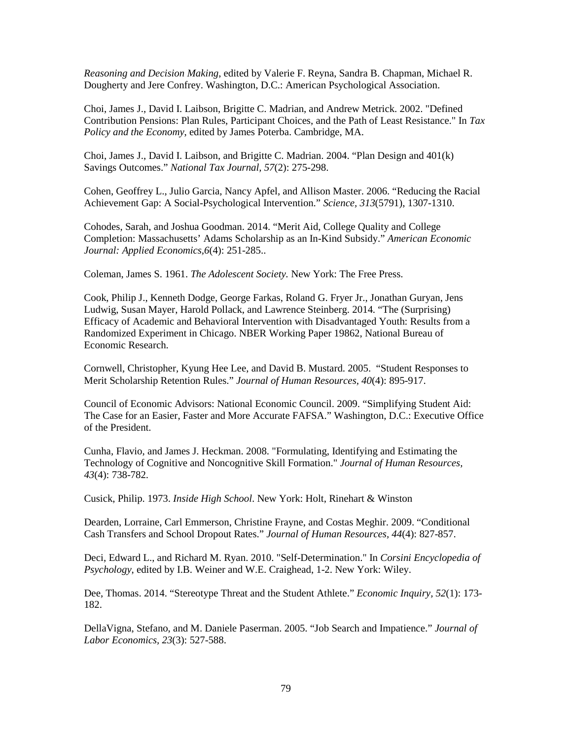*Reasoning and Decision Making*, edited by Valerie F. Reyna, Sandra B. Chapman, Michael R. Dougherty and Jere Confrey. Washington, D.C.: American Psychological Association.

Choi, James J., David I. Laibson, Brigitte C. Madrian, and Andrew Metrick. 2002. "Defined Contribution Pensions: Plan Rules, Participant Choices, and the Path of Least Resistance." In *Tax Policy and the Economy*, edited by James Poterba. Cambridge, MA.

Choi, James J., David I. Laibson, and Brigitte C. Madrian. 2004. "Plan Design and 401(k) Savings Outcomes." *National Tax Journal, 57*(2): 275-298.

Cohen, Geoffrey L., Julio Garcia, Nancy Apfel, and Allison Master. 2006. "Reducing the Racial Achievement Gap: A Social-Psychological Intervention." *Science, 313*(5791), 1307-1310.

Cohodes, Sarah, and Joshua Goodman. 2014. "Merit Aid, College Quality and College Completion: Massachusetts' Adams Scholarship as an In-Kind Subsidy." *American Economic Journal: Applied Economics,6*(4): 251-285..

Coleman, James S. 1961. *The Adolescent Society.* New York: The Free Press.

Cook, Philip J., Kenneth Dodge, George Farkas, Roland G. Fryer Jr., Jonathan Guryan, Jens Ludwig, Susan Mayer, Harold Pollack, and Lawrence Steinberg. 2014. "The (Surprising) Efficacy of Academic and Behavioral Intervention with Disadvantaged Youth: Results from a Randomized Experiment in Chicago. NBER Working Paper 19862, National Bureau of Economic Research.

Cornwell, Christopher, Kyung Hee Lee, and David B. Mustard. 2005. "Student Responses to Merit Scholarship Retention Rules." *Journal of Human Resources, 40*(4): 895-917.

Council of Economic Advisors: National Economic Council. 2009. "Simplifying Student Aid: The Case for an Easier, Faster and More Accurate FAFSA." Washington, D.C.: Executive Office of the President.

Cunha, Flavio, and James J. Heckman. 2008. "Formulating, Identifying and Estimating the Technology of Cognitive and Noncognitive Skill Formation." *Journal of Human Resources, 43*(4): 738-782.

Cusick, Philip. 1973. *Inside High School*. New York: Holt, Rinehart & Winston

Dearden, Lorraine, Carl Emmerson, Christine Frayne, and Costas Meghir. 2009. "Conditional Cash Transfers and School Dropout Rates." *Journal of Human Resources, 44*(4): 827-857.

Deci, Edward L., and Richard M. Ryan. 2010. "Self-Determination." In *Corsini Encyclopedia of Psychology*, edited by I.B. Weiner and W.E. Craighead, 1-2. New York: Wiley.

Dee, Thomas. 2014. "Stereotype Threat and the Student Athlete." *Economic Inquiry, 52*(1): 173- 182.

DellaVigna, Stefano, and M. Daniele Paserman. 2005. "Job Search and Impatience." *Journal of Labor Economics, 23*(3): 527-588.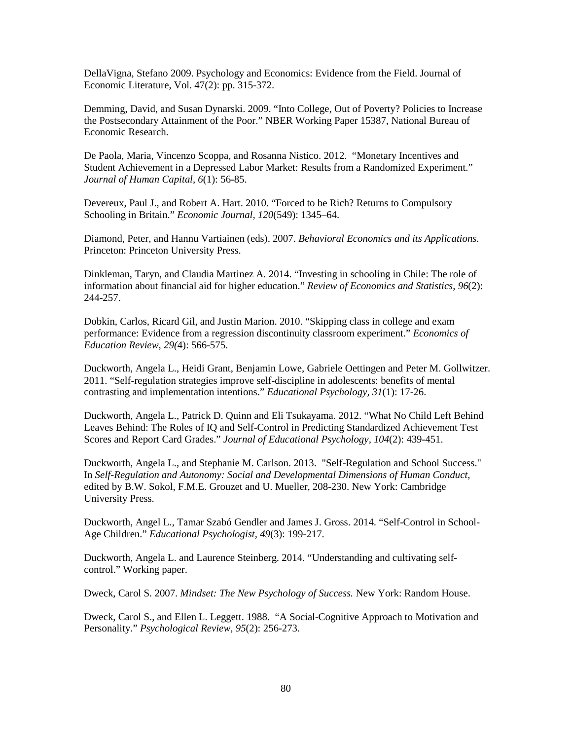DellaVigna, Stefano 2009. Psychology and Economics: Evidence from the Field. Journal of Economic Literature, Vol. 47(2): pp. 315-372.

Demming, David, and Susan Dynarski. 2009. "Into College, Out of Poverty? Policies to Increase the Postsecondary Attainment of the Poor." NBER Working Paper 15387, National Bureau of Economic Research.

De Paola, Maria, Vincenzo Scoppa, and Rosanna Nistico. 2012. "Monetary Incentives and Student Achievement in a Depressed Labor Market: Results from a Randomized Experiment." *Journal of Human Capital, 6*(1): 56-85.

Devereux, Paul J., and Robert A. Hart. 2010. "Forced to be Rich? Returns to Compulsory Schooling in Britain." *Economic Journal, 120*(549): 1345–64.

Diamond, Peter, and Hannu Vartiainen (eds). 2007. *Behavioral Economics and its Applications*. Princeton: Princeton University Press.

Dinkleman, Taryn, and Claudia Martinez A. 2014. "Investing in schooling in Chile: The role of information about financial aid for higher education." *Review of Economics and Statistics, 96*(2): 244-257.

Dobkin, Carlos, Ricard Gil, and Justin Marion. 2010. "Skipping class in college and exam performance: Evidence from a regression discontinuity classroom experiment." *Economics of Education Review, 29(*4): 566-575.

Duckworth, Angela L., Heidi Grant, Benjamin Lowe, Gabriele Oettingen and Peter M. Gollwitzer. 2011. "Self-regulation strategies improve self-discipline in adolescents: benefits of mental contrasting and implementation intentions." *Educational Psychology, 31*(1): 17-26.

Duckworth, Angela L., Patrick D. Quinn and Eli Tsukayama. 2012. "What No Child Left Behind Leaves Behind: The Roles of IQ and Self-Control in Predicting Standardized Achievement Test Scores and Report Card Grades." *Journal of Educational Psychology, 104*(2): 439-451.

Duckworth, Angela L., and Stephanie M. Carlson. 2013. "Self-Regulation and School Success." In *Self-Regulation and Autonomy: Social and Developmental Dimensions of Human Conduct*, edited by B.W. Sokol, F.M.E. Grouzet and U. Mueller, 208-230. New York: Cambridge University Press.

Duckworth, Angel L., Tamar Szabó Gendler and James J. Gross. 2014. "Self-Control in School-Age Children." *Educational Psychologist, 49*(3): 199-217.

Duckworth, Angela L. and Laurence Steinberg. 2014. "Understanding and cultivating selfcontrol." Working paper.

Dweck, Carol S. 2007. *Mindset: The New Psychology of Success.* New York: Random House.

Dweck, Carol S., and Ellen L. Leggett. 1988. "A Social-Cognitive Approach to Motivation and Personality." *Psychological Review, 95*(2): 256-273.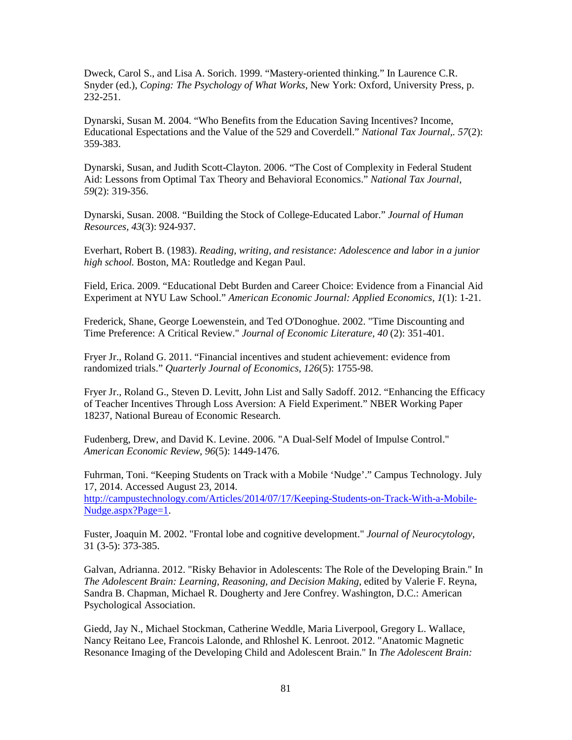Dweck, Carol S., and Lisa A. Sorich. 1999. "Mastery-oriented thinking." In Laurence C.R. Snyder (ed.), *Coping: The Psychology of What Works*, New York: Oxford, University Press, p. 232-251.

Dynarski, Susan M. 2004. "Who Benefits from the Education Saving Incentives? Income, Educational Espectations and the Value of the 529 and Coverdell." *National Tax Journal,. 57*(2): 359-383.

Dynarski, Susan, and Judith Scott-Clayton. 2006. "The Cost of Complexity in Federal Student Aid: Lessons from Optimal Tax Theory and Behavioral Economics." *National Tax Journal, 59*(2): 319-356.

Dynarski, Susan. 2008. "Building the Stock of College-Educated Labor." *Journal of Human Resources, 43*(3): 924-937.

Everhart, Robert B. (1983). *Reading, writing, and resistance: Adolescence and labor in a junior high school.* Boston, MA: Routledge and Kegan Paul.

Field, Erica. 2009. "Educational Debt Burden and Career Choice: Evidence from a Financial Aid Experiment at NYU Law School." *American Economic Journal: Applied Economics, 1*(1): 1-21.

Frederick, Shane, George Loewenstein, and Ted O'Donoghue. 2002. "Time Discounting and Time Preference: A Critical Review." *Journal of Economic Literature, 40* (2): 351-401.

Fryer Jr., Roland G. 2011. "Financial incentives and student achievement: evidence from randomized trials." *Quarterly Journal of Economics, 126*(5): 1755-98.

Fryer Jr., Roland G., Steven D. Levitt, John List and Sally Sadoff. 2012. "Enhancing the Efficacy of Teacher Incentives Through Loss Aversion: A Field Experiment." NBER Working Paper 18237, National Bureau of Economic Research.

Fudenberg, Drew, and David K. Levine. 2006. "A Dual-Self Model of Impulse Control." *American Economic Review, 96*(5): 1449-1476.

Fuhrman, Toni. "Keeping Students on Track with a Mobile 'Nudge'." Campus Technology. July 17, 2014. Accessed August 23, 2014. [http://campustechnology.com/Articles/2014/07/17/Keeping-Students-on-Track-With-a-Mobile-](http://campustechnology.com/Articles/2014/07/17/Keeping-Students-on-Track-With-a-Mobile-Nudge.aspx?Page=1)[Nudge.aspx?Page=1.](http://campustechnology.com/Articles/2014/07/17/Keeping-Students-on-Track-With-a-Mobile-Nudge.aspx?Page=1)

Fuster, Joaquin M. 2002. "Frontal lobe and cognitive development." *Journal of Neurocytology,*  31 (3-5): 373-385.

Galvan, Adrianna. 2012. "Risky Behavior in Adolescents: The Role of the Developing Brain." In *The Adolescent Brain: Learning, Reasoning, and Decision Making*, edited by Valerie F. Reyna, Sandra B. Chapman, Michael R. Dougherty and Jere Confrey. Washington, D.C.: American Psychological Association.

Giedd, Jay N., Michael Stockman, Catherine Weddle, Maria Liverpool, Gregory L. Wallace, Nancy Reitano Lee, Francois Lalonde, and Rhloshel K. Lenroot. 2012. "Anatomic Magnetic Resonance Imaging of the Developing Child and Adolescent Brain." In *The Adolescent Brain:*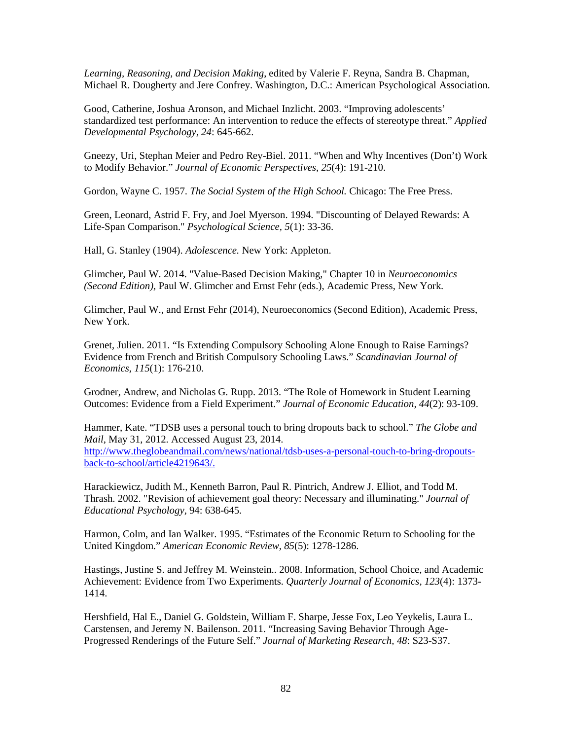*Learning, Reasoning, and Decision Making*, edited by Valerie F. Reyna, Sandra B. Chapman, Michael R. Dougherty and Jere Confrey. Washington, D.C.: American Psychological Association.

Good, Catherine, Joshua Aronson, and Michael Inzlicht. 2003. "Improving adolescents' standardized test performance: An intervention to reduce the effects of stereotype threat." *Applied Developmental Psychology, 24*: 645-662.

Gneezy, Uri, Stephan Meier and Pedro Rey-Biel. 2011. "When and Why Incentives (Don't) Work to Modify Behavior." *Journal of Economic Perspectives, 25*(4): 191-210.

Gordon, Wayne C. 1957. *The Social System of the High School.* Chicago: The Free Press.

Green, Leonard, Astrid F. Fry, and Joel Myerson. 1994. "Discounting of Delayed Rewards: A Life-Span Comparison." *Psychological Science, 5*(1): 33-36.

Hall, G. Stanley (1904). *Adolescence.* New York: Appleton.

Glimcher, Paul W. 2014. "Value-Based Decision Making," Chapter 10 in *Neuroeconomics (Second Edition),* Paul W. Glimcher and Ernst Fehr (eds.), Academic Press, New York.

Glimcher, Paul W., and Ernst Fehr (2014), Neuroeconomics (Second Edition), Academic Press, New York.

Grenet, Julien. 2011. "Is Extending Compulsory Schooling Alone Enough to Raise Earnings? Evidence from French and British Compulsory Schooling Laws." *Scandinavian Journal of Economics, 115*(1): 176-210.

Grodner, Andrew, and Nicholas G. Rupp. 2013. "The Role of Homework in Student Learning Outcomes: Evidence from a Field Experiment." *Journal of Economic Education, 44*(2): 93-109.

Hammer, Kate. "TDSB uses a personal touch to bring dropouts back to school." *The Globe and Mail*, May 31, 2012. Accessed August 23, 2014. [http://www.theglobeandmail.com/news/national/tdsb-uses-a-personal-touch-to-bring-dropouts](http://www.theglobeandmail.com/news/national/tdsb-uses-a-personal-touch-to-bring-dropouts-back-to-school/article4219643/)[back-to-school/article4219643/.](http://www.theglobeandmail.com/news/national/tdsb-uses-a-personal-touch-to-bring-dropouts-back-to-school/article4219643/)

Harackiewicz, Judith M., Kenneth Barron, Paul R. Pintrich, Andrew J. Elliot, and Todd M. Thrash. 2002. "Revision of achievement goal theory: Necessary and illuminating." *Journal of Educational Psychology,* 94: 638-645.

Harmon, Colm, and Ian Walker. 1995. "Estimates of the Economic Return to Schooling for the United Kingdom." *American Economic Review, 85*(5): 1278-1286.

Hastings, Justine S. and Jeffrey M. Weinstein.. 2008. Information, School Choice, and Academic Achievement: Evidence from Two Experiments. *Quarterly Journal of Economics, 123*(4): 1373- 1414.

Hershfield, Hal E., Daniel G. Goldstein, William F. Sharpe, Jesse Fox, Leo Yeykelis, Laura L. Carstensen, and Jeremy N. Bailenson. 2011. "Increasing Saving Behavior Through Age-Progressed Renderings of the Future Self." *Journal of Marketing Research, 48*: S23-S37.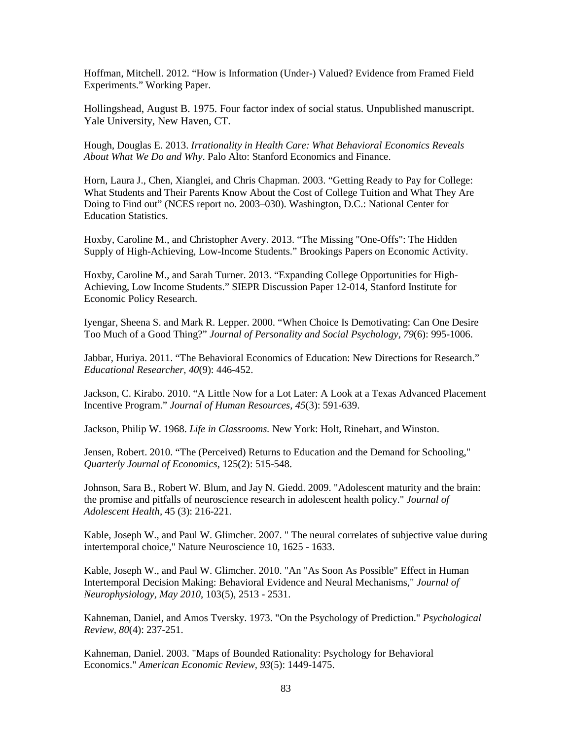Hoffman, Mitchell. 2012. "How is Information (Under-) Valued? Evidence from Framed Field Experiments." Working Paper.

Hollingshead, August B. 1975. Four factor index of social status. Unpublished manuscript. Yale University, New Haven, CT.

Hough, Douglas E. 2013. *Irrationality in Health Care: What Behavioral Economics Reveals About What We Do and Why*. Palo Alto: Stanford Economics and Finance.

Horn, Laura J., Chen, Xianglei, and Chris Chapman. 2003. "Getting Ready to Pay for College: What Students and Their Parents Know About the Cost of College Tuition and What They Are Doing to Find out" (NCES report no. 2003–030). Washington, D.C.: National Center for Education Statistics.

Hoxby, Caroline M., and Christopher Avery. 2013. "The Missing "One-Offs": The Hidden Supply of High-Achieving, Low-Income Students." Brookings Papers on Economic Activity.

Hoxby, Caroline M., and Sarah Turner. 2013. "Expanding College Opportunities for High-Achieving, Low Income Students." SIEPR Discussion Paper 12-014, Stanford Institute for Economic Policy Research.

Iyengar, Sheena S. and Mark R. Lepper. 2000. "When Choice Is Demotivating: Can One Desire Too Much of a Good Thing?" *Journal of Personality and Social Psychology, 79*(6): 995-1006.

Jabbar, Huriya. 2011. "The Behavioral Economics of Education: New Directions for Research." *Educational Researcher, 40*(9): 446-452.

Jackson, C. Kirabo. 2010. "A Little Now for a Lot Later: A Look at a Texas Advanced Placement Incentive Program." *Journal of Human Resources, 45*(3): 591-639.

Jackson, Philip W. 1968. *Life in Classrooms.* New York: Holt, Rinehart, and Winston.

Jensen, Robert. 2010. "The (Perceived) Returns to Education and the Demand for Schooling," *Quarterly Journal of Economics*, 125(2): 515-548.

Johnson, Sara B., Robert W. Blum, and Jay N. Giedd. 2009. "Adolescent maturity and the brain: the promise and pitfalls of neuroscience research in adolescent health policy." *Journal of Adolescent Health,* 45 (3): 216-221.

Kable, Joseph W., and Paul W. Glimcher. 2007. " The neural correlates of subjective value during intertemporal choice," Nature Neuroscience 10, 1625 - 1633.

Kable, Joseph W., and Paul W. Glimcher. 2010. "An "As Soon As Possible" Effect in Human Intertemporal Decision Making: Behavioral Evidence and Neural Mechanisms," *Journal of Neurophysiology, May 2010,* 103(5), 2513 - 2531.

Kahneman, Daniel, and Amos Tversky. 1973. "On the Psychology of Prediction." *Psychological Review, 80*(4): 237-251.

Kahneman, Daniel. 2003. "Maps of Bounded Rationality: Psychology for Behavioral Economics." *American Economic Review, 93*(5): 1449-1475.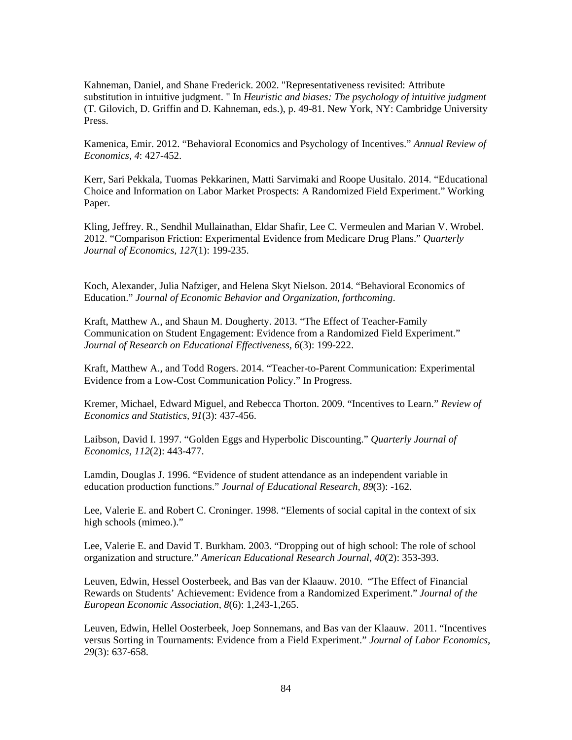Kahneman, Daniel, and Shane Frederick. 2002. "Representativeness revisited: Attribute substitution in intuitive judgment. " In *Heuristic and biases: The psychology of intuitive judgment*  (T. Gilovich, D. Griffin and D. Kahneman, eds.), p. 49-81. New York, NY: Cambridge University Press.

Kamenica, Emir. 2012. "Behavioral Economics and Psychology of Incentives." *Annual Review of Economics, 4*: 427-452.

Kerr, Sari Pekkala, Tuomas Pekkarinen, Matti Sarvimaki and Roope Uusitalo. 2014. "Educational Choice and Information on Labor Market Prospects: A Randomized Field Experiment." Working Paper.

Kling, Jeffrey. R., Sendhil Mullainathan, Eldar Shafir, Lee C. Vermeulen and Marian V. Wrobel. 2012. "Comparison Friction: Experimental Evidence from Medicare Drug Plans." *Quarterly Journal of Economics, 127*(1): 199-235.

Koch, Alexander, Julia Nafziger, and Helena Skyt Nielson. 2014. "Behavioral Economics of Education." *Journal of Economic Behavior and Organization, forthcoming*.

Kraft, Matthew A., and Shaun M. Dougherty. 2013. "The Effect of Teacher-Family Communication on Student Engagement: Evidence from a Randomized Field Experiment." *Journal of Research on Educational Effectiveness, 6*(3): 199-222.

Kraft, Matthew A., and Todd Rogers. 2014. "Teacher-to-Parent Communication: Experimental Evidence from a Low-Cost Communication Policy." In Progress.

Kremer, Michael, Edward Miguel, and Rebecca Thorton. 2009. "Incentives to Learn." *Review of Economics and Statistics, 91*(3): 437-456.

Laibson, David I. 1997. "Golden Eggs and Hyperbolic Discounting." *Quarterly Journal of Economics, 112*(2): 443-477.

Lamdin, Douglas J. 1996. "Evidence of student attendance as an independent variable in education production functions." *Journal of Educational Research, 89*(3): -162.

Lee, Valerie E. and Robert C. Croninger. 1998. "Elements of social capital in the context of six high schools (mimeo.)."

Lee, Valerie E. and David T. Burkham. 2003. "Dropping out of high school: The role of school organization and structure." *American Educational Research Journal, 40*(2): 353-393.

Leuven, Edwin, Hessel Oosterbeek, and Bas van der Klaauw. 2010. "The Effect of Financial Rewards on Students' Achievement: Evidence from a Randomized Experiment." *Journal of the European Economic Association, 8*(6): 1,243-1,265.

Leuven, Edwin, Hellel Oosterbeek, Joep Sonnemans, and Bas van der Klaauw. 2011. "Incentives versus Sorting in Tournaments: Evidence from a Field Experiment." *Journal of Labor Economics, 29*(3): 637-658.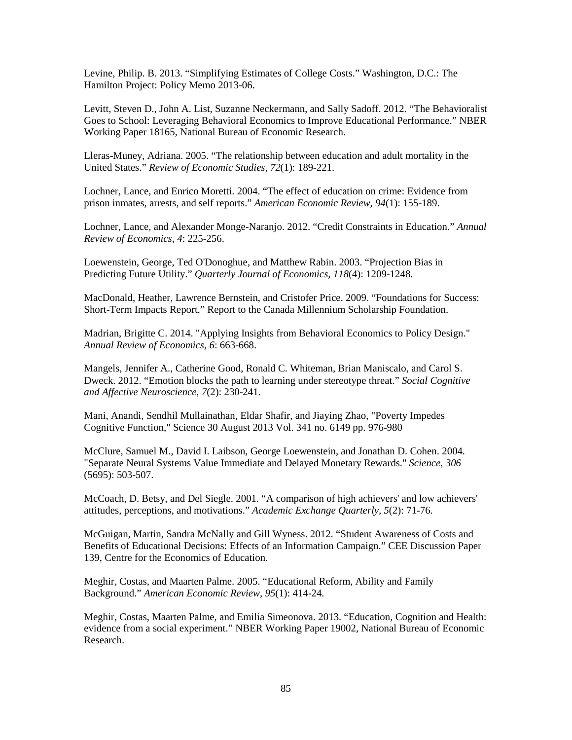Levine, Philip. B. 2013. "Simplifying Estimates of College Costs." Washington, D.C.: The Hamilton Project: Policy Memo 2013-06.

Levitt, Steven D., John A. List, Suzanne Neckermann, and Sally Sadoff. 2012. "The Behavioralist Goes to School: Leveraging Behavioral Economics to Improve Educational Performance." NBER Working Paper 18165, National Bureau of Economic Research.

Lleras-Muney, Adriana. 2005. "The relationship between education and adult mortality in the United States." *Review of Economic Studies, 72*(1): 189-221.

Lochner, Lance, and Enrico Moretti. 2004. "The effect of education on crime: Evidence from prison inmates, arrests, and self reports." *American Economic Review, 94*(1): 155-189.

Lochner, Lance, and Alexander Monge-Naranjo. 2012. "Credit Constraints in Education." *Annual Review of Economics, 4*: 225-256.

Loewenstein, George, Ted O'Donoghue, and Matthew Rabin. 2003. "Projection Bias in Predicting Future Utility." *Quarterly Journal of Economics, 118*(4): 1209-1248.

MacDonald, Heather, Lawrence Bernstein, and Cristofer Price. 2009. "Foundations for Success: Short-Term Impacts Report." Report to the Canada Millennium Scholarship Foundation.

Madrian, Brigitte C. 2014. "Applying Insights from Behavioral Economics to Policy Design." *Annual Review of Economics, 6*: 663-668.

Mangels, Jennifer A., Catherine Good, Ronald C. Whiteman, Brian Maniscalo, and Carol S. Dweck. 2012. "Emotion blocks the path to learning under stereotype threat." *Social Cognitive and Affective Neuroscience, 7*(2): 230-241.

Mani, Anandi, Sendhil Mullainathan, Eldar Shafir, and Jiaying Zhao, "Poverty Impedes Cognitive Function," Science 30 August 2013 Vol. 341 no. 6149 pp. 976-980

McClure, Samuel M., David I. Laibson, George Loewenstein, and Jonathan D. Cohen. 2004. "Separate Neural Systems Value Immediate and Delayed Monetary Rewards." *Science, 306* (5695): 503-507.

McCoach, D. Betsy, and Del Siegle. 2001. "A comparison of high achievers' and low achievers' attitudes, perceptions, and motivations." *Academic Exchange Quarterly, 5*(2): 71-76.

McGuigan, Martin, Sandra McNally and Gill Wyness. 2012. "Student Awareness of Costs and Benefits of Educational Decisions: Effects of an Information Campaign." CEE Discussion Paper 139, Centre for the Economics of Education.

Meghir, Costas, and Maarten Palme. 2005. "Educational Reform, Ability and Family Background." *American Economic Review, 95*(1): 414-24.

Meghir, Costas, Maarten Palme, and Emilia Simeonova. 2013. "Education, Cognition and Health: evidence from a social experiment." NBER Working Paper 19002, National Bureau of Economic Research.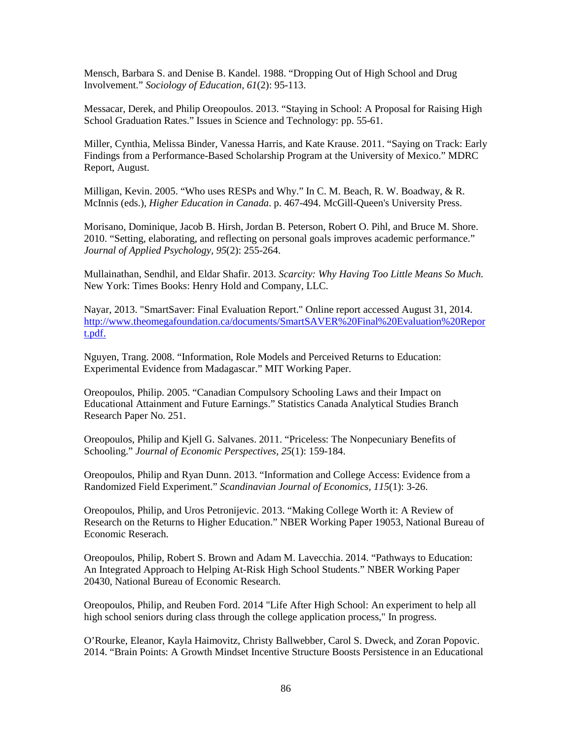Mensch, Barbara S. and Denise B. Kandel. 1988. "Dropping Out of High School and Drug Involvement." *Sociology of Education, 61*(2): 95-113.

Messacar, Derek, and Philip Oreopoulos. 2013. "Staying in School: A Proposal for Raising High School Graduation Rates." Issues in Science and Technology: pp. 55-61.

Miller, Cynthia, Melissa Binder, Vanessa Harris, and Kate Krause. 2011. "Saying on Track: Early Findings from a Performance-Based Scholarship Program at the University of Mexico." MDRC Report, August.

Milligan, Kevin. 2005. "Who uses RESPs and Why." In C. M. Beach, R. W. Boadway, & R. McInnis (eds.), *Higher Education in Canada*. p. 467-494. McGill-Queen's University Press.

Morisano, Dominique, Jacob B. Hirsh, Jordan B. Peterson, Robert O. Pihl, and Bruce M. Shore. 2010. "Setting, elaborating, and reflecting on personal goals improves academic performance." *Journal of Applied Psychology, 95*(2): 255-264.

Mullainathan, Sendhil, and Eldar Shafir. 2013. *Scarcity: Why Having Too Little Means So Much.* New York: Times Books: Henry Hold and Company, LLC.

Nayar, 2013. "SmartSaver: Final Evaluation Report." Online report accessed August 31, 2014. [http://www.theomegafoundation.ca/documents/SmartSAVER%20Final%20Evaluation%20Repor](http://www.theomegafoundation.ca/documents/SmartSAVER%20Final%20Evaluation%20Report.pdf.) [t.pdf.](http://www.theomegafoundation.ca/documents/SmartSAVER%20Final%20Evaluation%20Report.pdf.)

Nguyen, Trang. 2008. "Information, Role Models and Perceived Returns to Education: Experimental Evidence from Madagascar." MIT Working Paper.

Oreopoulos, Philip. 2005. "Canadian Compulsory Schooling Laws and their Impact on Educational Attainment and Future Earnings." Statistics Canada Analytical Studies Branch Research Paper No. 251.

Oreopoulos, Philip and Kjell G. Salvanes. 2011. "Priceless: The Nonpecuniary Benefits of Schooling." *Journal of Economic Perspectives, 25*(1): 159-184.

Oreopoulos, Philip and Ryan Dunn. 2013. "Information and College Access: Evidence from a Randomized Field Experiment." *Scandinavian Journal of Economics, 115*(1): 3-26.

Oreopoulos, Philip, and Uros Petronijevic. 2013. "Making College Worth it: A Review of Research on the Returns to Higher Education." NBER Working Paper 19053, National Bureau of Economic Reserach.

Oreopoulos, Philip, Robert S. Brown and Adam M. Lavecchia. 2014. "Pathways to Education: An Integrated Approach to Helping At-Risk High School Students." NBER Working Paper 20430, National Bureau of Economic Research.

Oreopoulos, Philip, and Reuben Ford. 2014 "Life After High School: An experiment to help all high school seniors during class through the college application process," In progress.

O'Rourke, Eleanor, Kayla Haimovitz, Christy Ballwebber, Carol S. Dweck, and Zoran Popovic. 2014. "Brain Points: A Growth Mindset Incentive Structure Boosts Persistence in an Educational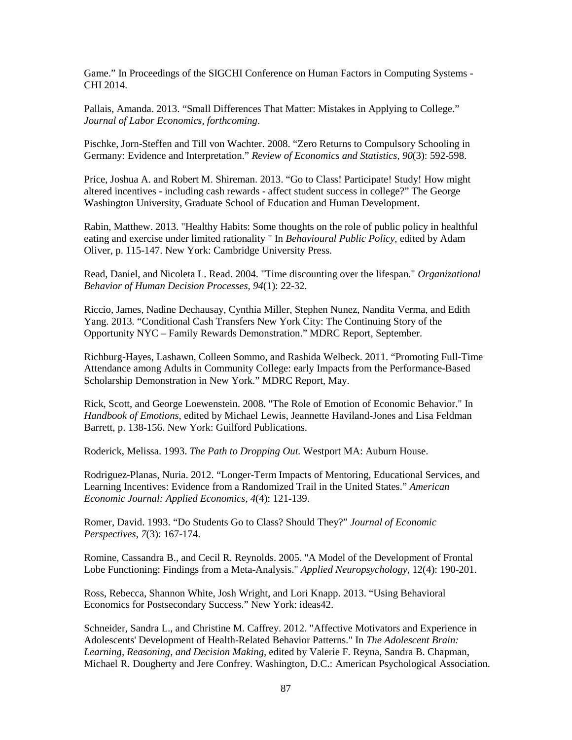Game." In Proceedings of the SIGCHI Conference on Human Factors in Computing Systems - CHI 2014.

Pallais, Amanda. 2013. "Small Differences That Matter: Mistakes in Applying to College." *Journal of Labor Economics, forthcoming*.

Pischke, Jorn-Steffen and Till von Wachter. 2008. "Zero Returns to Compulsory Schooling in Germany: Evidence and Interpretation." *Review of Economics and Statistics, 90*(3): 592-598.

Price, Joshua A. and Robert M. Shireman. 2013. "Go to Class! Participate! Study! How might altered incentives - including cash rewards - affect student success in college?" The George Washington University, Graduate School of Education and Human Development.

Rabin, Matthew. 2013. "Healthy Habits: Some thoughts on the role of public policy in healthful eating and exercise under limited rationality " In *Behavioural Public Policy*, edited by Adam Oliver, p. 115-147. New York: Cambridge University Press.

Read, Daniel, and Nicoleta L. Read. 2004. "Time discounting over the lifespan." *Organizational Behavior of Human Decision Processes, 94*(1): 22-32.

Riccio, James, Nadine Dechausay, Cynthia Miller, Stephen Nunez, Nandita Verma, and Edith Yang. 2013. "Conditional Cash Transfers New York City: The Continuing Story of the Opportunity NYC – Family Rewards Demonstration." MDRC Report, September.

Richburg-Hayes, Lashawn, Colleen Sommo, and Rashida Welbeck. 2011. "Promoting Full-Time Attendance among Adults in Community College: early Impacts from the Performance-Based Scholarship Demonstration in New York." MDRC Report, May.

Rick, Scott, and George Loewenstein. 2008. "The Role of Emotion of Economic Behavior." In *Handbook of Emotions*, edited by Michael Lewis, Jeannette Haviland-Jones and Lisa Feldman Barrett, p. 138-156. New York: Guilford Publications.

Roderick, Melissa. 1993. *The Path to Dropping Out.* Westport MA: Auburn House.

Rodriguez-Planas, Nuria. 2012. "Longer-Term Impacts of Mentoring, Educational Services, and Learning Incentives: Evidence from a Randomized Trail in the United States." *American Economic Journal: Applied Economics, 4*(4): 121-139.

Romer, David. 1993. "Do Students Go to Class? Should They?" *Journal of Economic Perspectives, 7*(3): 167-174.

Romine, Cassandra B., and Cecil R. Reynolds. 2005. "A Model of the Development of Frontal Lobe Functioning: Findings from a Meta-Analysis." *Applied Neuropsychology,* 12(4): 190-201.

Ross, Rebecca, Shannon White, Josh Wright, and Lori Knapp. 2013. "Using Behavioral Economics for Postsecondary Success." New York: ideas42.

Schneider, Sandra L., and Christine M. Caffrey. 2012. "Affective Motivators and Experience in Adolescents' Development of Health-Related Behavior Patterns." In *The Adolescent Brain: Learning, Reasoning, and Decision Making*, edited by Valerie F. Reyna, Sandra B. Chapman, Michael R. Dougherty and Jere Confrey. Washington, D.C.: American Psychological Association.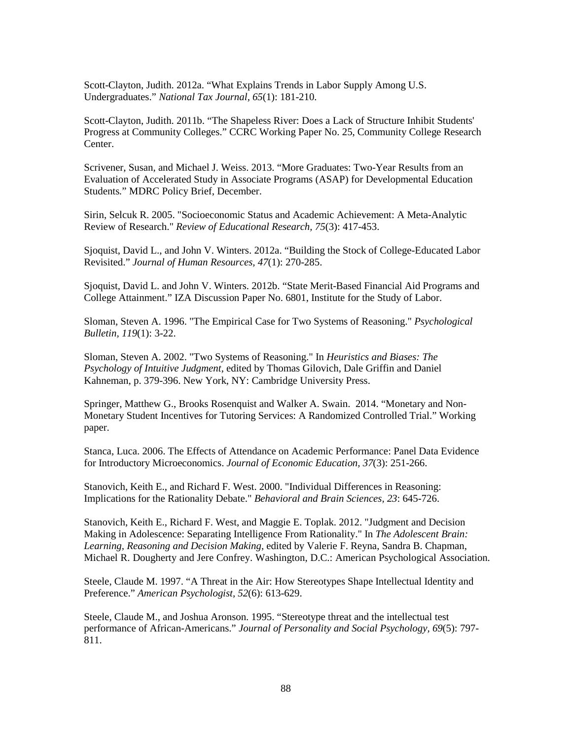Scott-Clayton, Judith. 2012a. "What Explains Trends in Labor Supply Among U.S. Undergraduates." *National Tax Journal, 65*(1): 181-210.

Scott-Clayton, Judith. 2011b. "The Shapeless River: Does a Lack of Structure Inhibit Students' Progress at Community Colleges." CCRC Working Paper No. 25, Community College Research Center.

Scrivener, Susan, and Michael J. Weiss. 2013. "More Graduates: Two-Year Results from an Evaluation of Accelerated Study in Associate Programs (ASAP) for Developmental Education Students*.*" MDRC Policy Brief, December.

Sirin, Selcuk R. 2005. "Socioeconomic Status and Academic Achievement: A Meta-Analytic Review of Research." *Review of Educational Research, 75*(3): 417-453.

Sjoquist, David L., and John V. Winters. 2012a. "Building the Stock of College-Educated Labor Revisited." *Journal of Human Resources, 47*(1): 270-285.

Sjoquist, David L. and John V. Winters. 2012b. "State Merit-Based Financial Aid Programs and College Attainment." IZA Discussion Paper No. 6801, Institute for the Study of Labor.

Sloman, Steven A. 1996. "The Empirical Case for Two Systems of Reasoning." *Psychological Bulletin, 119*(1): 3-22.

Sloman, Steven A. 2002. "Two Systems of Reasoning." In *Heuristics and Biases: The Psychology of Intuitive Judgment*, edited by Thomas Gilovich, Dale Griffin and Daniel Kahneman, p. 379-396. New York, NY: Cambridge University Press.

Springer, Matthew G., Brooks Rosenquist and Walker A. Swain. 2014. "Monetary and Non-Monetary Student Incentives for Tutoring Services: A Randomized Controlled Trial." Working paper.

Stanca, Luca. 2006. The Effects of Attendance on Academic Performance: Panel Data Evidence for Introductory Microeconomics. *Journal of Economic Education, 37*(3): 251-266.

Stanovich, Keith E., and Richard F. West. 2000. "Individual Differences in Reasoning: Implications for the Rationality Debate." *Behavioral and Brain Sciences, 23*: 645-726.

Stanovich, Keith E., Richard F. West, and Maggie E. Toplak. 2012. "Judgment and Decision Making in Adolescence: Separating Intelligence From Rationality." In *The Adolescent Brain: Learning, Reasoning and Decision Making*, edited by Valerie F. Reyna, Sandra B. Chapman, Michael R. Dougherty and Jere Confrey. Washington, D.C.: American Psychological Association.

Steele, Claude M. 1997. "A Threat in the Air: How Stereotypes Shape Intellectual Identity and Preference." *American Psychologist, 52*(6): 613-629.

Steele, Claude M., and Joshua Aronson. 1995. "Stereotype threat and the intellectual test performance of African-Americans." *Journal of Personality and Social Psychology, 69*(5): 797- 811.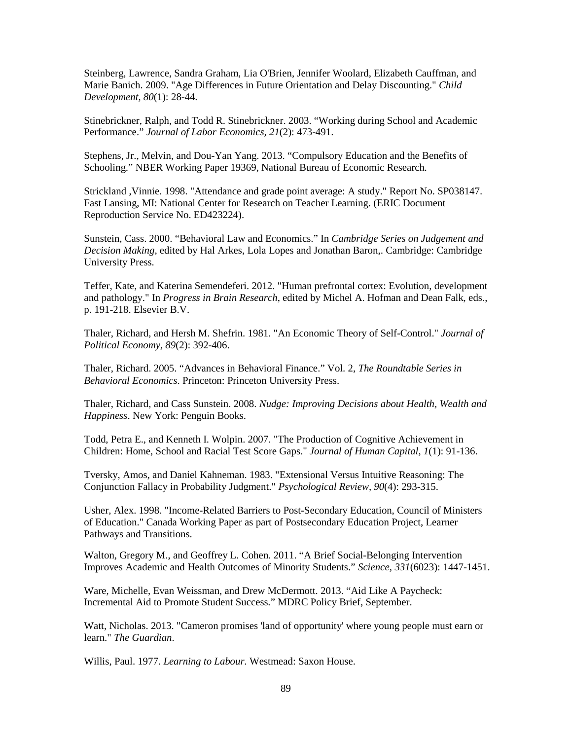Steinberg, Lawrence, Sandra Graham, Lia O'Brien, Jennifer Woolard, Elizabeth Cauffman, and Marie Banich. 2009. "Age Differences in Future Orientation and Delay Discounting." *Child Development, 80*(1): 28-44.

Stinebrickner, Ralph, and Todd R. Stinebrickner. 2003. "Working during School and Academic Performance." *Journal of Labor Economics, 21*(2): 473-491.

Stephens, Jr., Melvin, and Dou-Yan Yang. 2013. "Compulsory Education and the Benefits of Schooling." NBER Working Paper 19369, National Bureau of Economic Research.

Strickland ,Vinnie. 1998. "Attendance and grade point average: A study." Report No. SP038147. Fast Lansing, MI: National Center for Research on Teacher Learning. (ERIC Document Reproduction Service No. ED423224).

Sunstein, Cass. 2000. "Behavioral Law and Economics." In *Cambridge Series on Judgement and Decision Making*, edited by Hal Arkes, Lola Lopes and Jonathan Baron,. Cambridge: Cambridge University Press.

Teffer, Kate, and Katerina Semendeferi. 2012. "Human prefrontal cortex: Evolution, development and pathology." In *Progress in Brain Research*, edited by Michel A. Hofman and Dean Falk, eds., p. 191-218. Elsevier B.V.

Thaler, Richard, and Hersh M. Shefrin. 1981. "An Economic Theory of Self-Control." *Journal of Political Economy, 89*(2): 392-406.

Thaler, Richard. 2005. "Advances in Behavioral Finance." Vol. 2, *The Roundtable Series in Behavioral Economics*. Princeton: Princeton University Press.

Thaler, Richard, and Cass Sunstein. 2008. *Nudge: Improving Decisions about Health, Wealth and Happiness*. New York: Penguin Books.

Todd, Petra E., and Kenneth I. Wolpin. 2007. "The Production of Cognitive Achievement in Children: Home, School and Racial Test Score Gaps." *Journal of Human Capital, 1*(1): 91-136.

Tversky, Amos, and Daniel Kahneman. 1983. "Extensional Versus Intuitive Reasoning: The Conjunction Fallacy in Probability Judgment." *Psychological Review, 90*(4): 293-315.

Usher, Alex. 1998. "Income-Related Barriers to Post-Secondary Education, Council of Ministers of Education." Canada Working Paper as part of Postsecondary Education Project, Learner Pathways and Transitions.

Walton, Gregory M., and Geoffrey L. Cohen. 2011. "A Brief Social-Belonging Intervention Improves Academic and Health Outcomes of Minority Students." *Science, 331*(6023): 1447-1451.

Ware, Michelle, Evan Weissman, and Drew McDermott. 2013. "Aid Like A Paycheck: Incremental Aid to Promote Student Success*.*" MDRC Policy Brief, September.

Watt, Nicholas. 2013. "Cameron promises 'land of opportunity' where young people must earn or learn." *The Guardian*.

Willis, Paul. 1977. *Learning to Labour.* Westmead: Saxon House.